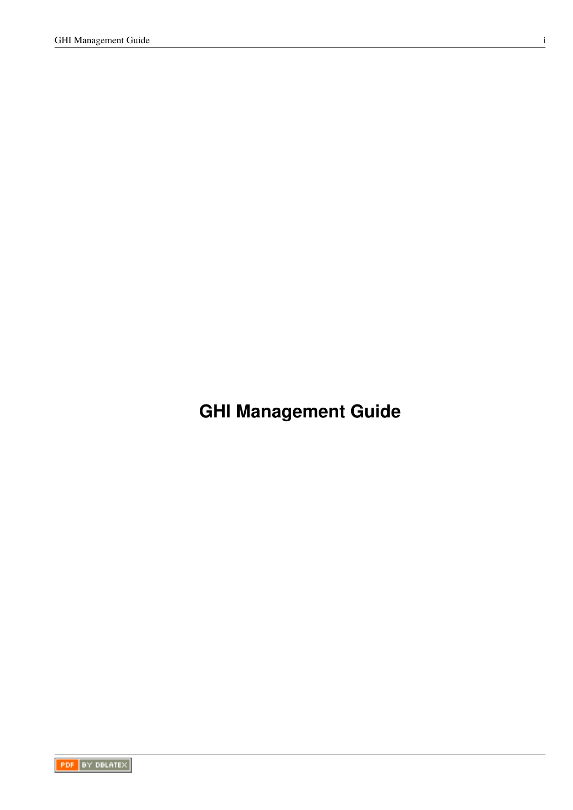# **GHI Management Guide**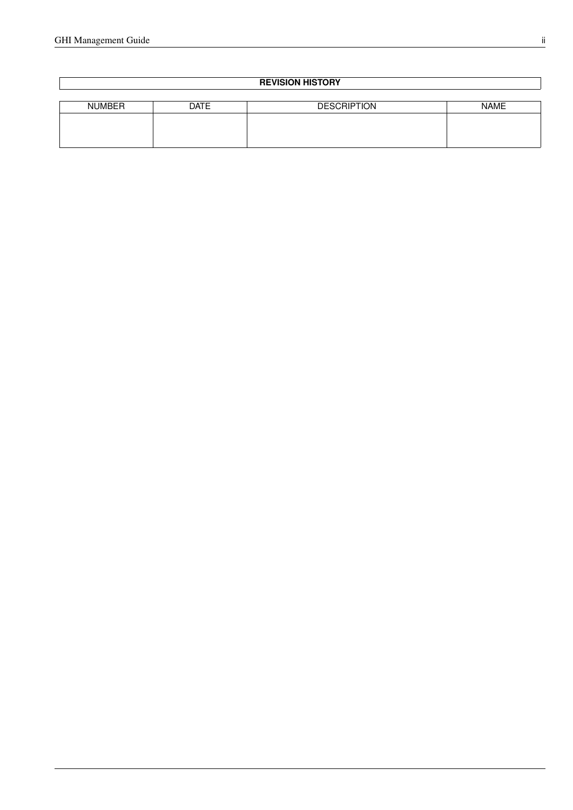### **REVISION HISTORY**

| <b>NUMBER</b> | <b>DATE</b> | <b>DESCRIPTION</b> | <b>NAME</b> |
|---------------|-------------|--------------------|-------------|
|               |             |                    |             |
|               |             |                    |             |
|               |             |                    |             |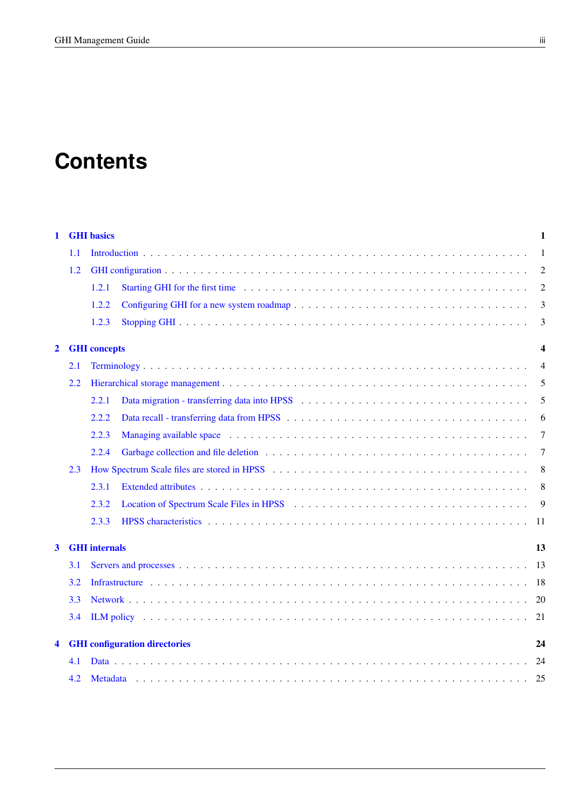# **Contents**

| 1                    |     | <b>GHI</b> basics                    | 1              |
|----------------------|-----|--------------------------------------|----------------|
|                      | 1.1 |                                      | 1              |
|                      | 1.2 |                                      | $\overline{2}$ |
|                      |     | 1.2.1                                | $\overline{2}$ |
|                      |     | 1.2.2                                | 3              |
|                      |     | 1.2.3                                | 3              |
| $\overline{2}$       |     | <b>GHI</b> concepts                  | 4              |
|                      | 2.1 |                                      | $\overline{4}$ |
|                      | 2.2 |                                      | 5              |
|                      |     | 2.2.1                                | 5              |
|                      |     | 2.2.2                                | 6              |
|                      |     | 2.2.3                                | 7              |
|                      |     | 2.2.4                                | $\overline{7}$ |
|                      | 2.3 |                                      | 8              |
|                      |     | 2.3.1                                | 8              |
|                      |     | 2.3.2                                | 9              |
|                      |     | 2.3.3                                |                |
| $\mathbf{3}$         |     | <b>GHI</b> internals                 | 13             |
|                      | 3.1 |                                      |                |
|                      | 3.2 |                                      |                |
|                      | 3.3 |                                      |                |
|                      | 3.4 |                                      |                |
| $\blacktriangleleft$ |     | <b>GHI configuration directories</b> | 24             |
|                      | 4.1 |                                      | -24            |
|                      | 4.2 |                                      |                |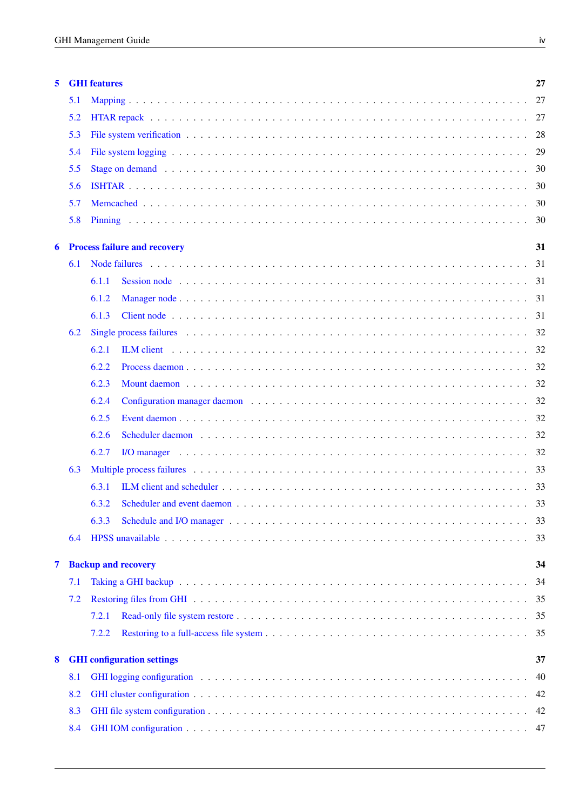| 5                       |                            | <b>GHI</b> features                                                                                                                                                                                                                     | 27 |
|-------------------------|----------------------------|-----------------------------------------------------------------------------------------------------------------------------------------------------------------------------------------------------------------------------------------|----|
|                         | 5.1                        |                                                                                                                                                                                                                                         | 27 |
|                         | 5.2                        |                                                                                                                                                                                                                                         | 27 |
|                         | 5.3                        |                                                                                                                                                                                                                                         | 28 |
|                         | 5.4                        |                                                                                                                                                                                                                                         | 29 |
|                         | 5.5                        |                                                                                                                                                                                                                                         | 30 |
|                         | 5.6                        |                                                                                                                                                                                                                                         | 30 |
|                         | 5.7                        |                                                                                                                                                                                                                                         | 30 |
|                         | 5.8                        |                                                                                                                                                                                                                                         | 30 |
| 6                       |                            | <b>Process failure and recovery</b>                                                                                                                                                                                                     | 31 |
|                         | 6.1                        |                                                                                                                                                                                                                                         | 31 |
|                         |                            | 6.1.1                                                                                                                                                                                                                                   | 31 |
|                         |                            | 6.1.2                                                                                                                                                                                                                                   |    |
|                         |                            | 6.1.3                                                                                                                                                                                                                                   | 31 |
|                         | 6.2                        |                                                                                                                                                                                                                                         | 32 |
|                         |                            | ILM client the contract of the contract of the contract of the contract of the contract of the contract of the contract of the contract of the contract of the contract of the contract of the contract of the contract of the<br>6.2.1 | 32 |
|                         |                            | 6.2.2                                                                                                                                                                                                                                   | 32 |
|                         |                            | 6.2.3                                                                                                                                                                                                                                   | 32 |
|                         |                            | 6.2.4                                                                                                                                                                                                                                   | 32 |
|                         |                            | 6.2.5                                                                                                                                                                                                                                   | 32 |
|                         |                            | Scheduler daemon response to the service of the service of the service of the service of the service of the service of the service of the service of the service of the service of the service of the service of the service o<br>6.2.6 | 32 |
|                         |                            | 6.2.7                                                                                                                                                                                                                                   | 32 |
|                         | 6.3                        |                                                                                                                                                                                                                                         | 33 |
|                         |                            | ILM client and scheduler enterprise on the contract of the contract of the contract of the contract of the contract of the contract of the contract of the contract of the contract of the contract of the contract of the con<br>6.3.1 | 33 |
|                         |                            | 6.3.2 Scheduler and event daemon                                                                                                                                                                                                        | 33 |
|                         |                            | 6.3.3                                                                                                                                                                                                                                   | 33 |
|                         | 6.4                        |                                                                                                                                                                                                                                         | 33 |
| $\overline{\mathbf{7}}$ | <b>Backup and recovery</b> |                                                                                                                                                                                                                                         | 34 |
|                         | 7.1                        |                                                                                                                                                                                                                                         | 34 |
|                         | 7.2                        | Restoring files from GHI (All Albert 2018) and the set of the set of the set of the set of the set of the set of the set of the set of the set of the set of the set of the set of the set of the set of the set of the set of          | 35 |
|                         |                            | 7.2.1                                                                                                                                                                                                                                   | 35 |
|                         |                            | 7.2.2                                                                                                                                                                                                                                   | 35 |
| 8                       |                            | <b>GHI</b> configuration settings                                                                                                                                                                                                       | 37 |
|                         | 8.1                        |                                                                                                                                                                                                                                         | 40 |
|                         | 8.2                        |                                                                                                                                                                                                                                         | 42 |
|                         | 8.3                        |                                                                                                                                                                                                                                         | 42 |
|                         | 8.4                        |                                                                                                                                                                                                                                         | 47 |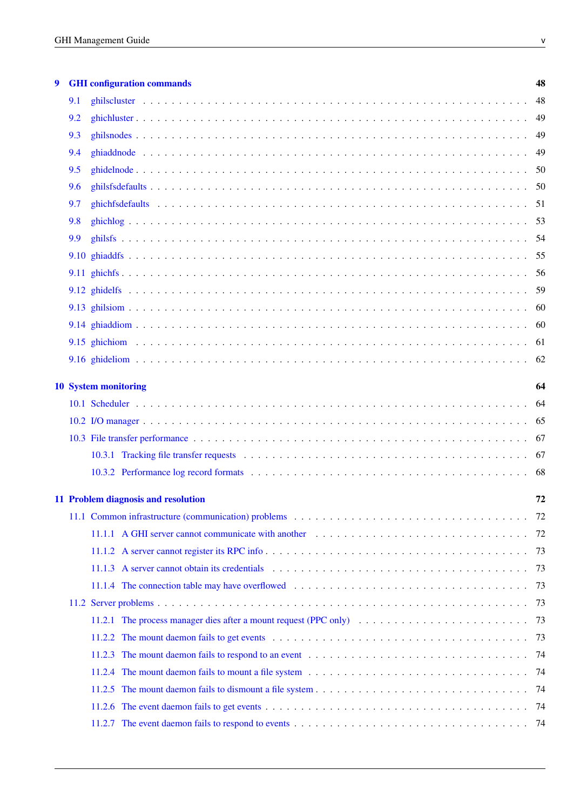| 9 |     | <b>GHI</b> configuration commands                                                                                                                                                                                              | 48  |
|---|-----|--------------------------------------------------------------------------------------------------------------------------------------------------------------------------------------------------------------------------------|-----|
|   | 9.1 |                                                                                                                                                                                                                                | 48  |
|   | 9.2 |                                                                                                                                                                                                                                | 49  |
|   | 9.3 |                                                                                                                                                                                                                                | 49  |
|   | 9.4 |                                                                                                                                                                                                                                | 49  |
|   | 9.5 |                                                                                                                                                                                                                                | 50  |
|   | 9.6 |                                                                                                                                                                                                                                | 50  |
|   | 9.7 |                                                                                                                                                                                                                                | 51  |
|   | 9.8 |                                                                                                                                                                                                                                | 53  |
|   | 9.9 |                                                                                                                                                                                                                                |     |
|   |     |                                                                                                                                                                                                                                | -55 |
|   |     |                                                                                                                                                                                                                                | -56 |
|   |     |                                                                                                                                                                                                                                | -59 |
|   |     |                                                                                                                                                                                                                                | -60 |
|   |     |                                                                                                                                                                                                                                | -60 |
|   |     |                                                                                                                                                                                                                                | 61  |
|   |     |                                                                                                                                                                                                                                | -62 |
|   |     | <b>10 System monitoring</b>                                                                                                                                                                                                    | 64  |
|   |     |                                                                                                                                                                                                                                | 64  |
|   |     |                                                                                                                                                                                                                                | 65  |
|   |     |                                                                                                                                                                                                                                | 67  |
|   |     |                                                                                                                                                                                                                                | 67  |
|   |     |                                                                                                                                                                                                                                | 68  |
|   |     |                                                                                                                                                                                                                                |     |
|   |     | 11 Problem diagnosis and resolution                                                                                                                                                                                            | 72  |
|   |     |                                                                                                                                                                                                                                | -72 |
|   |     | 11.1.1 A GHI server cannot communicate with another entertainment of the server of the server cannot communicate with another entertainment of the server of the server of the server of the server of the server of the serve | 72  |
|   |     |                                                                                                                                                                                                                                | 73  |
|   |     | 11.1.3 A server cannot obtain its credentials expansion of the server contained to the server cannot obtain its credentials                                                                                                    | 73  |
|   |     |                                                                                                                                                                                                                                | 73  |
|   |     |                                                                                                                                                                                                                                | 73  |
|   |     | 11.2.1 The process manager dies after a mount request (PPC only)                                                                                                                                                               | 73  |
|   |     |                                                                                                                                                                                                                                | 73  |
|   |     | 11.2.3                                                                                                                                                                                                                         | 74  |
|   |     |                                                                                                                                                                                                                                | 74  |
|   |     | 11.2.5                                                                                                                                                                                                                         | 74  |
|   |     | 11.2.6                                                                                                                                                                                                                         | 74  |
|   |     | 11.2.7                                                                                                                                                                                                                         | 74  |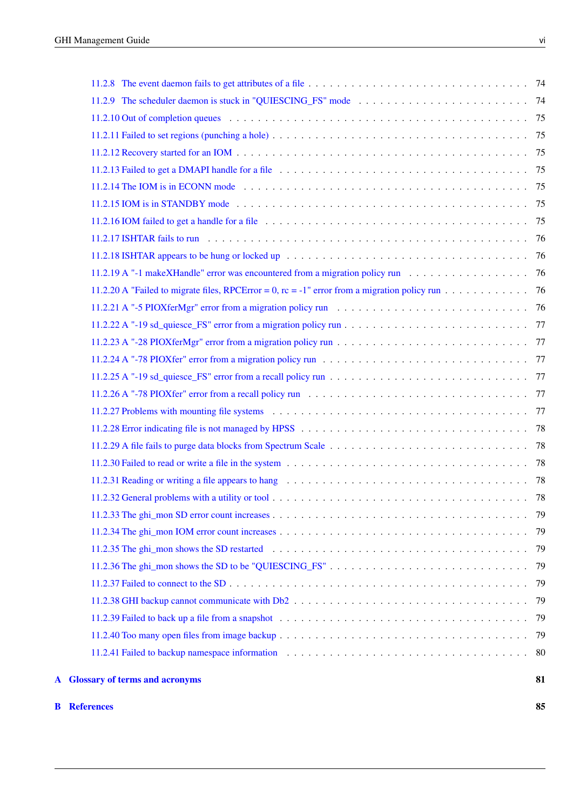| в | <b>References</b>                                                                                                                       | 85 |
|---|-----------------------------------------------------------------------------------------------------------------------------------------|----|
|   | <b>A</b> Glossary of terms and acronyms                                                                                                 | 81 |
|   |                                                                                                                                         |    |
|   |                                                                                                                                         |    |
|   |                                                                                                                                         |    |
|   |                                                                                                                                         |    |
|   |                                                                                                                                         |    |
|   |                                                                                                                                         |    |
|   | 11.2.35 The ghi_mon shows the SD restarted $\ldots \ldots \ldots \ldots \ldots \ldots \ldots \ldots \ldots \ldots \ldots \ldots \ldots$ |    |
|   |                                                                                                                                         |    |
|   |                                                                                                                                         |    |
|   |                                                                                                                                         |    |
|   |                                                                                                                                         |    |
|   |                                                                                                                                         |    |
|   |                                                                                                                                         |    |
|   |                                                                                                                                         |    |
|   |                                                                                                                                         |    |
|   |                                                                                                                                         |    |
|   |                                                                                                                                         |    |
|   |                                                                                                                                         |    |
|   |                                                                                                                                         |    |
|   |                                                                                                                                         |    |
|   |                                                                                                                                         |    |
|   |                                                                                                                                         |    |
|   | 11.2.19 A "-1 makeXHandle" error was encountered from a migration policy run 76                                                         |    |
|   |                                                                                                                                         |    |
|   |                                                                                                                                         |    |
|   |                                                                                                                                         |    |
|   |                                                                                                                                         |    |
|   |                                                                                                                                         |    |
|   |                                                                                                                                         |    |
|   |                                                                                                                                         |    |
|   |                                                                                                                                         |    |
|   |                                                                                                                                         |    |
|   |                                                                                                                                         |    |
|   |                                                                                                                                         |    |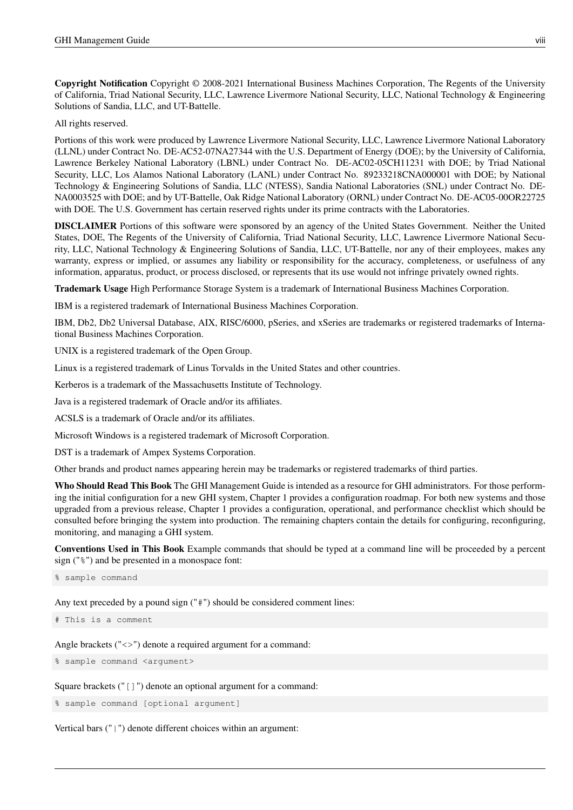Copyright Notification Copyright © 2008-2021 International Business Machines Corporation, The Regents of the University of California, Triad National Security, LLC, Lawrence Livermore National Security, LLC, National Technology & Engineering Solutions of Sandia, LLC, and UT-Battelle.

All rights reserved.

Portions of this work were produced by Lawrence Livermore National Security, LLC, Lawrence Livermore National Laboratory (LLNL) under Contract No. DE-AC52-07NA27344 with the U.S. Department of Energy (DOE); by the University of California, Lawrence Berkeley National Laboratory (LBNL) under Contract No. DE-AC02-05CH11231 with DOE; by Triad National Security, LLC, Los Alamos National Laboratory (LANL) under Contract No. 89233218CNA000001 with DOE; by National Technology & Engineering Solutions of Sandia, LLC (NTESS), Sandia National Laboratories (SNL) under Contract No. DE-NA0003525 with DOE; and by UT-Battelle, Oak Ridge National Laboratory (ORNL) under Contract No. DE-AC05-00OR22725 with DOE. The U.S. Government has certain reserved rights under its prime contracts with the Laboratories.

DISCLAIMER Portions of this software were sponsored by an agency of the United States Government. Neither the United States, DOE, The Regents of the University of California, Triad National Security, LLC, Lawrence Livermore National Security, LLC, National Technology & Engineering Solutions of Sandia, LLC, UT-Battelle, nor any of their employees, makes any warranty, express or implied, or assumes any liability or responsibility for the accuracy, completeness, or usefulness of any information, apparatus, product, or process disclosed, or represents that its use would not infringe privately owned rights.

Trademark Usage High Performance Storage System is a trademark of International Business Machines Corporation.

IBM is a registered trademark of International Business Machines Corporation.

IBM, Db2, Db2 Universal Database, AIX, RISC/6000, pSeries, and xSeries are trademarks or registered trademarks of International Business Machines Corporation.

UNIX is a registered trademark of the Open Group.

Linux is a registered trademark of Linus Torvalds in the United States and other countries.

Kerberos is a trademark of the Massachusetts Institute of Technology.

Java is a registered trademark of Oracle and/or its affiliates.

ACSLS is a trademark of Oracle and/or its affiliates.

Microsoft Windows is a registered trademark of Microsoft Corporation.

DST is a trademark of Ampex Systems Corporation.

Other brands and product names appearing herein may be trademarks or registered trademarks of third parties.

Who Should Read This Book The GHI Management Guide is intended as a resource for GHI administrators. For those performing the initial configuration for a new GHI system, Chapter 1 provides a configuration roadmap. For both new systems and those upgraded from a previous release, Chapter 1 provides a configuration, operational, and performance checklist which should be consulted before bringing the system into production. The remaining chapters contain the details for configuring, reconfiguring, monitoring, and managing a GHI system.

Conventions Used in This Book Example commands that should be typed at a command line will be proceeded by a percent sign ("%") and be presented in a monospace font:

% sample command

Any text preceded by a pound sign ("#") should be considered comment lines:

```
# This is a comment
```
Angle brackets ("<>") denote a required argument for a command:

```
% sample command <argument>
```
Square brackets ("[]") denote an optional argument for a command:

% sample command [optional argument]

Vertical bars ("|") denote different choices within an argument: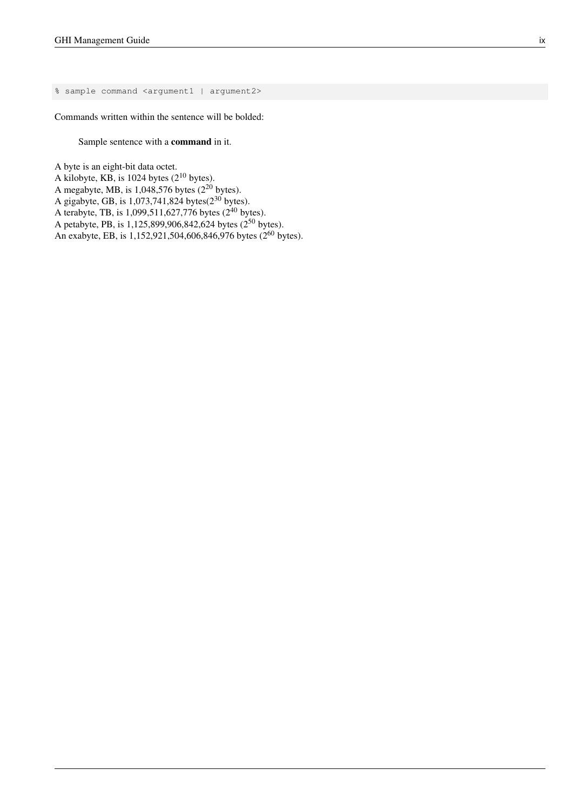% sample command <argument1 | argument2>

Commands written within the sentence will be bolded:

Sample sentence with a command in it.

A byte is an eight-bit data octet.

A kilobyte, KB, is  $1024$  bytes ( $2^{10}$  bytes).

A megabyte, MB, is 1,048,576 bytes  $(2^{20}$  bytes).

A gigabyte, GB, is  $1,073,741,824$  bytes( $2^{30}$  bytes).

A terabyte, TB, is 1,099,511,627,776 bytes ( $2^{40}$  bytes).

A petabyte, PB, is 1,125,899,906,842,624 bytes ( $2^{50}$  bytes).

An exabyte, EB, is 1,152,921,504,606,846,976 bytes (2<sup>60</sup> bytes).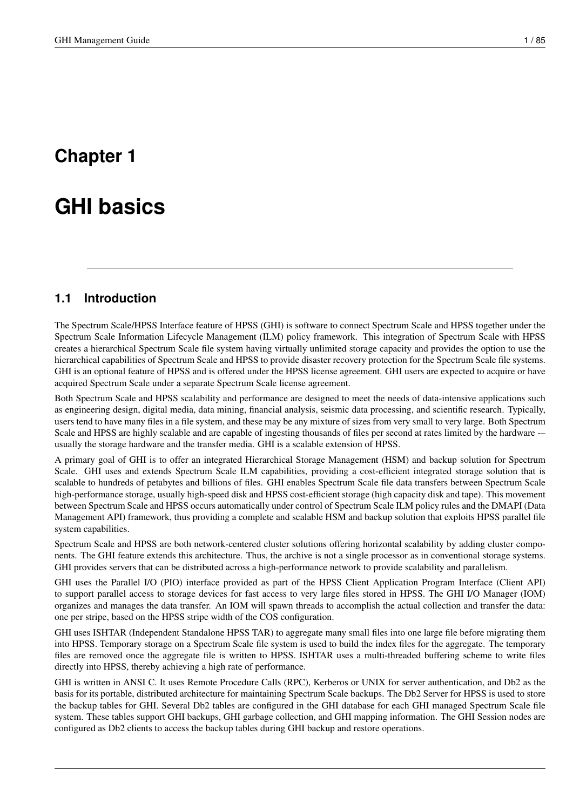# <span id="page-9-0"></span>**Chapter 1**

# **GHI basics**

### <span id="page-9-1"></span>**1.1 Introduction**

The Spectrum Scale/HPSS Interface feature of HPSS (GHI) is software to connect Spectrum Scale and HPSS together under the Spectrum Scale Information Lifecycle Management (ILM) policy framework. This integration of Spectrum Scale with HPSS creates a hierarchical Spectrum Scale file system having virtually unlimited storage capacity and provides the option to use the hierarchical capabilities of Spectrum Scale and HPSS to provide disaster recovery protection for the Spectrum Scale file systems. GHI is an optional feature of HPSS and is offered under the HPSS license agreement. GHI users are expected to acquire or have acquired Spectrum Scale under a separate Spectrum Scale license agreement.

Both Spectrum Scale and HPSS scalability and performance are designed to meet the needs of data-intensive applications such as engineering design, digital media, data mining, financial analysis, seismic data processing, and scientific research. Typically, users tend to have many files in a file system, and these may be any mixture of sizes from very small to very large. Both Spectrum Scale and HPSS are highly scalable and are capable of ingesting thousands of files per second at rates limited by the hardware -– usually the storage hardware and the transfer media. GHI is a scalable extension of HPSS.

A primary goal of GHI is to offer an integrated Hierarchical Storage Management (HSM) and backup solution for Spectrum Scale. GHI uses and extends Spectrum Scale ILM capabilities, providing a cost-efficient integrated storage solution that is scalable to hundreds of petabytes and billions of files. GHI enables Spectrum Scale file data transfers between Spectrum Scale high-performance storage, usually high-speed disk and HPSS cost-efficient storage (high capacity disk and tape). This movement between Spectrum Scale and HPSS occurs automatically under control of Spectrum Scale ILM policy rules and the DMAPI (Data Management API) framework, thus providing a complete and scalable HSM and backup solution that exploits HPSS parallel file system capabilities.

Spectrum Scale and HPSS are both network-centered cluster solutions offering horizontal scalability by adding cluster components. The GHI feature extends this architecture. Thus, the archive is not a single processor as in conventional storage systems. GHI provides servers that can be distributed across a high-performance network to provide scalability and parallelism.

GHI uses the Parallel I/O (PIO) interface provided as part of the HPSS Client Application Program Interface (Client API) to support parallel access to storage devices for fast access to very large files stored in HPSS. The GHI I/O Manager (IOM) organizes and manages the data transfer. An IOM will spawn threads to accomplish the actual collection and transfer the data: one per stripe, based on the HPSS stripe width of the COS configuration.

GHI uses ISHTAR (Independent Standalone HPSS TAR) to aggregate many small files into one large file before migrating them into HPSS. Temporary storage on a Spectrum Scale file system is used to build the index files for the aggregate. The temporary files are removed once the aggregate file is written to HPSS. ISHTAR uses a multi-threaded buffering scheme to write files directly into HPSS, thereby achieving a high rate of performance.

GHI is written in ANSI C. It uses Remote Procedure Calls (RPC), Kerberos or UNIX for server authentication, and Db2 as the basis for its portable, distributed architecture for maintaining Spectrum Scale backups. The Db2 Server for HPSS is used to store the backup tables for GHI. Several Db2 tables are configured in the GHI database for each GHI managed Spectrum Scale file system. These tables support GHI backups, GHI garbage collection, and GHI mapping information. The GHI Session nodes are configured as Db2 clients to access the backup tables during GHI backup and restore operations.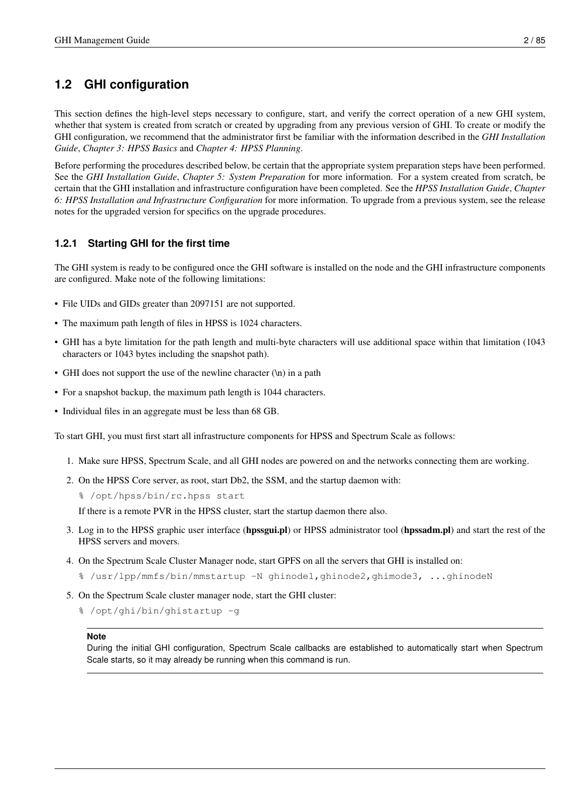# <span id="page-10-0"></span>**1.2 GHI configuration**

This section defines the high-level steps necessary to configure, start, and verify the correct operation of a new GHI system, whether that system is created from scratch or created by upgrading from any previous version of GHI. To create or modify the GHI configuration, we recommend that the administrator first be familiar with the information described in the *GHI Installation Guide*, *Chapter 3: HPSS Basics* and *Chapter 4: HPSS Planning*.

Before performing the procedures described below, be certain that the appropriate system preparation steps have been performed. See the *GHI Installation Guide*, *Chapter 5: System Preparation* for more information. For a system created from scratch, be certain that the GHI installation and infrastructure configuration have been completed. See the *HPSS Installation Guide*, *Chapter 6: HPSS Installation and Infrastructure Configuration* for more information. To upgrade from a previous system, see the release notes for the upgraded version for specifics on the upgrade procedures.

### <span id="page-10-1"></span>**1.2.1 Starting GHI for the first time**

The GHI system is ready to be configured once the GHI software is installed on the node and the GHI infrastructure components are configured. Make note of the following limitations:

- File UIDs and GIDs greater than 2097151 are not supported.
- The maximum path length of files in HPSS is 1024 characters.
- GHI has a byte limitation for the path length and multi-byte characters will use additional space within that limitation (1043 characters or 1043 bytes including the snapshot path).
- GHI does not support the use of the newline character (\n) in a path
- For a snapshot backup, the maximum path length is 1044 characters.
- Individual files in an aggregate must be less than 68 GB.

To start GHI, you must first start all infrastructure components for HPSS and Spectrum Scale as follows:

- 1. Make sure HPSS, Spectrum Scale, and all GHI nodes are powered on and the networks connecting them are working.
- 2. On the HPSS Core server, as root, start Db2, the SSM, and the startup daemon with:

% /opt/hpss/bin/rc.hpss start

If there is a remote PVR in the HPSS cluster, start the startup daemon there also.

- 3. Log in to the HPSS graphic user interface (hpssgui.pl) or HPSS administrator tool (hpssadm.pl) and start the rest of the HPSS servers and movers.
- 4. On the Spectrum Scale Cluster Manager node, start GPFS on all the servers that GHI is installed on:
	- % /usr/lpp/mmfs/bin/mmstartup -N ghinode1, ghinode2, ghimode3, ...ghinodeN
- 5. On the Spectrum Scale cluster manager node, start the GHI cluster:
	- % /opt/ghi/bin/ghistartup -g

#### **Note**

During the initial GHI configuration, Spectrum Scale callbacks are established to automatically start when Spectrum Scale starts, so it may already be running when this command is run.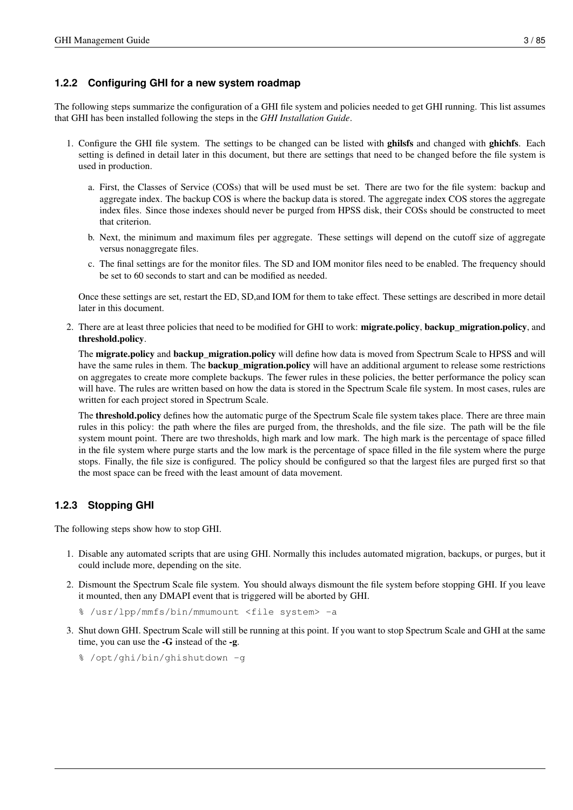### <span id="page-11-0"></span>**1.2.2 Configuring GHI for a new system roadmap**

The following steps summarize the configuration of a GHI file system and policies needed to get GHI running. This list assumes that GHI has been installed following the steps in the *GHI Installation Guide*.

- 1. Configure the GHI file system. The settings to be changed can be listed with **ghilsfs** and changed with **ghichfs**. Each setting is defined in detail later in this document, but there are settings that need to be changed before the file system is used in production.
	- a. First, the Classes of Service (COSs) that will be used must be set. There are two for the file system: backup and aggregate index. The backup COS is where the backup data is stored. The aggregate index COS stores the aggregate index files. Since those indexes should never be purged from HPSS disk, their COSs should be constructed to meet that criterion.
	- b. Next, the minimum and maximum files per aggregate. These settings will depend on the cutoff size of aggregate versus nonaggregate files.
	- c. The final settings are for the monitor files. The SD and IOM monitor files need to be enabled. The frequency should be set to 60 seconds to start and can be modified as needed.

Once these settings are set, restart the ED, SD,and IOM for them to take effect. These settings are described in more detail later in this document.

2. There are at least three policies that need to be modified for GHI to work: migrate.policy, backup\_migration.policy, and threshold.policy.

The migrate.policy and backup migration.policy will define how data is moved from Spectrum Scale to HPSS and will have the same rules in them. The **backup migration.policy** will have an additional argument to release some restrictions on aggregates to create more complete backups. The fewer rules in these policies, the better performance the policy scan will have. The rules are written based on how the data is stored in the Spectrum Scale file system. In most cases, rules are written for each project stored in Spectrum Scale.

The **threshold.policy** defines how the automatic purge of the Spectrum Scale file system takes place. There are three main rules in this policy: the path where the files are purged from, the thresholds, and the file size. The path will be the file system mount point. There are two thresholds, high mark and low mark. The high mark is the percentage of space filled in the file system where purge starts and the low mark is the percentage of space filled in the file system where the purge stops. Finally, the file size is configured. The policy should be configured so that the largest files are purged first so that the most space can be freed with the least amount of data movement.

### <span id="page-11-1"></span>**1.2.3 Stopping GHI**

The following steps show how to stop GHI.

- 1. Disable any automated scripts that are using GHI. Normally this includes automated migration, backups, or purges, but it could include more, depending on the site.
- 2. Dismount the Spectrum Scale file system. You should always dismount the file system before stopping GHI. If you leave it mounted, then any DMAPI event that is triggered will be aborted by GHI.
	- % /usr/lpp/mmfs/bin/mmumount <file system> -a
- 3. Shut down GHI. Spectrum Scale will still be running at this point. If you want to stop Spectrum Scale and GHI at the same time, you can use the -G instead of the -g.
	- % /opt/ghi/bin/ghishutdown -g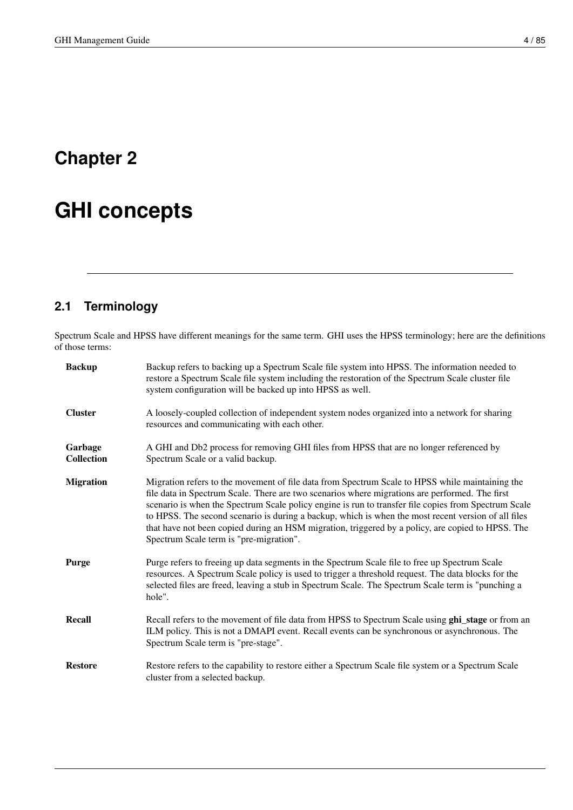# <span id="page-12-0"></span>**Chapter 2**

# **GHI concepts**

# <span id="page-12-1"></span>**2.1 Terminology**

Spectrum Scale and HPSS have different meanings for the same term. GHI uses the HPSS terminology; here are the definitions of those terms:

| <b>Backup</b>                | Backup refers to backing up a Spectrum Scale file system into HPSS. The information needed to<br>restore a Spectrum Scale file system including the restoration of the Spectrum Scale cluster file<br>system configuration will be backed up into HPSS as well.                                                                                                                                                                                                                                                                                                  |
|------------------------------|------------------------------------------------------------------------------------------------------------------------------------------------------------------------------------------------------------------------------------------------------------------------------------------------------------------------------------------------------------------------------------------------------------------------------------------------------------------------------------------------------------------------------------------------------------------|
| <b>Cluster</b>               | A loosely-coupled collection of independent system nodes organized into a network for sharing<br>resources and communicating with each other.                                                                                                                                                                                                                                                                                                                                                                                                                    |
| Garbage<br><b>Collection</b> | A GHI and Db2 process for removing GHI files from HPSS that are no longer referenced by<br>Spectrum Scale or a valid backup.                                                                                                                                                                                                                                                                                                                                                                                                                                     |
| <b>Migration</b>             | Migration refers to the movement of file data from Spectrum Scale to HPSS while maintaining the<br>file data in Spectrum Scale. There are two scenarios where migrations are performed. The first<br>scenario is when the Spectrum Scale policy engine is run to transfer file copies from Spectrum Scale<br>to HPSS. The second scenario is during a backup, which is when the most recent version of all files<br>that have not been copied during an HSM migration, triggered by a policy, are copied to HPSS. The<br>Spectrum Scale term is "pre-migration". |
| Purge                        | Purge refers to freeing up data segments in the Spectrum Scale file to free up Spectrum Scale<br>resources. A Spectrum Scale policy is used to trigger a threshold request. The data blocks for the<br>selected files are freed, leaving a stub in Spectrum Scale. The Spectrum Scale term is "punching a<br>hole".                                                                                                                                                                                                                                              |
| <b>Recall</b>                | Recall refers to the movement of file data from HPSS to Spectrum Scale using ghi_stage or from an<br>ILM policy. This is not a DMAPI event. Recall events can be synchronous or asynchronous. The<br>Spectrum Scale term is "pre-stage".                                                                                                                                                                                                                                                                                                                         |
| <b>Restore</b>               | Restore refers to the capability to restore either a Spectrum Scale file system or a Spectrum Scale<br>cluster from a selected backup.                                                                                                                                                                                                                                                                                                                                                                                                                           |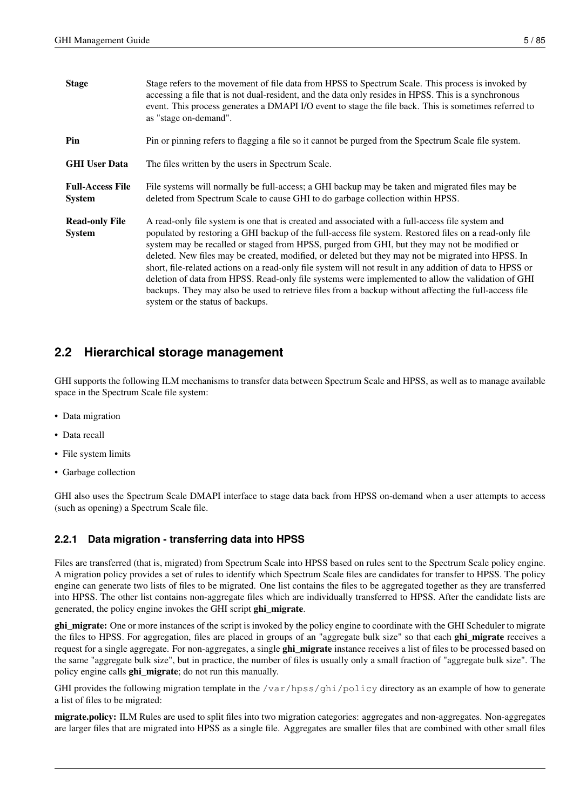| <b>Stage</b>                             | Stage refers to the movement of file data from HPSS to Spectrum Scale. This process is invoked by<br>accessing a file that is not dual-resident, and the data only resides in HPSS. This is a synchronous<br>event. This process generates a DMAPI I/O event to stage the file back. This is sometimes referred to<br>as "stage on-demand".                                                                                                                                                                                                                                                                                                                                                                                                                                      |
|------------------------------------------|----------------------------------------------------------------------------------------------------------------------------------------------------------------------------------------------------------------------------------------------------------------------------------------------------------------------------------------------------------------------------------------------------------------------------------------------------------------------------------------------------------------------------------------------------------------------------------------------------------------------------------------------------------------------------------------------------------------------------------------------------------------------------------|
| Pin                                      | Pin or pinning refers to flagging a file so it cannot be purged from the Spectrum Scale file system.                                                                                                                                                                                                                                                                                                                                                                                                                                                                                                                                                                                                                                                                             |
| <b>GHI User Data</b>                     | The files written by the users in Spectrum Scale.                                                                                                                                                                                                                                                                                                                                                                                                                                                                                                                                                                                                                                                                                                                                |
| <b>Full-Access File</b><br><b>System</b> | File systems will normally be full-access; a GHI backup may be taken and migrated files may be<br>deleted from Spectrum Scale to cause GHI to do garbage collection within HPSS.                                                                                                                                                                                                                                                                                                                                                                                                                                                                                                                                                                                                 |
| <b>Read-only File</b><br><b>System</b>   | A read-only file system is one that is created and associated with a full-access file system and<br>populated by restoring a GHI backup of the full-access file system. Restored files on a read-only file<br>system may be recalled or staged from HPSS, purged from GHI, but they may not be modified or<br>deleted. New files may be created, modified, or deleted but they may not be migrated into HPSS. In<br>short, file-related actions on a read-only file system will not result in any addition of data to HPSS or<br>deletion of data from HPSS. Read-only file systems were implemented to allow the validation of GHI<br>backups. They may also be used to retrieve files from a backup without affecting the full-access file<br>system or the status of backups. |

### <span id="page-13-0"></span>**2.2 Hierarchical storage management**

GHI supports the following ILM mechanisms to transfer data between Spectrum Scale and HPSS, as well as to manage available space in the Spectrum Scale file system:

- Data migration
- Data recall
- File system limits
- Garbage collection

GHI also uses the Spectrum Scale DMAPI interface to stage data back from HPSS on-demand when a user attempts to access (such as opening) a Spectrum Scale file.

### <span id="page-13-1"></span>**2.2.1 Data migration - transferring data into HPSS**

Files are transferred (that is, migrated) from Spectrum Scale into HPSS based on rules sent to the Spectrum Scale policy engine. A migration policy provides a set of rules to identify which Spectrum Scale files are candidates for transfer to HPSS. The policy engine can generate two lists of files to be migrated. One list contains the files to be aggregated together as they are transferred into HPSS. The other list contains non-aggregate files which are individually transferred to HPSS. After the candidate lists are generated, the policy engine invokes the GHI script ghi\_migrate.

**ghi\_migrate:** One or more instances of the script is invoked by the policy engine to coordinate with the GHI Scheduler to migrate the files to HPSS. For aggregation, files are placed in groups of an "aggregate bulk size" so that each ghi\_migrate receives a request for a single aggregate. For non-aggregates, a single ghi\_migrate instance receives a list of files to be processed based on the same "aggregate bulk size", but in practice, the number of files is usually only a small fraction of "aggregate bulk size". The policy engine calls ghi\_migrate; do not run this manually.

GHI provides the following migration template in the /var/hpss/ghi/policy directory as an example of how to generate a list of files to be migrated:

migrate.policy: ILM Rules are used to split files into two migration categories: aggregates and non-aggregates. Non-aggregates are larger files that are migrated into HPSS as a single file. Aggregates are smaller files that are combined with other small files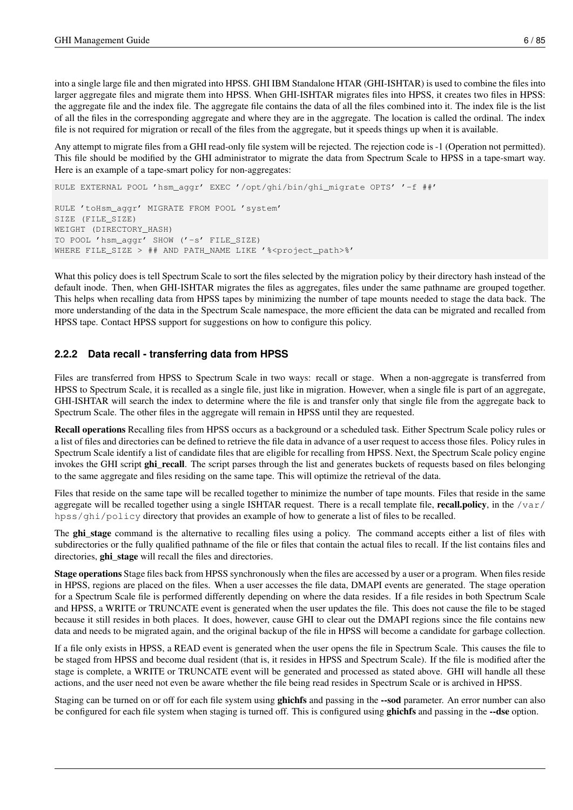into a single large file and then migrated into HPSS. GHI IBM Standalone HTAR (GHI-ISHTAR) is used to combine the files into larger aggregate files and migrate them into HPSS. When GHI-ISHTAR migrates files into HPSS, it creates two files in HPSS: the aggregate file and the index file. The aggregate file contains the data of all the files combined into it. The index file is the list of all the files in the corresponding aggregate and where they are in the aggregate. The location is called the ordinal. The index file is not required for migration or recall of the files from the aggregate, but it speeds things up when it is available.

Any attempt to migrate files from a GHI read-only file system will be rejected. The rejection code is  $-1$  (Operation not permitted). This file should be modified by the GHI administrator to migrate the data from Spectrum Scale to HPSS in a tape-smart way. Here is an example of a tape-smart policy for non-aggregates:

```
RULE EXTERNAL POOL 'hsm_aggr' EXEC '/opt/ghi/bin/ghi_migrate OPTS' '-f ##'
RULE 'toHsm_aggr' MIGRATE FROM POOL 'system'
SIZE (FILE_SIZE)
WEIGHT (DIRECTORY_HASH)
TO POOL 'hsm_aggr' SHOW ('-s' FILE_SIZE)
WHERE FILE_SIZE > ## AND PATH_NAME LIKE '%<project_path>%'
```
What this policy does is tell Spectrum Scale to sort the files selected by the migration policy by their directory hash instead of the default inode. Then, when GHI-ISHTAR migrates the files as aggregates, files under the same pathname are grouped together. This helps when recalling data from HPSS tapes by minimizing the number of tape mounts needed to stage the data back. The more understanding of the data in the Spectrum Scale namespace, the more efficient the data can be migrated and recalled from HPSS tape. Contact HPSS support for suggestions on how to configure this policy.

### <span id="page-14-0"></span>**2.2.2 Data recall - transferring data from HPSS**

Files are transferred from HPSS to Spectrum Scale in two ways: recall or stage. When a non-aggregate is transferred from HPSS to Spectrum Scale, it is recalled as a single file, just like in migration. However, when a single file is part of an aggregate, GHI-ISHTAR will search the index to determine where the file is and transfer only that single file from the aggregate back to Spectrum Scale. The other files in the aggregate will remain in HPSS until they are requested.

Recall operations Recalling files from HPSS occurs as a background or a scheduled task. Either Spectrum Scale policy rules or a list of files and directories can be defined to retrieve the file data in advance of a user request to access those files. Policy rules in Spectrum Scale identify a list of candidate files that are eligible for recalling from HPSS. Next, the Spectrum Scale policy engine invokes the GHI script ghi\_recall. The script parses through the list and generates buckets of requests based on files belonging to the same aggregate and files residing on the same tape. This will optimize the retrieval of the data.

Files that reside on the same tape will be recalled together to minimize the number of tape mounts. Files that reside in the same aggregate will be recalled together using a single ISHTAR request. There is a recall template file, recall.policy, in the  $/\text{var}/$ hpss/ghi/policy directory that provides an example of how to generate a list of files to be recalled.

The ghi\_stage command is the alternative to recalling files using a policy. The command accepts either a list of files with subdirectories or the fully qualified pathname of the file or files that contain the actual files to recall. If the list contains files and directories, ghi\_stage will recall the files and directories.

Stage operations Stage files back from HPSS synchronously when the files are accessed by a user or a program. When files reside in HPSS, regions are placed on the files. When a user accesses the file data, DMAPI events are generated. The stage operation for a Spectrum Scale file is performed differently depending on where the data resides. If a file resides in both Spectrum Scale and HPSS, a WRITE or TRUNCATE event is generated when the user updates the file. This does not cause the file to be staged because it still resides in both places. It does, however, cause GHI to clear out the DMAPI regions since the file contains new data and needs to be migrated again, and the original backup of the file in HPSS will become a candidate for garbage collection.

If a file only exists in HPSS, a READ event is generated when the user opens the file in Spectrum Scale. This causes the file to be staged from HPSS and become dual resident (that is, it resides in HPSS and Spectrum Scale). If the file is modified after the stage is complete, a WRITE or TRUNCATE event will be generated and processed as stated above. GHI will handle all these actions, and the user need not even be aware whether the file being read resides in Spectrum Scale or is archived in HPSS.

Staging can be turned on or off for each file system using ghichfs and passing in the --sod parameter. An error number can also be configured for each file system when staging is turned off. This is configured using ghichfs and passing in the --dse option.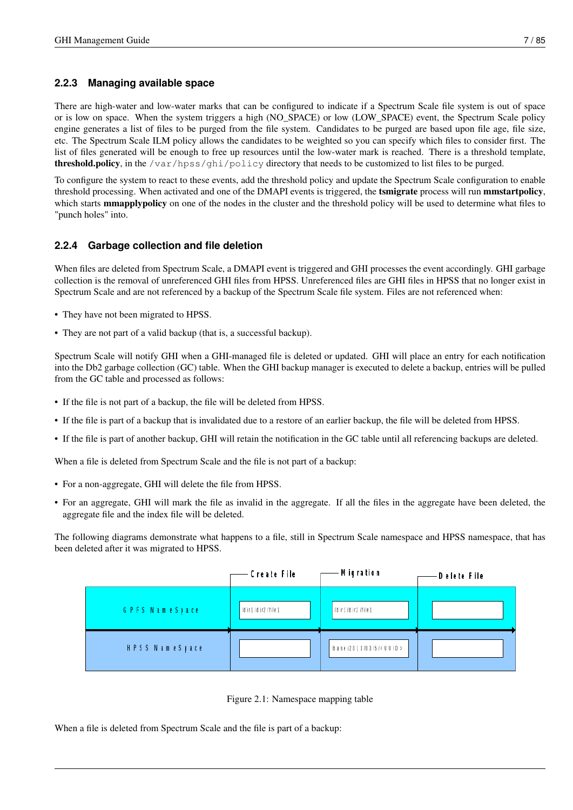### <span id="page-15-0"></span>**2.2.3 Managing available space**

There are high-water and low-water marks that can be configured to indicate if a Spectrum Scale file system is out of space or is low on space. When the system triggers a high (NO\_SPACE) or low (LOW\_SPACE) event, the Spectrum Scale policy engine generates a list of files to be purged from the file system. Candidates to be purged are based upon file age, file size, etc. The Spectrum Scale ILM policy allows the candidates to be weighted so you can specify which files to consider first. The list of files generated will be enough to free up resources until the low-water mark is reached. There is a threshold template, threshold.policy, in the /var/hpss/ghi/policy directory that needs to be customized to list files to be purged.

To configure the system to react to these events, add the threshold policy and update the Spectrum Scale configuration to enable threshold processing. When activated and one of the DMAPI events is triggered, the tsmigrate process will run mmstartpolicy, which starts **mmapplypolicy** on one of the nodes in the cluster and the threshold policy will be used to determine what files to "punch holes" into.

### <span id="page-15-1"></span>**2.2.4 Garbage collection and file deletion**

When files are deleted from Spectrum Scale, a DMAPI event is triggered and GHI processes the event accordingly. GHI garbage collection is the removal of unreferenced GHI files from HPSS. Unreferenced files are GHI files in HPSS that no longer exist in Spectrum Scale and are not referenced by a backup of the Spectrum Scale file system. Files are not referenced when:

- They have not been migrated to HPSS.
- They are not part of a valid backup (that is, a successful backup).

Spectrum Scale will notify GHI when a GHI-managed file is deleted or updated. GHI will place an entry for each notification into the Db2 garbage collection (GC) table. When the GHI backup manager is executed to delete a backup, entries will be pulled from the GC table and processed as follows:

- If the file is not part of a backup, the file will be deleted from HPSS.
- If the file is part of a backup that is invalidated due to a restore of an earlier backup, the file will be deleted from HPSS.
- If the file is part of another backup, GHI will retain the notification in the GC table until all referencing backups are deleted.

When a file is deleted from Spectrum Scale and the file is not part of a backup:

- For a non-aggregate, GHI will delete the file from HPSS.
- For an aggregate, GHI will mark the file as invalid in the aggregate. If all the files in the aggregate have been deleted, the aggregate file and the index file will be deleted.

The following diagrams demonstrate what happens to a file, still in Spectrum Scale namespace and HPSS namespace, that has been deleted after it was migrated to HPSS.





When a file is deleted from Spectrum Scale and the file is part of a backup: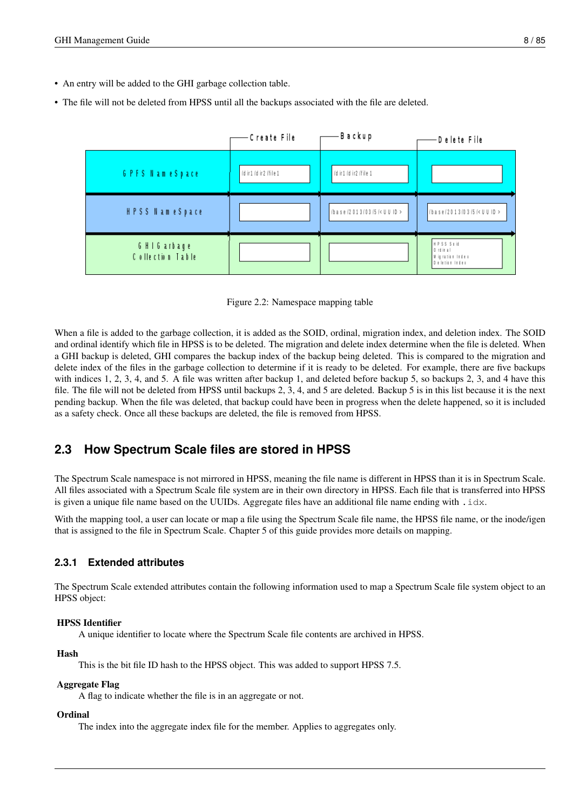- An entry will be added to the GHI garbage collection table.
- The file will not be deleted from HPSS until all the backups associated with the file are deleted.



Figure 2.2: Namespace mapping table

When a file is added to the garbage collection, it is added as the SOID, ordinal, migration index, and deletion index. The SOID and ordinal identify which file in HPSS is to be deleted. The migration and delete index determine when the file is deleted. When a GHI backup is deleted, GHI compares the backup index of the backup being deleted. This is compared to the migration and delete index of the files in the garbage collection to determine if it is ready to be deleted. For example, there are five backups with indices 1, 2, 3, 4, and 5. A file was written after backup 1, and deleted before backup 5, so backups 2, 3, and 4 have this file. The file will not be deleted from HPSS until backups 2, 3, 4, and 5 are deleted. Backup 5 is in this list because it is the next pending backup. When the file was deleted, that backup could have been in progress when the delete happened, so it is included as a safety check. Once all these backups are deleted, the file is removed from HPSS.

## <span id="page-16-0"></span>**2.3 How Spectrum Scale files are stored in HPSS**

The Spectrum Scale namespace is not mirrored in HPSS, meaning the file name is different in HPSS than it is in Spectrum Scale. All files associated with a Spectrum Scale file system are in their own directory in HPSS. Each file that is transferred into HPSS is given a unique file name based on the UUIDs. Aggregate files have an additional file name ending with  $.i.dx$ .

With the mapping tool, a user can locate or map a file using the Spectrum Scale file name, the HPSS file name, or the inode/igen that is assigned to the file in Spectrum Scale. Chapter 5 of this guide provides more details on mapping.

### <span id="page-16-1"></span>**2.3.1 Extended attributes**

The Spectrum Scale extended attributes contain the following information used to map a Spectrum Scale file system object to an HPSS object:

### HPSS Identifier

A unique identifier to locate where the Spectrum Scale file contents are archived in HPSS.

### Hash

This is the bit file ID hash to the HPSS object. This was added to support HPSS 7.5.

### Aggregate Flag

A flag to indicate whether the file is in an aggregate or not.

### **Ordinal**

The index into the aggregate index file for the member. Applies to aggregates only.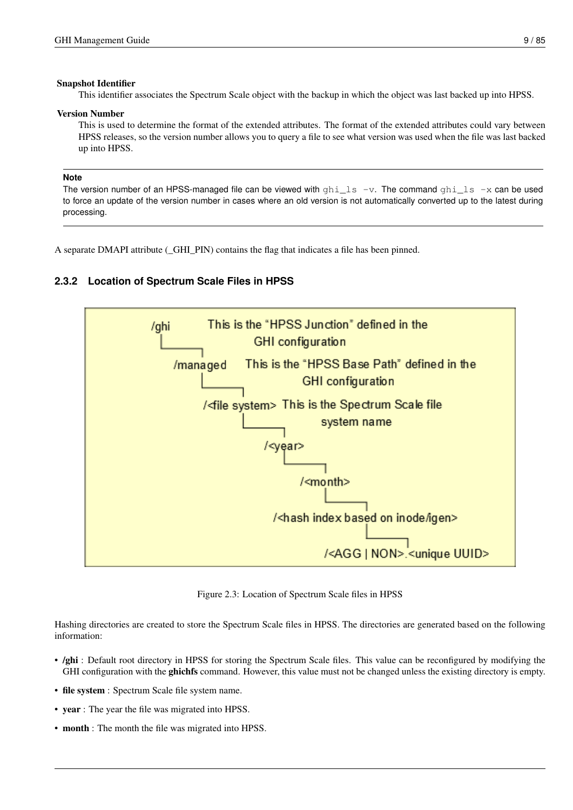#### Snapshot Identifier

This identifier associates the Spectrum Scale object with the backup in which the object was last backed up into HPSS.

#### Version Number

This is used to determine the format of the extended attributes. The format of the extended attributes could vary between HPSS releases, so the version number allows you to query a file to see what version was used when the file was last backed up into HPSS.

#### **Note**

The version number of an HPSS-managed file can be viewed with  $ghi_l$ s -v. The command  $ghi_l$ s -x can be used to force an update of the version number in cases where an old version is not automatically converted up to the latest during processing.

A separate DMAPI attribute (\_GHI\_PIN) contains the flag that indicates a file has been pinned.

### <span id="page-17-0"></span>**2.3.2 Location of Spectrum Scale Files in HPSS**



Figure 2.3: Location of Spectrum Scale files in HPSS

Hashing directories are created to store the Spectrum Scale files in HPSS. The directories are generated based on the following information:

- /ghi : Default root directory in HPSS for storing the Spectrum Scale files. This value can be reconfigured by modifying the GHI configuration with the **ghichfs** command. However, this value must not be changed unless the existing directory is empty.
- file system : Spectrum Scale file system name.
- year : The year the file was migrated into HPSS.
- month : The month the file was migrated into HPSS.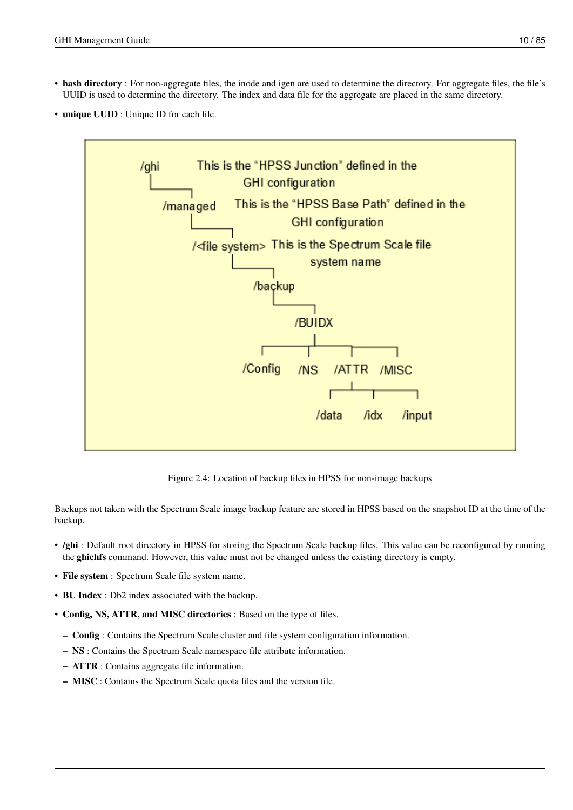- hash directory : For non-aggregate files, the inode and igen are used to determine the directory. For aggregate files, the file's UUID is used to determine the directory. The index and data file for the aggregate are placed in the same directory.
- unique UUID : Unique ID for each file.



Figure 2.4: Location of backup files in HPSS for non-image backups

Backups not taken with the Spectrum Scale image backup feature are stored in HPSS based on the snapshot ID at the time of the backup.

- /ghi : Default root directory in HPSS for storing the Spectrum Scale backup files. This value can be reconfigured by running the ghichfs command. However, this value must not be changed unless the existing directory is empty.
- File system : Spectrum Scale file system name.
- BU Index : Db2 index associated with the backup.
- Config, NS, ATTR, and MISC directories : Based on the type of files.
	- Config : Contains the Spectrum Scale cluster and file system configuration information.
	- NS : Contains the Spectrum Scale namespace file attribute information.
	- ATTR : Contains aggregate file information.
	- MISC : Contains the Spectrum Scale quota files and the version file.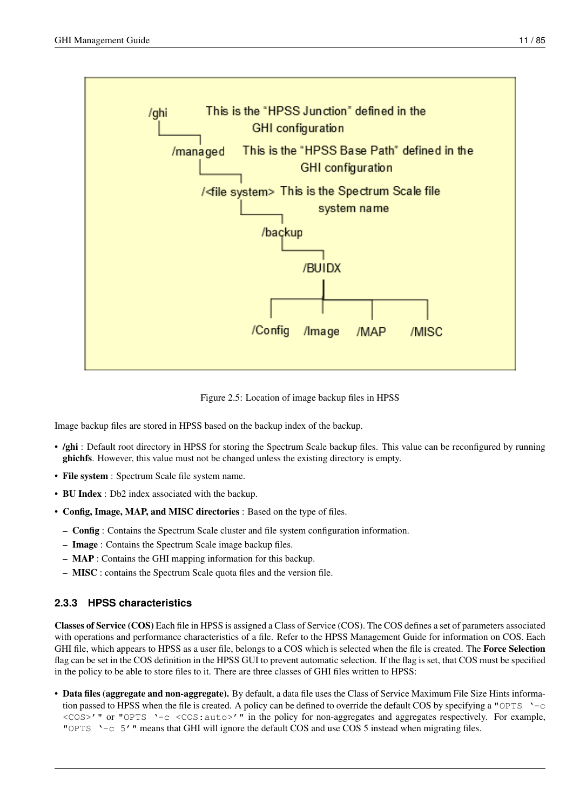

Figure 2.5: Location of image backup files in HPSS

Image backup files are stored in HPSS based on the backup index of the backup.

- /ghi : Default root directory in HPSS for storing the Spectrum Scale backup files. This value can be reconfigured by running ghichfs. However, this value must not be changed unless the existing directory is empty.
- File system : Spectrum Scale file system name.
- BU Index : Db2 index associated with the backup.
- Config, Image, MAP, and MISC directories : Based on the type of files.
	- Config : Contains the Spectrum Scale cluster and file system configuration information.
	- Image : Contains the Spectrum Scale image backup files.
	- MAP : Contains the GHI mapping information for this backup.
	- MISC : contains the Spectrum Scale quota files and the version file.

### <span id="page-19-0"></span>**2.3.3 HPSS characteristics**

Classes of Service (COS) Each file in HPSS is assigned a Class of Service (COS). The COS defines a set of parameters associated with operations and performance characteristics of a file. Refer to the HPSS Management Guide for information on COS. Each GHI file, which appears to HPSS as a user file, belongs to a COS which is selected when the file is created. The **Force Selection** flag can be set in the COS definition in the HPSS GUI to prevent automatic selection. If the flag is set, that COS must be specified in the policy to be able to store files to it. There are three classes of GHI files written to HPSS:

• Data files (aggregate and non-aggregate). By default, a data file uses the Class of Service Maximum File Size Hints information passed to HPSS when the file is created. A policy can be defined to override the default COS by specifying a " $\circ$ PTS  $\rightarrow$ <COS>'" or "OPTS '-c <COS:auto>'" in the policy for non-aggregates and aggregates respectively. For example, "OPTS '-c 5'" means that GHI will ignore the default COS and use COS 5 instead when migrating files.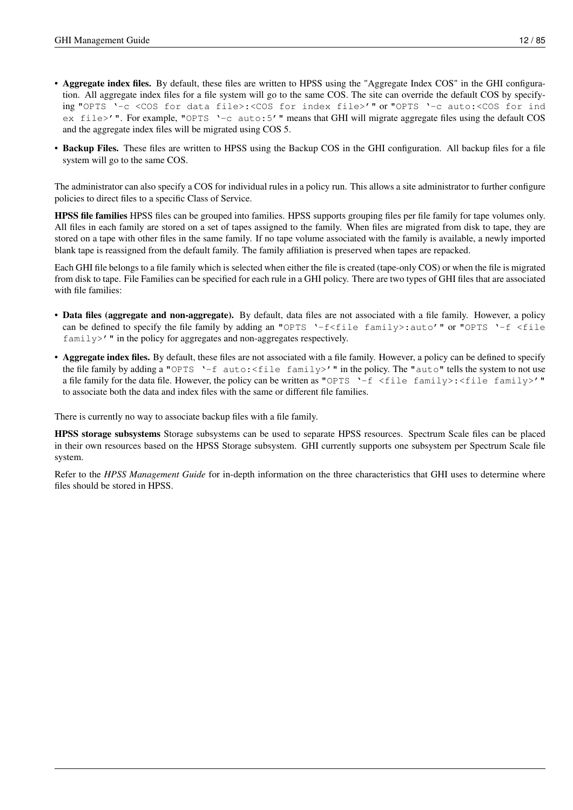- Aggregate index files. By default, these files are written to HPSS using the "Aggregate Index COS" in the GHI configuration. All aggregate index files for a file system will go to the same COS. The site can override the default COS by specifying "OPTS '-c <COS for data file>:<COS for index file>'" or "OPTS '-c auto:<COS for ind ex file>'". For example, "OPTS '-c auto:5'" means that GHI will migrate aggregate files using the default COS and the aggregate index files will be migrated using COS 5.
- Backup Files. These files are written to HPSS using the Backup COS in the GHI configuration. All backup files for a file system will go to the same COS.

The administrator can also specify a COS for individual rules in a policy run. This allows a site administrator to further configure policies to direct files to a specific Class of Service.

HPSS file families HPSS files can be grouped into families. HPSS supports grouping files per file family for tape volumes only. All files in each family are stored on a set of tapes assigned to the family. When files are migrated from disk to tape, they are stored on a tape with other files in the same family. If no tape volume associated with the family is available, a newly imported blank tape is reassigned from the default family. The family affiliation is preserved when tapes are repacked.

Each GHI file belongs to a file family which is selected when either the file is created (tape-only COS) or when the file is migrated from disk to tape. File Families can be specified for each rule in a GHI policy. There are two types of GHI files that are associated with file families:

- Data files (aggregate and non-aggregate). By default, data files are not associated with a file family. However, a policy can be defined to specify the file family by adding an "OPTS '-f<file family>:auto'" or "OPTS '-f <file family>'" in the policy for aggregates and non-aggregates respectively.
- Aggregate index files. By default, these files are not associated with a file family. However, a policy can be defined to specify the file family by adding a "OPTS '-f auto: < file family>' " in the policy. The "auto" tells the system to not use a file family for the data file. However, the policy can be written as "OPTS '-f <file family>:<file family>'" to associate both the data and index files with the same or different file families.

There is currently no way to associate backup files with a file family.

HPSS storage subsystems Storage subsystems can be used to separate HPSS resources. Spectrum Scale files can be placed in their own resources based on the HPSS Storage subsystem. GHI currently supports one subsystem per Spectrum Scale file system.

Refer to the *HPSS Management Guide* for in-depth information on the three characteristics that GHI uses to determine where files should be stored in HPSS.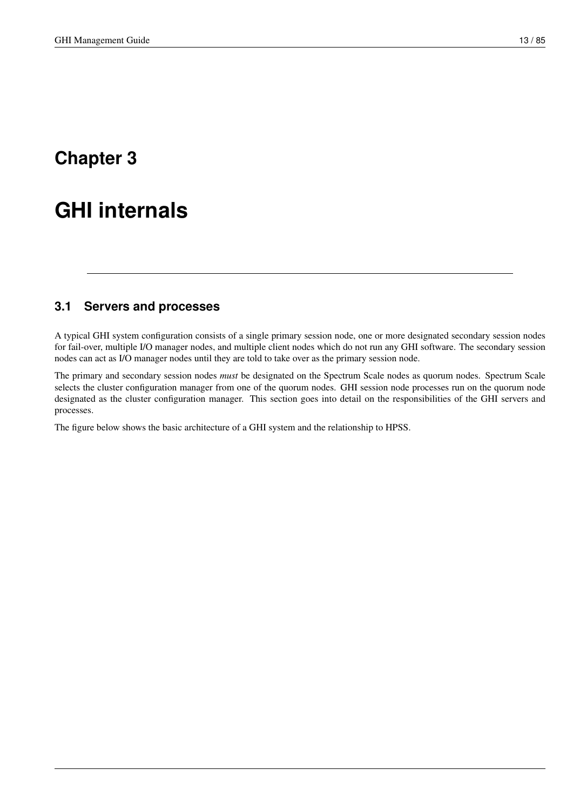# <span id="page-21-0"></span>**Chapter 3**

# **GHI internals**

### <span id="page-21-1"></span>**3.1 Servers and processes**

A typical GHI system configuration consists of a single primary session node, one or more designated secondary session nodes for fail-over, multiple I/O manager nodes, and multiple client nodes which do not run any GHI software. The secondary session nodes can act as I/O manager nodes until they are told to take over as the primary session node.

The primary and secondary session nodes *must* be designated on the Spectrum Scale nodes as quorum nodes. Spectrum Scale selects the cluster configuration manager from one of the quorum nodes. GHI session node processes run on the quorum node designated as the cluster configuration manager. This section goes into detail on the responsibilities of the GHI servers and processes.

The figure below shows the basic architecture of a GHI system and the relationship to HPSS.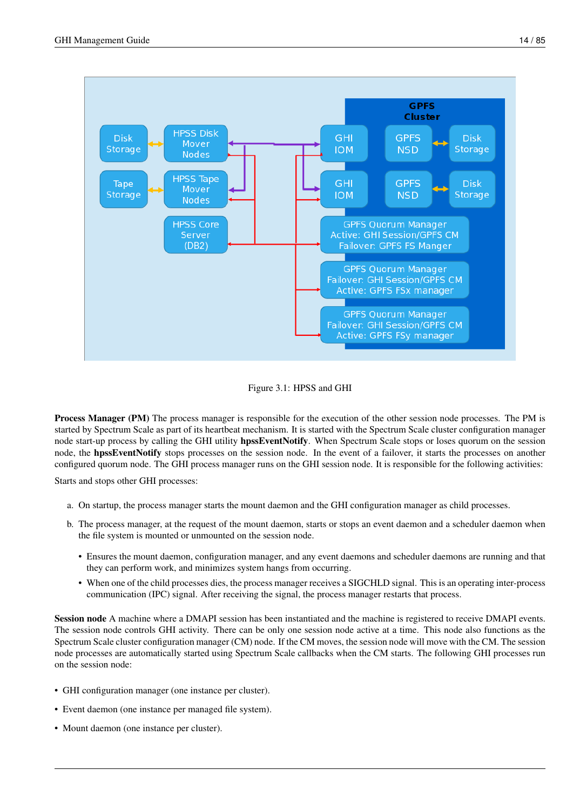

Figure 3.1: HPSS and GHI

Process Manager (PM) The process manager is responsible for the execution of the other session node processes. The PM is started by Spectrum Scale as part of its heartbeat mechanism. It is started with the Spectrum Scale cluster configuration manager node start-up process by calling the GHI utility hpssEventNotify. When Spectrum Scale stops or loses quorum on the session node, the hpssEventNotify stops processes on the session node. In the event of a failover, it starts the processes on another configured quorum node. The GHI process manager runs on the GHI session node. It is responsible for the following activities:

Starts and stops other GHI processes:

- a. On startup, the process manager starts the mount daemon and the GHI configuration manager as child processes.
- b. The process manager, at the request of the mount daemon, starts or stops an event daemon and a scheduler daemon when the file system is mounted or unmounted on the session node.
	- Ensures the mount daemon, configuration manager, and any event daemons and scheduler daemons are running and that they can perform work, and minimizes system hangs from occurring.
	- When one of the child processes dies, the process manager receives a SIGCHLD signal. This is an operating inter-process communication (IPC) signal. After receiving the signal, the process manager restarts that process.

Session node A machine where a DMAPI session has been instantiated and the machine is registered to receive DMAPI events. The session node controls GHI activity. There can be only one session node active at a time. This node also functions as the Spectrum Scale cluster configuration manager (CM) node. If the CM moves, the session node will move with the CM. The session node processes are automatically started using Spectrum Scale callbacks when the CM starts. The following GHI processes run on the session node:

- GHI configuration manager (one instance per cluster).
- Event daemon (one instance per managed file system).
- Mount daemon (one instance per cluster).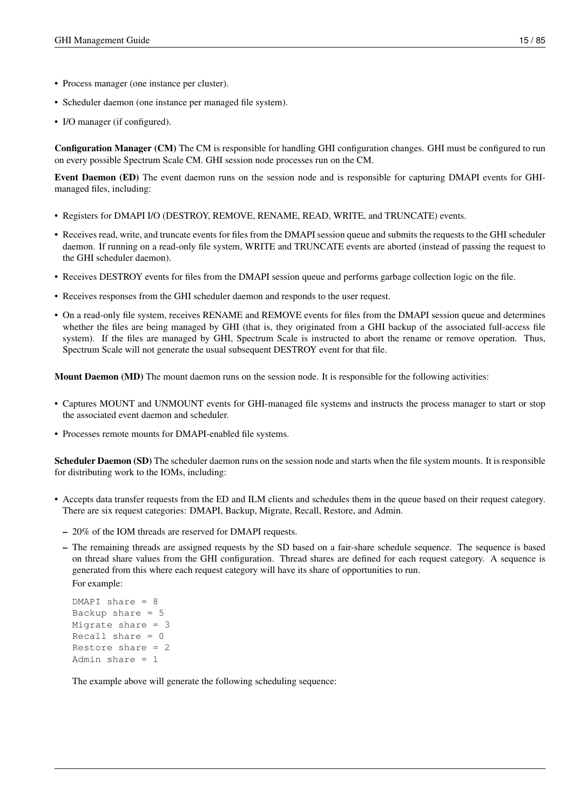- Process manager (one instance per cluster).
- Scheduler daemon (one instance per managed file system).
- I/O manager (if configured).

Configuration Manager (CM) The CM is responsible for handling GHI configuration changes. GHI must be configured to run on every possible Spectrum Scale CM. GHI session node processes run on the CM.

Event Daemon (ED) The event daemon runs on the session node and is responsible for capturing DMAPI events for GHImanaged files, including:

- Registers for DMAPI I/O (DESTROY, REMOVE, RENAME, READ, WRITE, and TRUNCATE) events.
- Receives read, write, and truncate events for files from the DMAPI session queue and submits the requests to the GHI scheduler daemon. If running on a read-only file system, WRITE and TRUNCATE events are aborted (instead of passing the request to the GHI scheduler daemon).
- Receives DESTROY events for files from the DMAPI session queue and performs garbage collection logic on the file.
- Receives responses from the GHI scheduler daemon and responds to the user request.
- On a read-only file system, receives RENAME and REMOVE events for files from the DMAPI session queue and determines whether the files are being managed by GHI (that is, they originated from a GHI backup of the associated full-access file system). If the files are managed by GHI, Spectrum Scale is instructed to abort the rename or remove operation. Thus, Spectrum Scale will not generate the usual subsequent DESTROY event for that file.

Mount Daemon (MD) The mount daemon runs on the session node. It is responsible for the following activities:

- Captures MOUNT and UNMOUNT events for GHI-managed file systems and instructs the process manager to start or stop the associated event daemon and scheduler.
- Processes remote mounts for DMAPI-enabled file systems.

Scheduler Daemon (SD) The scheduler daemon runs on the session node and starts when the file system mounts. It is responsible for distributing work to the IOMs, including:

- Accepts data transfer requests from the ED and ILM clients and schedules them in the queue based on their request category. There are six request categories: DMAPI, Backup, Migrate, Recall, Restore, and Admin.
	- 20% of the IOM threads are reserved for DMAPI requests.
	- The remaining threads are assigned requests by the SD based on a fair-share schedule sequence. The sequence is based on thread share values from the GHI configuration. Thread shares are defined for each request category. A sequence is generated from this where each request category will have its share of opportunities to run.

```
For example:
```

```
DMAPI share = 8Backup share = 5
Migrate share = 3
Recall share = 0
Restore share = 2
Admin share = 1
```
The example above will generate the following scheduling sequence: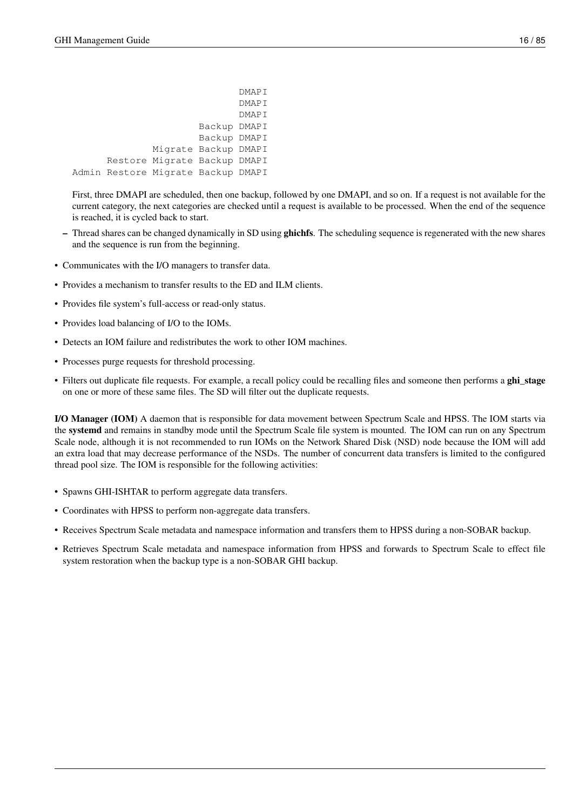```
DMAPI
                              DMAPI
                              DMAPI
                       Backup DMAPI
                       Backup DMAPI
              Migrate Backup DMAPI
      Restore Migrate Backup DMAPI
Admin Restore Migrate Backup DMAPI
```
First, three DMAPI are scheduled, then one backup, followed by one DMAPI, and so on. If a request is not available for the current category, the next categories are checked until a request is available to be processed. When the end of the sequence is reached, it is cycled back to start.

- Thread shares can be changed dynamically in SD using ghichfs. The scheduling sequence is regenerated with the new shares and the sequence is run from the beginning.
- Communicates with the I/O managers to transfer data.
- Provides a mechanism to transfer results to the ED and ILM clients.
- Provides file system's full-access or read-only status.
- Provides load balancing of I/O to the IOMs.
- Detects an IOM failure and redistributes the work to other IOM machines.
- Processes purge requests for threshold processing.
- Filters out duplicate file requests. For example, a recall policy could be recalling files and someone then performs a ghi\_stage on one or more of these same files. The SD will filter out the duplicate requests.

I/O Manager (IOM) A daemon that is responsible for data movement between Spectrum Scale and HPSS. The IOM starts via the systemd and remains in standby mode until the Spectrum Scale file system is mounted. The IOM can run on any Spectrum Scale node, although it is not recommended to run IOMs on the Network Shared Disk (NSD) node because the IOM will add an extra load that may decrease performance of the NSDs. The number of concurrent data transfers is limited to the configured thread pool size. The IOM is responsible for the following activities:

- Spawns GHI-ISHTAR to perform aggregate data transfers.
- Coordinates with HPSS to perform non-aggregate data transfers.
- Receives Spectrum Scale metadata and namespace information and transfers them to HPSS during a non-SOBAR backup.
- Retrieves Spectrum Scale metadata and namespace information from HPSS and forwards to Spectrum Scale to effect file system restoration when the backup type is a non-SOBAR GHI backup.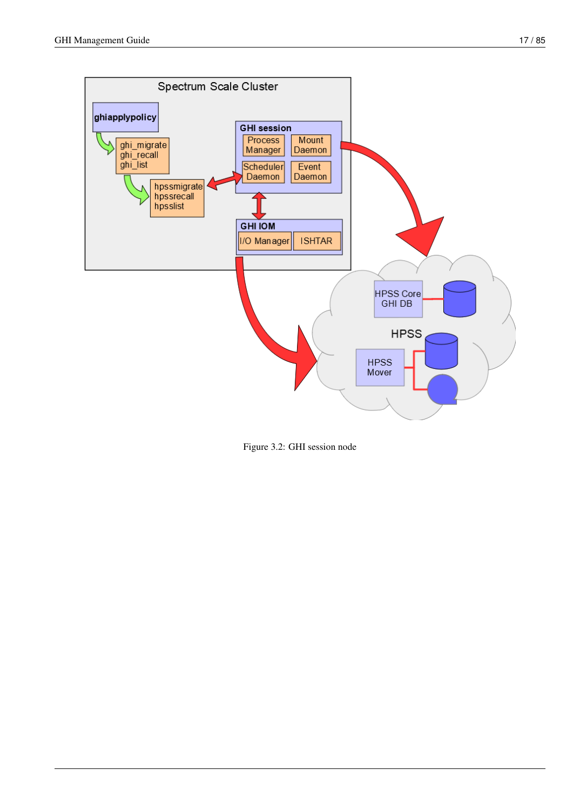

Figure 3.2: GHI session node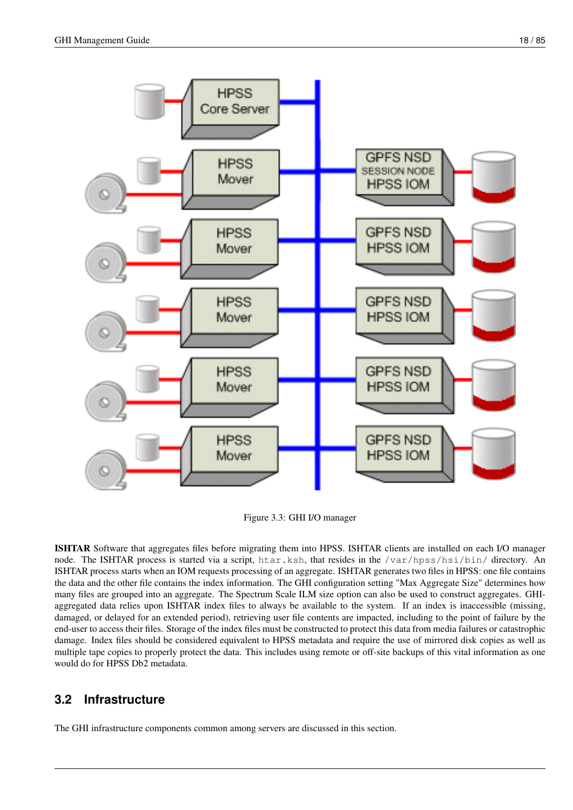

Figure 3.3: GHI I/O manager

ISHTAR Software that aggregates files before migrating them into HPSS. ISHTAR clients are installed on each I/O manager node. The ISHTAR process is started via a script, htar.ksh, that resides in the /var/hpss/hsi/bin/ directory. An ISHTAR process starts when an IOM requests processing of an aggregate. ISHTAR generates two files in HPSS: one file contains the data and the other file contains the index information. The GHI configuration setting "Max Aggregate Size" determines how many files are grouped into an aggregate. The Spectrum Scale ILM size option can also be used to construct aggregates. GHIaggregated data relies upon ISHTAR index files to always be available to the system. If an index is inaccessible (missing, damaged, or delayed for an extended period), retrieving user file contents are impacted, including to the point of failure by the end-user to access their files. Storage of the index files must be constructed to protect this data from media failures or catastrophic damage. Index files should be considered equivalent to HPSS metadata and require the use of mirrored disk copies as well as multiple tape copies to properly protect the data. This includes using remote or off-site backups of this vital information as one would do for HPSS Db2 metadata.

## <span id="page-26-0"></span>**3.2 Infrastructure**

The GHI infrastructure components common among servers are discussed in this section.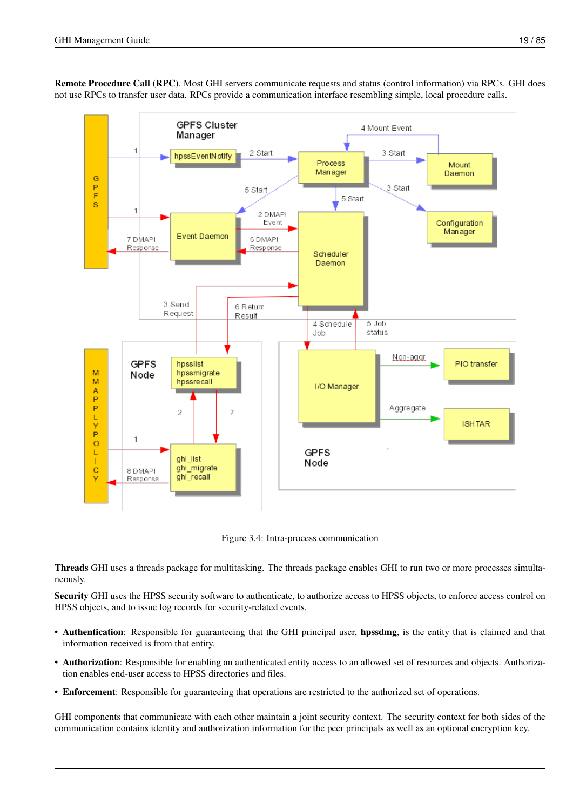

Remote Procedure Call (RPC). Most GHI servers communicate requests and status (control information) via RPCs. GHI does not use RPCs to transfer user data. RPCs provide a communication interface resembling simple, local procedure calls.

Figure 3.4: Intra-process communication

Threads GHI uses a threads package for multitasking. The threads package enables GHI to run two or more processes simultaneously.

Security GHI uses the HPSS security software to authenticate, to authorize access to HPSS objects, to enforce access control on HPSS objects, and to issue log records for security-related events.

- Authentication: Responsible for guaranteeing that the GHI principal user, hpssdmg, is the entity that is claimed and that information received is from that entity.
- Authorization: Responsible for enabling an authenticated entity access to an allowed set of resources and objects. Authorization enables end-user access to HPSS directories and files.
- Enforcement: Responsible for guaranteeing that operations are restricted to the authorized set of operations.

GHI components that communicate with each other maintain a joint security context. The security context for both sides of the communication contains identity and authorization information for the peer principals as well as an optional encryption key.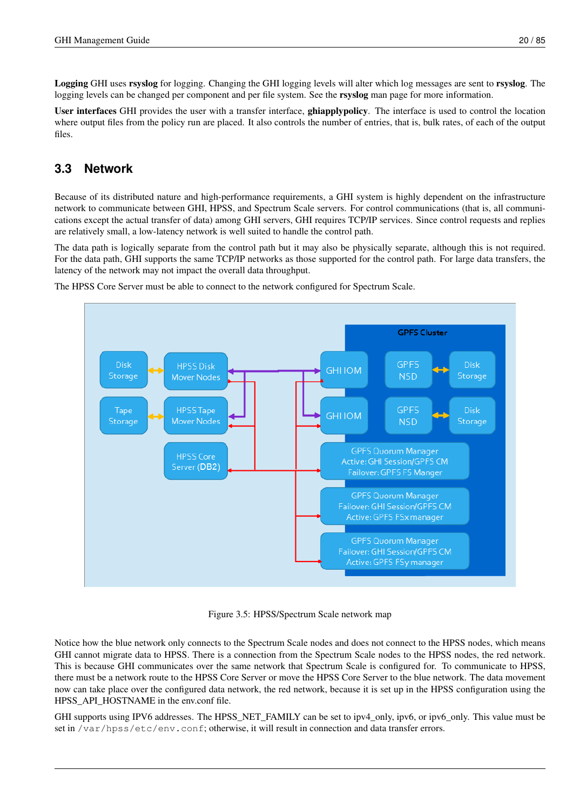Logging GHI uses rsyslog for logging. Changing the GHI logging levels will alter which log messages are sent to rsyslog. The logging levels can be changed per component and per file system. See the rsyslog man page for more information.

User interfaces GHI provides the user with a transfer interface, ghiapplypolicy. The interface is used to control the location where output files from the policy run are placed. It also controls the number of entries, that is, bulk rates, of each of the output files.

## <span id="page-28-0"></span>**3.3 Network**

Because of its distributed nature and high-performance requirements, a GHI system is highly dependent on the infrastructure network to communicate between GHI, HPSS, and Spectrum Scale servers. For control communications (that is, all communications except the actual transfer of data) among GHI servers, GHI requires TCP/IP services. Since control requests and replies are relatively small, a low-latency network is well suited to handle the control path.

The data path is logically separate from the control path but it may also be physically separate, although this is not required. For the data path, GHI supports the same TCP/IP networks as those supported for the control path. For large data transfers, the latency of the network may not impact the overall data throughput.

The HPSS Core Server must be able to connect to the network configured for Spectrum Scale.



Figure 3.5: HPSS/Spectrum Scale network map

Notice how the blue network only connects to the Spectrum Scale nodes and does not connect to the HPSS nodes, which means GHI cannot migrate data to HPSS. There is a connection from the Spectrum Scale nodes to the HPSS nodes, the red network. This is because GHI communicates over the same network that Spectrum Scale is configured for. To communicate to HPSS, there must be a network route to the HPSS Core Server or move the HPSS Core Server to the blue network. The data movement now can take place over the configured data network, the red network, because it is set up in the HPSS configuration using the HPSS API HOSTNAME in the env.conf file.

GHI supports using IPV6 addresses. The HPSS\_NET\_FAMILY can be set to ipv4\_only, ipv6, or ipv6\_only. This value must be set in /var/hpss/etc/env.conf; otherwise, it will result in connection and data transfer errors.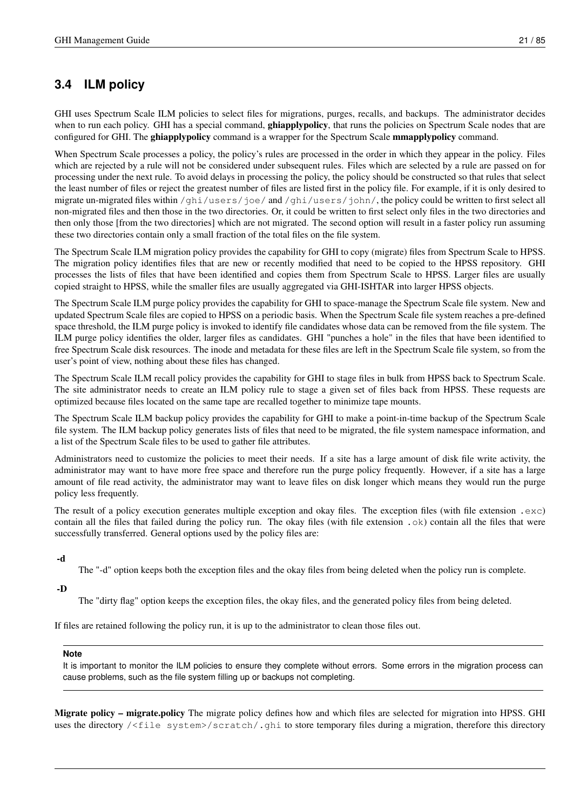# <span id="page-29-0"></span>**3.4 ILM policy**

GHI uses Spectrum Scale ILM policies to select files for migrations, purges, recalls, and backups. The administrator decides when to run each policy. GHI has a special command, **ghiapplypolicy**, that runs the policies on Spectrum Scale nodes that are configured for GHI. The ghiapplypolicy command is a wrapper for the Spectrum Scale mmapplypolicy command.

When Spectrum Scale processes a policy, the policy's rules are processed in the order in which they appear in the policy. Files which are rejected by a rule will not be considered under subsequent rules. Files which are selected by a rule are passed on for processing under the next rule. To avoid delays in processing the policy, the policy should be constructed so that rules that select the least number of files or reject the greatest number of files are listed first in the policy file. For example, if it is only desired to migrate un-migrated files within /ghi/users/joe/ and /ghi/users/john/, the policy could be written to first select all non-migrated files and then those in the two directories. Or, it could be written to first select only files in the two directories and then only those [from the two directories] which are not migrated. The second option will result in a faster policy run assuming these two directories contain only a small fraction of the total files on the file system.

The Spectrum Scale ILM migration policy provides the capability for GHI to copy (migrate) files from Spectrum Scale to HPSS. The migration policy identifies files that are new or recently modified that need to be copied to the HPSS repository. GHI processes the lists of files that have been identified and copies them from Spectrum Scale to HPSS. Larger files are usually copied straight to HPSS, while the smaller files are usually aggregated via GHI-ISHTAR into larger HPSS objects.

The Spectrum Scale ILM purge policy provides the capability for GHI to space-manage the Spectrum Scale file system. New and updated Spectrum Scale files are copied to HPSS on a periodic basis. When the Spectrum Scale file system reaches a pre-defined space threshold, the ILM purge policy is invoked to identify file candidates whose data can be removed from the file system. The ILM purge policy identifies the older, larger files as candidates. GHI "punches a hole" in the files that have been identified to free Spectrum Scale disk resources. The inode and metadata for these files are left in the Spectrum Scale file system, so from the user's point of view, nothing about these files has changed.

The Spectrum Scale ILM recall policy provides the capability for GHI to stage files in bulk from HPSS back to Spectrum Scale. The site administrator needs to create an ILM policy rule to stage a given set of files back from HPSS. These requests are optimized because files located on the same tape are recalled together to minimize tape mounts.

The Spectrum Scale ILM backup policy provides the capability for GHI to make a point-in-time backup of the Spectrum Scale file system. The ILM backup policy generates lists of files that need to be migrated, the file system namespace information, and a list of the Spectrum Scale files to be used to gather file attributes.

Administrators need to customize the policies to meet their needs. If a site has a large amount of disk file write activity, the administrator may want to have more free space and therefore run the purge policy frequently. However, if a site has a large amount of file read activity, the administrator may want to leave files on disk longer which means they would run the purge policy less frequently.

The result of a policy execution generates multiple exception and okay files. The exception files (with file extension .exc) contain all the files that failed during the policy run. The okay files (with file extension  $\cdot \circ k$ ) contain all the files that were successfully transferred. General options used by the policy files are:

### -d

The "-d" option keeps both the exception files and the okay files from being deleted when the policy run is complete.

### -D

The "dirty flag" option keeps the exception files, the okay files, and the generated policy files from being deleted.

If files are retained following the policy run, it is up to the administrator to clean those files out.

### **Note**

It is important to monitor the ILM policies to ensure they complete without errors. Some errors in the migration process can cause problems, such as the file system filling up or backups not completing.

Migrate policy – migrate.policy The migrate policy defines how and which files are selected for migration into HPSS. GHI uses the directory /<file system>/scratch/.ghi to store temporary files during a migration, therefore this directory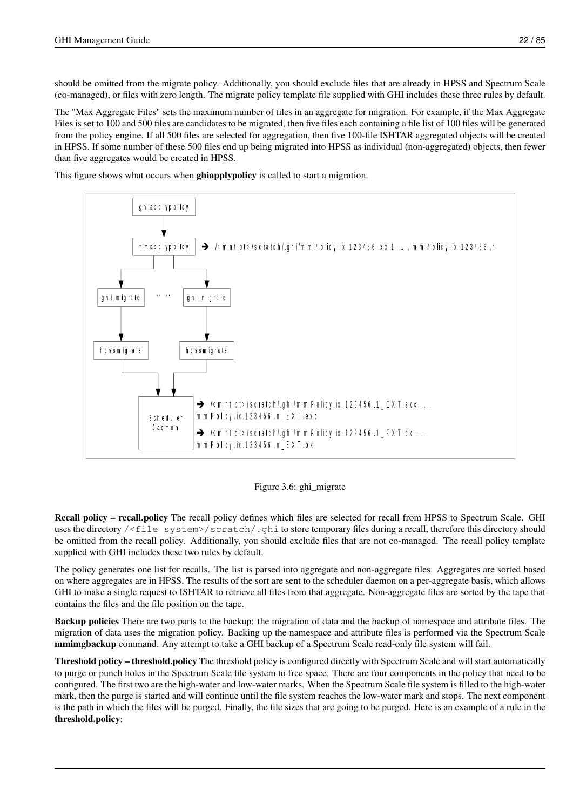should be omitted from the migrate policy. Additionally, you should exclude files that are already in HPSS and Spectrum Scale (co-managed), or files with zero length. The migrate policy template file supplied with GHI includes these three rules by default.

The "Max Aggregate Files" sets the maximum number of files in an aggregate for migration. For example, if the Max Aggregate Files is set to 100 and 500 files are candidates to be migrated, then five files each containing a file list of 100 files will be generated from the policy engine. If all 500 files are selected for aggregation, then five 100-file ISHTAR aggregated objects will be created in HPSS. If some number of these 500 files end up being migrated into HPSS as individual (non-aggregated) objects, then fewer than five aggregates would be created in HPSS.

This figure shows what occurs when **ghiapplypolicy** is called to start a migration.



Figure 3.6: ghi\_migrate

Recall policy – recall.policy The recall policy defines which files are selected for recall from HPSS to Spectrum Scale. GHI uses the directory /<file system>/scratch/.ghi to store temporary files during a recall, therefore this directory should be omitted from the recall policy. Additionally, you should exclude files that are not co-managed. The recall policy template supplied with GHI includes these two rules by default.

The policy generates one list for recalls. The list is parsed into aggregate and non-aggregate files. Aggregates are sorted based on where aggregates are in HPSS. The results of the sort are sent to the scheduler daemon on a per-aggregate basis, which allows GHI to make a single request to ISHTAR to retrieve all files from that aggregate. Non-aggregate files are sorted by the tape that contains the files and the file position on the tape.

Backup policies There are two parts to the backup: the migration of data and the backup of namespace and attribute files. The migration of data uses the migration policy. Backing up the namespace and attribute files is performed via the Spectrum Scale mmimgbackup command. Any attempt to take a GHI backup of a Spectrum Scale read-only file system will fail.

Threshold policy – threshold.policy The threshold policy is configured directly with Spectrum Scale and will start automatically to purge or punch holes in the Spectrum Scale file system to free space. There are four components in the policy that need to be configured. The first two are the high-water and low-water marks. When the Spectrum Scale file system is filled to the high-water mark, then the purge is started and will continue until the file system reaches the low-water mark and stops. The next component is the path in which the files will be purged. Finally, the file sizes that are going to be purged. Here is an example of a rule in the threshold.policy: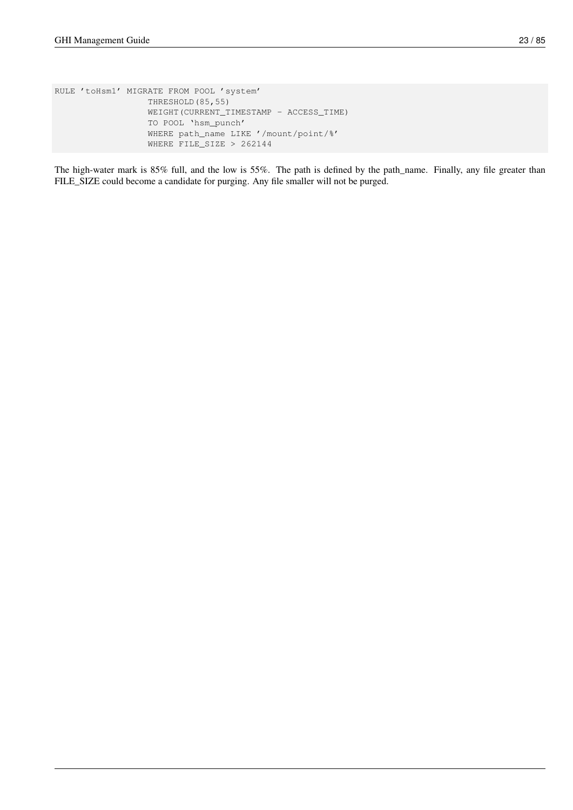RULE 'toHsm1' MIGRATE FROM POOL 'system' THRESHOLD(85,55) WEIGHT(CURRENT\_TIMESTAMP - ACCESS\_TIME) TO POOL 'hsm\_punch' WHERE path\_name LIKE '/mount/point/%' WHERE FILE\_SIZE > 262144

The high-water mark is 85% full, and the low is 55%. The path is defined by the path\_name. Finally, any file greater than FILE\_SIZE could become a candidate for purging. Any file smaller will not be purged.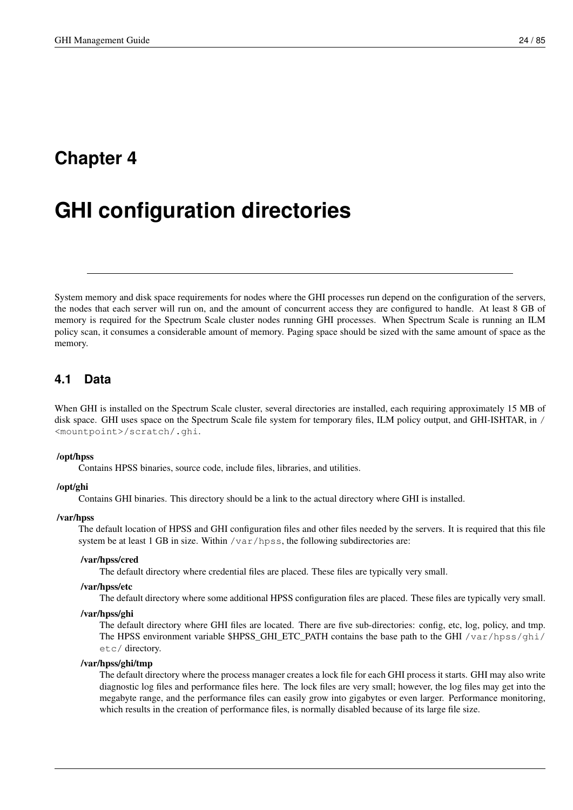# <span id="page-32-0"></span>**Chapter 4**

# **GHI configuration directories**

System memory and disk space requirements for nodes where the GHI processes run depend on the configuration of the servers, the nodes that each server will run on, and the amount of concurrent access they are configured to handle. At least 8 GB of memory is required for the Spectrum Scale cluster nodes running GHI processes. When Spectrum Scale is running an ILM policy scan, it consumes a considerable amount of memory. Paging space should be sized with the same amount of space as the memory.

## <span id="page-32-1"></span>**4.1 Data**

When GHI is installed on the Spectrum Scale cluster, several directories are installed, each requiring approximately 15 MB of disk space. GHI uses space on the Spectrum Scale file system for temporary files, ILM policy output, and GHI-ISHTAR, in / <mountpoint>/scratch/.ghi.

### /opt/hpss

Contains HPSS binaries, source code, include files, libraries, and utilities.

### /opt/ghi

Contains GHI binaries. This directory should be a link to the actual directory where GHI is installed.

### /var/hpss

The default location of HPSS and GHI configuration files and other files needed by the servers. It is required that this file system be at least 1 GB in size. Within /var/hpss, the following subdirectories are:

### /var/hpss/cred

The default directory where credential files are placed. These files are typically very small.

### /var/hpss/etc

The default directory where some additional HPSS configuration files are placed. These files are typically very small.

### /var/hpss/ghi

The default directory where GHI files are located. There are five sub-directories: config, etc, log, policy, and tmp. The HPSS environment variable \$HPSS\_GHI\_ETC\_PATH contains the base path to the GHI /var/hpss/ghi/ etc/ directory.

### /var/hpss/ghi/tmp

The default directory where the process manager creates a lock file for each GHI process it starts. GHI may also write diagnostic log files and performance files here. The lock files are very small; however, the log files may get into the megabyte range, and the performance files can easily grow into gigabytes or even larger. Performance monitoring, which results in the creation of performance files, is normally disabled because of its large file size.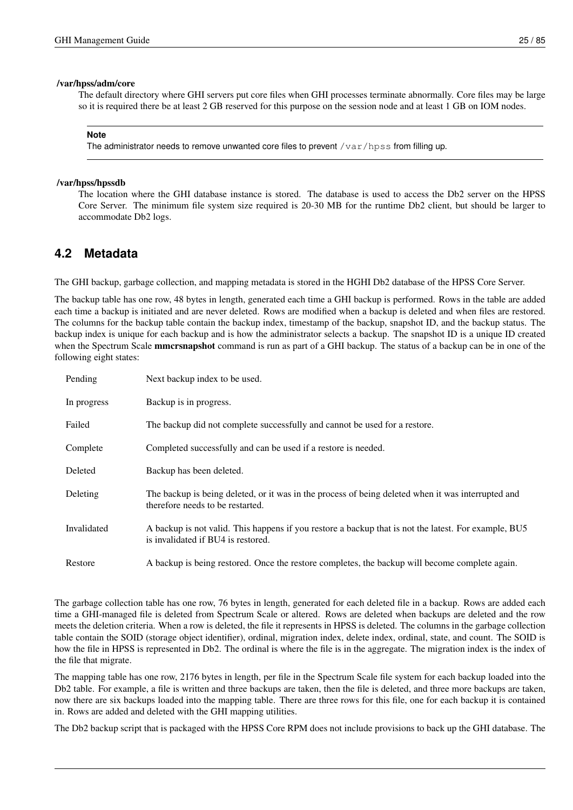#### /var/hpss/adm/core

The default directory where GHI servers put core files when GHI processes terminate abnormally. Core files may be large so it is required there be at least 2 GB reserved for this purpose on the session node and at least 1 GB on IOM nodes.

#### **Note**

The administrator needs to remove unwanted core files to prevent /var/hpss from filling up.

#### /var/hpss/hpssdb

The location where the GHI database instance is stored. The database is used to access the Db2 server on the HPSS Core Server. The minimum file system size required is 20-30 MB for the runtime Db2 client, but should be larger to accommodate Db2 logs.

### <span id="page-33-0"></span>**4.2 Metadata**

The GHI backup, garbage collection, and mapping metadata is stored in the HGHI Db2 database of the HPSS Core Server.

The backup table has one row, 48 bytes in length, generated each time a GHI backup is performed. Rows in the table are added each time a backup is initiated and are never deleted. Rows are modified when a backup is deleted and when files are restored. The columns for the backup table contain the backup index, timestamp of the backup, snapshot ID, and the backup status. The backup index is unique for each backup and is how the administrator selects a backup. The snapshot ID is a unique ID created when the Spectrum Scale **mmcrsnapshot** command is run as part of a GHI backup. The status of a backup can be in one of the following eight states:

| Pending     | Next backup index to be used.                                                                                                              |
|-------------|--------------------------------------------------------------------------------------------------------------------------------------------|
| In progress | Backup is in progress.                                                                                                                     |
| Failed      | The backup did not complete successfully and cannot be used for a restore.                                                                 |
| Complete    | Completed successfully and can be used if a restore is needed.                                                                             |
| Deleted     | Backup has been deleted.                                                                                                                   |
| Deleting    | The backup is being deleted, or it was in the process of being deleted when it was interrupted and<br>therefore needs to be restarted.     |
| Invalidated | A backup is not valid. This happens if you restore a backup that is not the latest. For example, BU5<br>is invalidated if BU4 is restored. |
| Restore     | A backup is being restored. Once the restore completes, the backup will become complete again.                                             |

The garbage collection table has one row, 76 bytes in length, generated for each deleted file in a backup. Rows are added each time a GHI-managed file is deleted from Spectrum Scale or altered. Rows are deleted when backups are deleted and the row meets the deletion criteria. When a row is deleted, the file it represents in HPSS is deleted. The columns in the garbage collection table contain the SOID (storage object identifier), ordinal, migration index, delete index, ordinal, state, and count. The SOID is how the file in HPSS is represented in Db2. The ordinal is where the file is in the aggregate. The migration index is the index of the file that migrate.

The mapping table has one row, 2176 bytes in length, per file in the Spectrum Scale file system for each backup loaded into the Db2 table. For example, a file is written and three backups are taken, then the file is deleted, and three more backups are taken, now there are six backups loaded into the mapping table. There are three rows for this file, one for each backup it is contained in. Rows are added and deleted with the GHI mapping utilities.

The Db2 backup script that is packaged with the HPSS Core RPM does not include provisions to back up the GHI database. The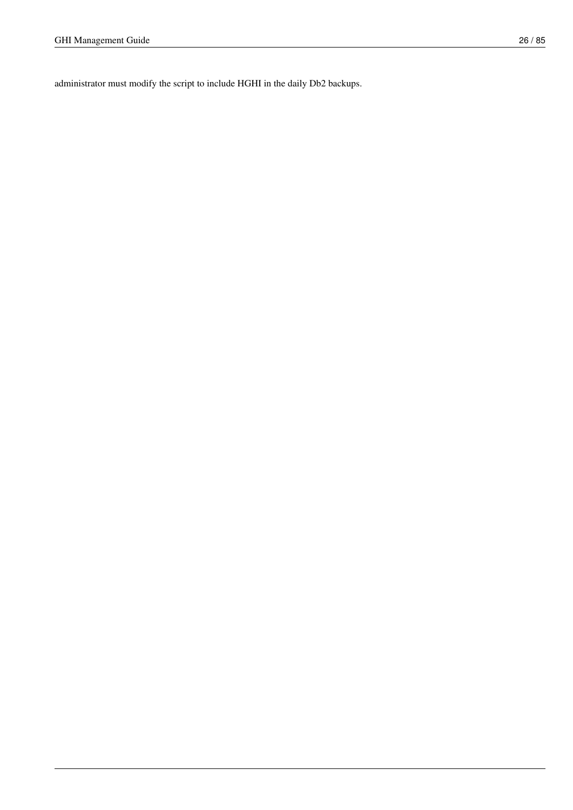administrator must modify the script to include HGHI in the daily Db2 backups.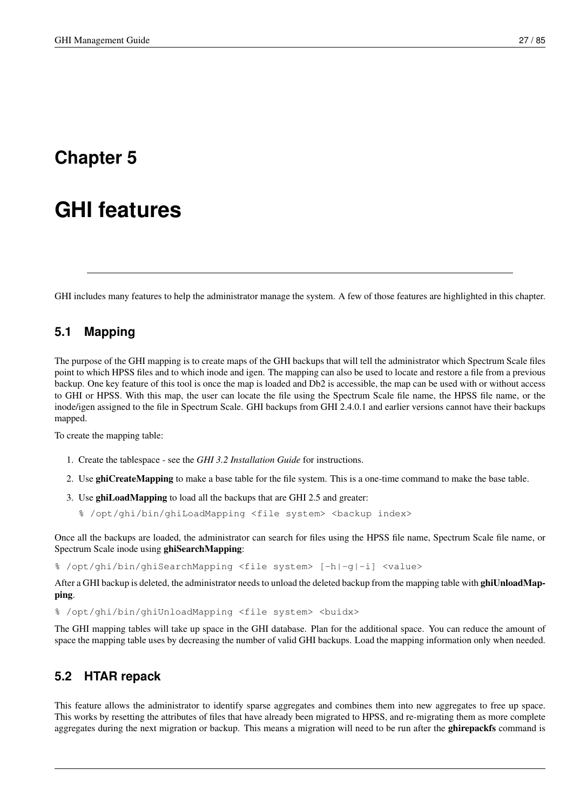# <span id="page-35-0"></span>**Chapter 5**

# **GHI features**

GHI includes many features to help the administrator manage the system. A few of those features are highlighted in this chapter.

## <span id="page-35-1"></span>**5.1 Mapping**

The purpose of the GHI mapping is to create maps of the GHI backups that will tell the administrator which Spectrum Scale files point to which HPSS files and to which inode and igen. The mapping can also be used to locate and restore a file from a previous backup. One key feature of this tool is once the map is loaded and Db2 is accessible, the map can be used with or without access to GHI or HPSS. With this map, the user can locate the file using the Spectrum Scale file name, the HPSS file name, or the inode/igen assigned to the file in Spectrum Scale. GHI backups from GHI 2.4.0.1 and earlier versions cannot have their backups mapped.

To create the mapping table:

- 1. Create the tablespace see the *GHI 3.2 Installation Guide* for instructions.
- 2. Use ghiCreateMapping to make a base table for the file system. This is a one-time command to make the base table.
- 3. Use ghiLoadMapping to load all the backups that are GHI 2.5 and greater:
	- % /opt/ghi/bin/ghiLoadMapping <file system> <br/> <br/>backup index>

Once all the backups are loaded, the administrator can search for files using the HPSS file name, Spectrum Scale file name, or Spectrum Scale inode using ghiSearchMapping:

% /opt/ghi/bin/ghiSearchMapping <file system> [-h|-g|-i] <value>

After a GHI backup is deleted, the administrator needs to unload the deleted backup from the mapping table with **ghiUnloadMap**ping.

% /opt/ghi/bin/ghiUnloadMapping <file system> <br/> <br/>buidx>

The GHI mapping tables will take up space in the GHI database. Plan for the additional space. You can reduce the amount of space the mapping table uses by decreasing the number of valid GHI backups. Load the mapping information only when needed.

## <span id="page-35-2"></span>**5.2 HTAR repack**

This feature allows the administrator to identify sparse aggregates and combines them into new aggregates to free up space. This works by resetting the attributes of files that have already been migrated to HPSS, and re-migrating them as more complete aggregates during the next migration or backup. This means a migration will need to be run after the **ghirepackfs** command is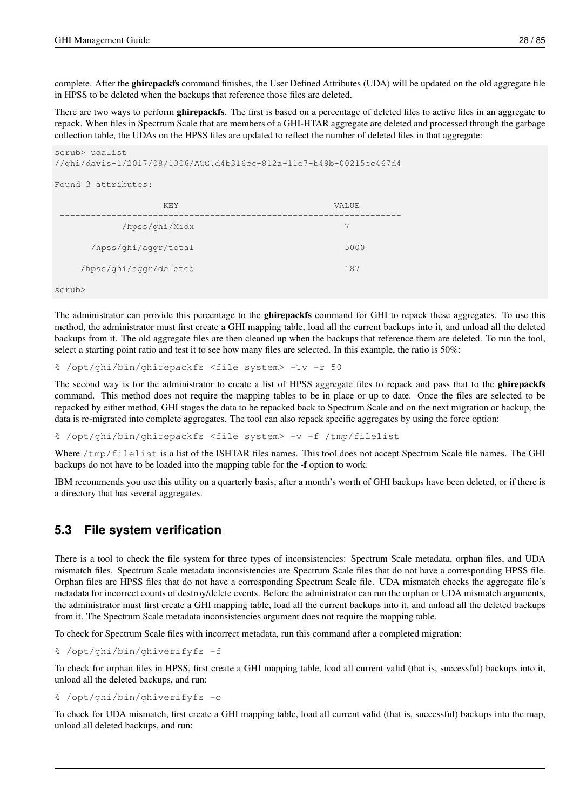complete. After the **ghirepackfs** command finishes, the User Defined Attributes (UDA) will be updated on the old aggregate file in HPSS to be deleted when the backups that reference those files are deleted.

There are two ways to perform **ghirepackfs**. The first is based on a percentage of deleted files to active files in an aggregate to repack. When files in Spectrum Scale that are members of a GHI-HTAR aggregate are deleted and processed through the garbage collection table, the UDAs on the HPSS files are updated to reflect the number of deleted files in that aggregate:

```
scrub> udalist
//ghi/davis-1/2017/08/1306/AGG.d4b316cc-812a-11e7-b49b-00215ec467d4
Found 3 attributes:
              KEY VALUE
------------------------------------------------------------------
         /hpss/ghi/Midx 7
    /hpss/ghi/aggr/total 5000
   /hpss/ghi/aggr/deleted 187
scrub>
```
The administrator can provide this percentage to the **ghirepackfs** command for GHI to repack these aggregates. To use this method, the administrator must first create a GHI mapping table, load all the current backups into it, and unload all the deleted backups from it. The old aggregate files are then cleaned up when the backups that reference them are deleted. To run the tool, select a starting point ratio and test it to see how many files are selected. In this example, the ratio is 50%:

% /opt/ghi/bin/ghirepackfs <file system> -Tv -r 50

The second way is for the administrator to create a list of HPSS aggregate files to repack and pass that to the ghirepackfs command. This method does not require the mapping tables to be in place or up to date. Once the files are selected to be repacked by either method, GHI stages the data to be repacked back to Spectrum Scale and on the next migration or backup, the data is re-migrated into complete aggregates. The tool can also repack specific aggregates by using the force option:

% /opt/ghi/bin/ghirepackfs <file system> -v -f /tmp/filelist

Where /tmp/filelist is a list of the ISHTAR files names. This tool does not accept Spectrum Scale file names. The GHI backups do not have to be loaded into the mapping table for the -f option to work.

IBM recommends you use this utility on a quarterly basis, after a month's worth of GHI backups have been deleted, or if there is a directory that has several aggregates.

### **5.3 File system verification**

There is a tool to check the file system for three types of inconsistencies: Spectrum Scale metadata, orphan files, and UDA mismatch files. Spectrum Scale metadata inconsistencies are Spectrum Scale files that do not have a corresponding HPSS file. Orphan files are HPSS files that do not have a corresponding Spectrum Scale file. UDA mismatch checks the aggregate file's metadata for incorrect counts of destroy/delete events. Before the administrator can run the orphan or UDA mismatch arguments, the administrator must first create a GHI mapping table, load all the current backups into it, and unload all the deleted backups from it. The Spectrum Scale metadata inconsistencies argument does not require the mapping table.

To check for Spectrum Scale files with incorrect metadata, run this command after a completed migration:

% /opt/ghi/bin/ghiverifyfs -f

To check for orphan files in HPSS, first create a GHI mapping table, load all current valid (that is, successful) backups into it, unload all the deleted backups, and run:

% /opt/ghi/bin/ghiverifyfs -o

To check for UDA mismatch, first create a GHI mapping table, load all current valid (that is, successful) backups into the map, unload all deleted backups, and run: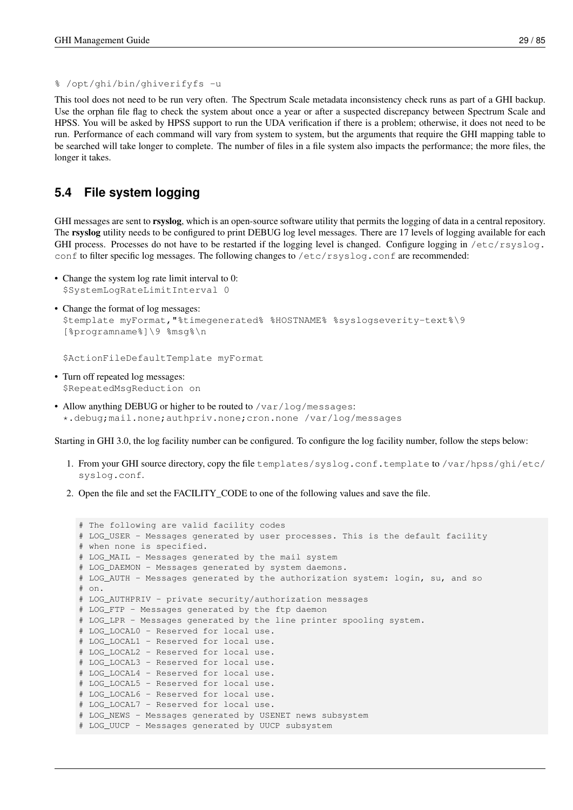```
% /opt/ghi/bin/ghiverifyfs -u
```
This tool does not need to be run very often. The Spectrum Scale metadata inconsistency check runs as part of a GHI backup. Use the orphan file flag to check the system about once a year or after a suspected discrepancy between Spectrum Scale and HPSS. You will be asked by HPSS support to run the UDA verification if there is a problem; otherwise, it does not need to be run. Performance of each command will vary from system to system, but the arguments that require the GHI mapping table to be searched will take longer to complete. The number of files in a file system also impacts the performance; the more files, the longer it takes.

### **5.4 File system logging**

GHI messages are sent to rsyslog, which is an open-source software utility that permits the logging of data in a central repository. The rsyslog utility needs to be configured to print DEBUG log level messages. There are 17 levels of logging available for each GHI process. Processes do not have to be restarted if the logging level is changed. Configure logging in  $/etc/rsyslog$ . conf to filter specific log messages. The following changes to /etc/rsyslog.conf are recommended:

- Change the system log rate limit interval to 0: \$SystemLogRateLimitInterval 0
- Change the format of log messages: \$template myFormat,"%timegenerated% %HOSTNAME% %syslogseverity-text%\9 [%programname%]\9 %msg%\n

\$ActionFileDefaultTemplate myFormat

- Turn off repeated log messages: \$RepeatedMsgReduction on
- Allow anything DEBUG or higher to be routed to /var/log/messages: \*.debug;mail.none;authpriv.none;cron.none /var/log/messages

Starting in GHI 3.0, the log facility number can be configured. To configure the log facility number, follow the steps below:

- 1. From your GHI source directory, copy the file templates/syslog.conf.template to /var/hpss/ghi/etc/ syslog.conf.
- 2. Open the file and set the FACILITY\_CODE to one of the following values and save the file.

```
# The following are valid facility codes
# LOG_USER - Messages generated by user processes. This is the default facility
# when none is specified.
# LOG_MAIL - Messages generated by the mail system
# LOG_DAEMON - Messages generated by system daemons.
# LOG_AUTH - Messages generated by the authorization system: login, su, and so
# on.
# LOG_AUTHPRIV - private security/authorization messages
# LOG_FTP - Messages generated by the ftp daemon
# LOG_LPR - Messages generated by the line printer spooling system.
# LOG_LOCAL0 - Reserved for local use.
# LOG_LOCAL1 - Reserved for local use.
# LOG_LOCAL2 - Reserved for local use.
# LOG_LOCAL3 - Reserved for local use.
# LOG_LOCAL4 - Reserved for local use.
# LOG_LOCAL5 - Reserved for local use.
# LOG_LOCAL6 - Reserved for local use.
# LOG_LOCAL7 - Reserved for local use.
# LOG_NEWS - Messages generated by USENET news subsystem
# LOG_UUCP - Messages generated by UUCP subsystem
```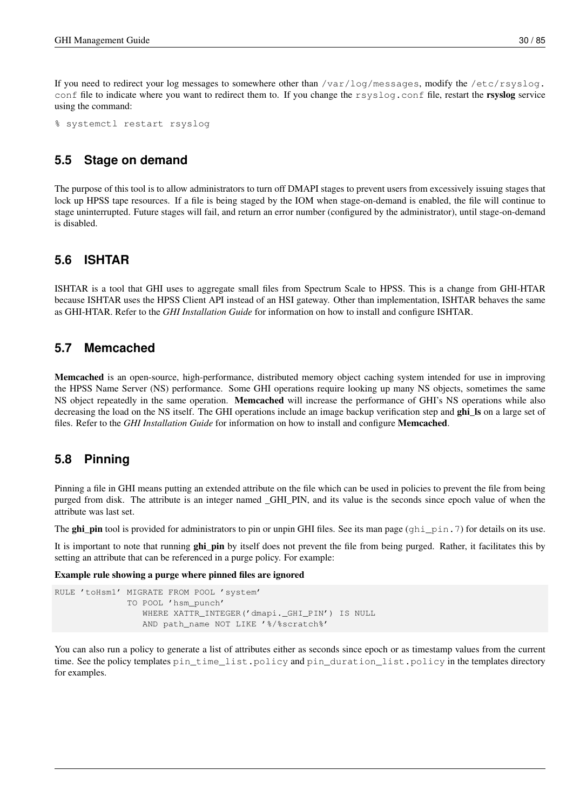If you need to redirect your log messages to somewhere other than /var/log/messages, modify the /etc/rsyslog. conf file to indicate where you want to redirect them to. If you change the rsyslog.conf file, restart the rsyslog service using the command:

% systemctl restart rsyslog

### **5.5 Stage on demand**

The purpose of this tool is to allow administrators to turn off DMAPI stages to prevent users from excessively issuing stages that lock up HPSS tape resources. If a file is being staged by the IOM when stage-on-demand is enabled, the file will continue to stage uninterrupted. Future stages will fail, and return an error number (configured by the administrator), until stage-on-demand is disabled.

### **5.6 ISHTAR**

ISHTAR is a tool that GHI uses to aggregate small files from Spectrum Scale to HPSS. This is a change from GHI-HTAR because ISHTAR uses the HPSS Client API instead of an HSI gateway. Other than implementation, ISHTAR behaves the same as GHI-HTAR. Refer to the *GHI Installation Guide* for information on how to install and configure ISHTAR.

### **5.7 Memcached**

Memcached is an open-source, high-performance, distributed memory object caching system intended for use in improving the HPSS Name Server (NS) performance. Some GHI operations require looking up many NS objects, sometimes the same NS object repeatedly in the same operation. Memcached will increase the performance of GHI's NS operations while also decreasing the load on the NS itself. The GHI operations include an image backup verification step and ghi\_ls on a large set of files. Refer to the *GHI Installation Guide* for information on how to install and configure Memcached.

### **5.8 Pinning**

Pinning a file in GHI means putting an extended attribute on the file which can be used in policies to prevent the file from being purged from disk. The attribute is an integer named \_GHI\_PIN, and its value is the seconds since epoch value of when the attribute was last set.

The **ghi\_pin** tool is provided for administrators to pin or unpin GHI files. See its man page (ghi\_pin.7) for details on its use.

It is important to note that running **ghi\_pin** by itself does not prevent the file from being purged. Rather, it facilitates this by setting an attribute that can be referenced in a purge policy. For example:

Example rule showing a purge where pinned files are ignored

```
RULE 'toHsm1' MIGRATE FROM POOL 'system'
              TO POOL 'hsm_punch'
                 WHERE XATTR_INTEGER('dmapi._GHI_PIN') IS NULL
                 AND path_name NOT LIKE '%/%scratch%'
```
You can also run a policy to generate a list of attributes either as seconds since epoch or as timestamp values from the current time. See the policy templates pin\_time\_list.policy and pin\_duration\_list.policy in the templates directory for examples.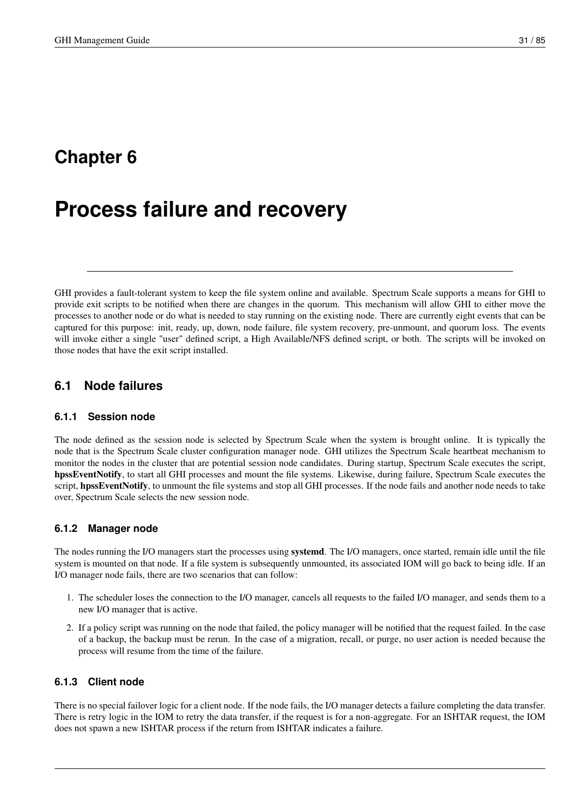## **Chapter 6**

# **Process failure and recovery**

GHI provides a fault-tolerant system to keep the file system online and available. Spectrum Scale supports a means for GHI to provide exit scripts to be notified when there are changes in the quorum. This mechanism will allow GHI to either move the processes to another node or do what is needed to stay running on the existing node. There are currently eight events that can be captured for this purpose: init, ready, up, down, node failure, file system recovery, pre-unmount, and quorum loss. The events will invoke either a single "user" defined script, a High Available/NFS defined script, or both. The scripts will be invoked on those nodes that have the exit script installed.

### **6.1 Node failures**

#### **6.1.1 Session node**

The node defined as the session node is selected by Spectrum Scale when the system is brought online. It is typically the node that is the Spectrum Scale cluster configuration manager node. GHI utilizes the Spectrum Scale heartbeat mechanism to monitor the nodes in the cluster that are potential session node candidates. During startup, Spectrum Scale executes the script, hpssEventNotify, to start all GHI processes and mount the file systems. Likewise, during failure, Spectrum Scale executes the script, hpssEventNotify, to unmount the file systems and stop all GHI processes. If the node fails and another node needs to take over, Spectrum Scale selects the new session node.

#### **6.1.2 Manager node**

The nodes running the I/O managers start the processes using systemd. The I/O managers, once started, remain idle until the file system is mounted on that node. If a file system is subsequently unmounted, its associated IOM will go back to being idle. If an I/O manager node fails, there are two scenarios that can follow:

- 1. The scheduler loses the connection to the I/O manager, cancels all requests to the failed I/O manager, and sends them to a new I/O manager that is active.
- 2. If a policy script was running on the node that failed, the policy manager will be notified that the request failed. In the case of a backup, the backup must be rerun. In the case of a migration, recall, or purge, no user action is needed because the process will resume from the time of the failure.

#### **6.1.3 Client node**

There is no special failover logic for a client node. If the node fails, the I/O manager detects a failure completing the data transfer. There is retry logic in the IOM to retry the data transfer, if the request is for a non-aggregate. For an ISHTAR request, the IOM does not spawn a new ISHTAR process if the return from ISHTAR indicates a failure.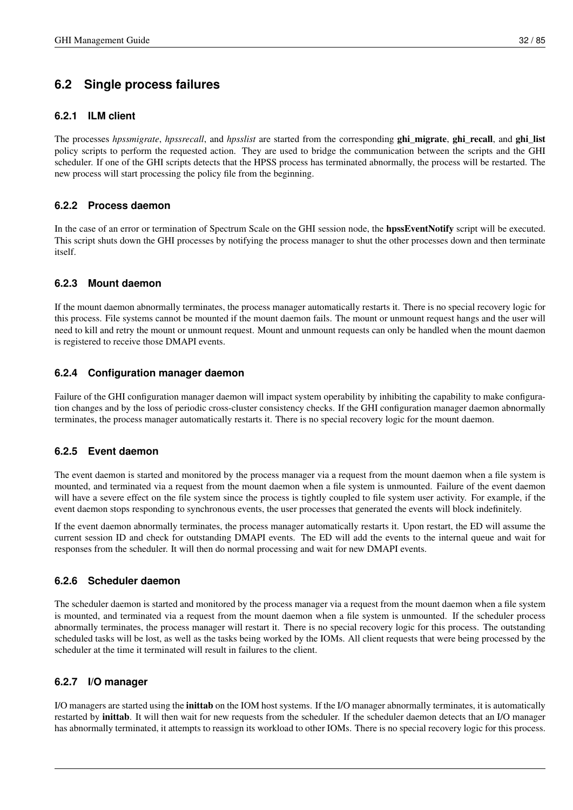### **6.2 Single process failures**

#### **6.2.1 ILM client**

The processes *hpssmigrate*, *hpssrecall*, and *hpsslist* are started from the corresponding ghi\_migrate, ghi\_recall, and ghi\_list policy scripts to perform the requested action. They are used to bridge the communication between the scripts and the GHI scheduler. If one of the GHI scripts detects that the HPSS process has terminated abnormally, the process will be restarted. The new process will start processing the policy file from the beginning.

#### **6.2.2 Process daemon**

In the case of an error or termination of Spectrum Scale on the GHI session node, the **hpssEventNotify** script will be executed. This script shuts down the GHI processes by notifying the process manager to shut the other processes down and then terminate itself.

#### **6.2.3 Mount daemon**

If the mount daemon abnormally terminates, the process manager automatically restarts it. There is no special recovery logic for this process. File systems cannot be mounted if the mount daemon fails. The mount or unmount request hangs and the user will need to kill and retry the mount or unmount request. Mount and unmount requests can only be handled when the mount daemon is registered to receive those DMAPI events.

#### **6.2.4 Configuration manager daemon**

Failure of the GHI configuration manager daemon will impact system operability by inhibiting the capability to make configuration changes and by the loss of periodic cross-cluster consistency checks. If the GHI configuration manager daemon abnormally terminates, the process manager automatically restarts it. There is no special recovery logic for the mount daemon.

#### **6.2.5 Event daemon**

The event daemon is started and monitored by the process manager via a request from the mount daemon when a file system is mounted, and terminated via a request from the mount daemon when a file system is unmounted. Failure of the event daemon will have a severe effect on the file system since the process is tightly coupled to file system user activity. For example, if the event daemon stops responding to synchronous events, the user processes that generated the events will block indefinitely.

If the event daemon abnormally terminates, the process manager automatically restarts it. Upon restart, the ED will assume the current session ID and check for outstanding DMAPI events. The ED will add the events to the internal queue and wait for responses from the scheduler. It will then do normal processing and wait for new DMAPI events.

#### **6.2.6 Scheduler daemon**

The scheduler daemon is started and monitored by the process manager via a request from the mount daemon when a file system is mounted, and terminated via a request from the mount daemon when a file system is unmounted. If the scheduler process abnormally terminates, the process manager will restart it. There is no special recovery logic for this process. The outstanding scheduled tasks will be lost, as well as the tasks being worked by the IOMs. All client requests that were being processed by the scheduler at the time it terminated will result in failures to the client.

#### **6.2.7 I/O manager**

I/O managers are started using the inittab on the IOM host systems. If the I/O manager abnormally terminates, it is automatically restarted by inittab. It will then wait for new requests from the scheduler. If the scheduler daemon detects that an I/O manager has abnormally terminated, it attempts to reassign its workload to other IOMs. There is no special recovery logic for this process.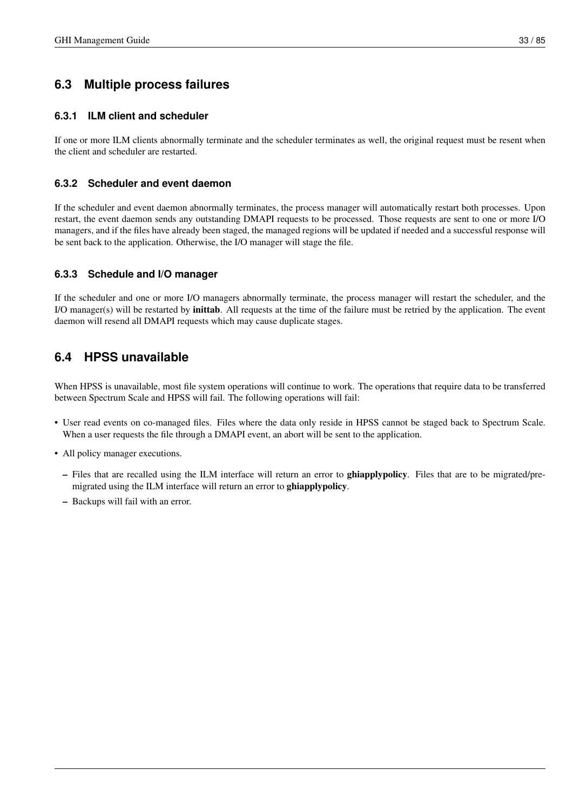### **6.3 Multiple process failures**

#### **6.3.1 ILM client and scheduler**

If one or more ILM clients abnormally terminate and the scheduler terminates as well, the original request must be resent when the client and scheduler are restarted.

#### **6.3.2 Scheduler and event daemon**

If the scheduler and event daemon abnormally terminates, the process manager will automatically restart both processes. Upon restart, the event daemon sends any outstanding DMAPI requests to be processed. Those requests are sent to one or more I/O managers, and if the files have already been staged, the managed regions will be updated if needed and a successful response will be sent back to the application. Otherwise, the I/O manager will stage the file.

#### **6.3.3 Schedule and I/O manager**

If the scheduler and one or more I/O managers abnormally terminate, the process manager will restart the scheduler, and the  $I/O$  manager(s) will be restarted by **inittab**. All requests at the time of the failure must be retried by the application. The event daemon will resend all DMAPI requests which may cause duplicate stages.

### **6.4 HPSS unavailable**

When HPSS is unavailable, most file system operations will continue to work. The operations that require data to be transferred between Spectrum Scale and HPSS will fail. The following operations will fail:

- User read events on co-managed files. Files where the data only reside in HPSS cannot be staged back to Spectrum Scale. When a user requests the file through a DMAPI event, an abort will be sent to the application.
- All policy manager executions.
	- Files that are recalled using the ILM interface will return an error to ghiapplypolicy. Files that are to be migrated/premigrated using the ILM interface will return an error to ghiapplypolicy.
	- Backups will fail with an error.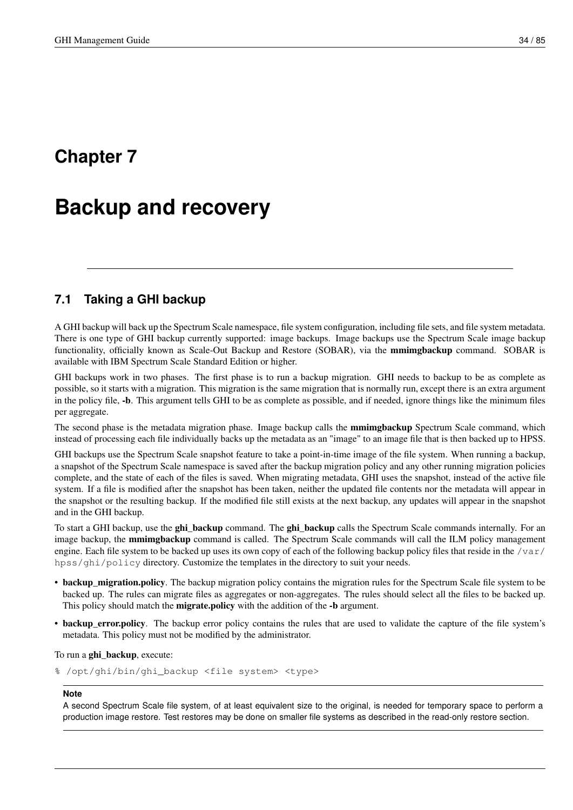## **Chapter 7**

# **Backup and recovery**

### **7.1 Taking a GHI backup**

A GHI backup will back up the Spectrum Scale namespace, file system configuration, including file sets, and file system metadata. There is one type of GHI backup currently supported: image backups. Image backups use the Spectrum Scale image backup functionality, officially known as Scale-Out Backup and Restore (SOBAR), via the mmimgbackup command. SOBAR is available with IBM Spectrum Scale Standard Edition or higher.

GHI backups work in two phases. The first phase is to run a backup migration. GHI needs to backup to be as complete as possible, so it starts with a migration. This migration is the same migration that is normally run, except there is an extra argument in the policy file, -b. This argument tells GHI to be as complete as possible, and if needed, ignore things like the minimum files per aggregate.

The second phase is the metadata migration phase. Image backup calls the **mmimgbackup** Spectrum Scale command, which instead of processing each file individually backs up the metadata as an "image" to an image file that is then backed up to HPSS.

GHI backups use the Spectrum Scale snapshot feature to take a point-in-time image of the file system. When running a backup, a snapshot of the Spectrum Scale namespace is saved after the backup migration policy and any other running migration policies complete, and the state of each of the files is saved. When migrating metadata, GHI uses the snapshot, instead of the active file system. If a file is modified after the snapshot has been taken, neither the updated file contents nor the metadata will appear in the snapshot or the resulting backup. If the modified file still exists at the next backup, any updates will appear in the snapshot and in the GHI backup.

To start a GHI backup, use the **ghi\_backup** command. The **ghi\_backup** calls the Spectrum Scale commands internally. For an image backup, the mmimgbackup command is called. The Spectrum Scale commands will call the ILM policy management engine. Each file system to be backed up uses its own copy of each of the following backup policy files that reside in the /var/ hpss/ghi/policy directory. Customize the templates in the directory to suit your needs.

- backup migration.policy. The backup migration policy contains the migration rules for the Spectrum Scale file system to be backed up. The rules can migrate files as aggregates or non-aggregates. The rules should select all the files to be backed up. This policy should match the **migrate.policy** with the addition of the **-b** argument.
- backup\_error.policy. The backup error policy contains the rules that are used to validate the capture of the file system's metadata. This policy must not be modified by the administrator.

#### To run a ghi\_backup, execute:

% /opt/ghi/bin/ghi backup <file system> <type>

#### **Note**

A second Spectrum Scale file system, of at least equivalent size to the original, is needed for temporary space to perform a production image restore. Test restores may be done on smaller file systems as described in the read-only restore section.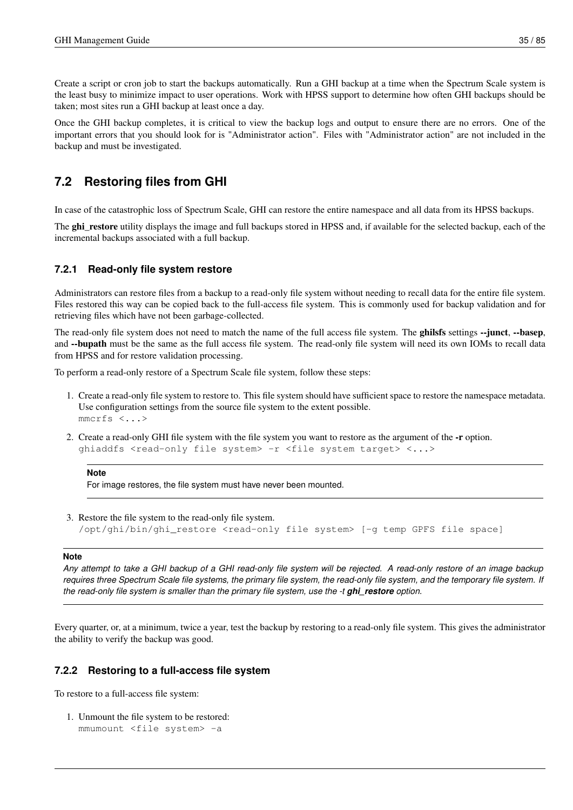Create a script or cron job to start the backups automatically. Run a GHI backup at a time when the Spectrum Scale system is the least busy to minimize impact to user operations. Work with HPSS support to determine how often GHI backups should be taken; most sites run a GHI backup at least once a day.

Once the GHI backup completes, it is critical to view the backup logs and output to ensure there are no errors. One of the important errors that you should look for is "Administrator action". Files with "Administrator action" are not included in the backup and must be investigated.

### **7.2 Restoring files from GHI**

In case of the catastrophic loss of Spectrum Scale, GHI can restore the entire namespace and all data from its HPSS backups.

The ghi restore utility displays the image and full backups stored in HPSS and, if available for the selected backup, each of the incremental backups associated with a full backup.

#### **7.2.1 Read-only file system restore**

Administrators can restore files from a backup to a read-only file system without needing to recall data for the entire file system. Files restored this way can be copied back to the full-access file system. This is commonly used for backup validation and for retrieving files which have not been garbage-collected.

The read-only file system does not need to match the name of the full access file system. The **ghilsfs** settings --**junct.** --basep. and --bupath must be the same as the full access file system. The read-only file system will need its own IOMs to recall data from HPSS and for restore validation processing.

To perform a read-only restore of a Spectrum Scale file system, follow these steps:

- 1. Create a read-only file system to restore to. This file system should have sufficient space to restore the namespace metadata. Use configuration settings from the source file system to the extent possible. mmcrfs <...>
- 2. Create a read-only GHI file system with the file system you want to restore as the argument of the -r option. ghiaddfs <read-only file system>  $-r$  <file system target> <...>

#### **Note**

For image restores, the file system must have never been mounted.

3. Restore the file system to the read-only file system. /opt/ghi/bin/ghi\_restore <read-only file system> [-g temp GPFS file space]

#### **Note**

*Any attempt to take a GHI backup of a GHI read-only file system will be rejected. A read-only restore of an image backup requires three Spectrum Scale file systems, the primary file system, the read-only file system, and the temporary file system. If the read-only file system is smaller than the primary file system, use the -t ghi\_restore option.*

Every quarter, or, at a minimum, twice a year, test the backup by restoring to a read-only file system. This gives the administrator the ability to verify the backup was good.

#### **7.2.2 Restoring to a full-access file system**

To restore to a full-access file system:

1. Unmount the file system to be restored: mmumount <file system> -a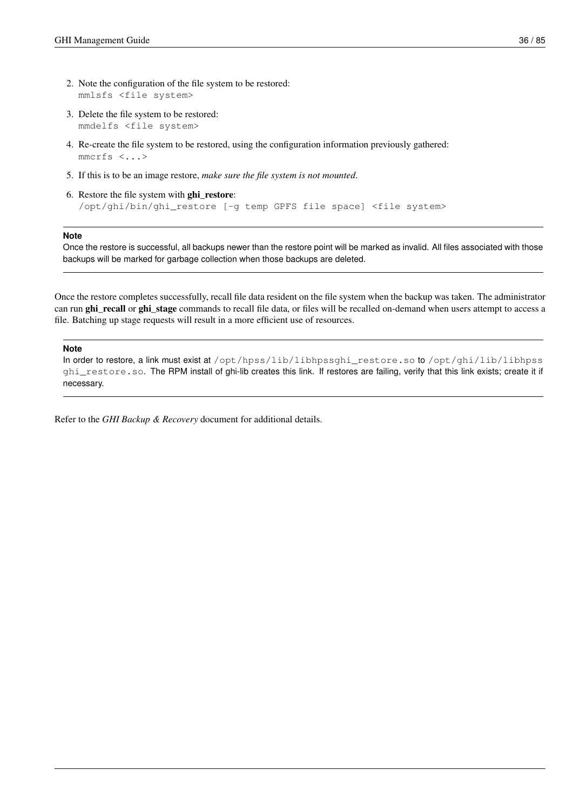- 2. Note the configuration of the file system to be restored: mmlsfs <file system>
- 3. Delete the file system to be restored: mmdelfs <file system>
- 4. Re-create the file system to be restored, using the configuration information previously gathered: mmcrfs <...>
- 5. If this is to be an image restore, *make sure the file system is not mounted*.
- 6. Restore the file system with ghi\_restore: /opt/ghi/bin/ghi\_restore [-g temp GPFS file space] <file system>

#### **Note**

Once the restore is successful, all backups newer than the restore point will be marked as invalid. All files associated with those backups will be marked for garbage collection when those backups are deleted.

Once the restore completes successfully, recall file data resident on the file system when the backup was taken. The administrator can run ghi\_recall or ghi\_stage commands to recall file data, or files will be recalled on-demand when users attempt to access a file. Batching up stage requests will result in a more efficient use of resources.

#### **Note**

In order to restore, a link must exist at /opt/hpss/lib/libhpssghi\_restore.so to /opt/ghi/lib/libhpss ghi\_restore.so. The RPM install of ghi-lib creates this link. If restores are failing, verify that this link exists; create it if necessary.

Refer to the *GHI Backup & Recovery* document for additional details.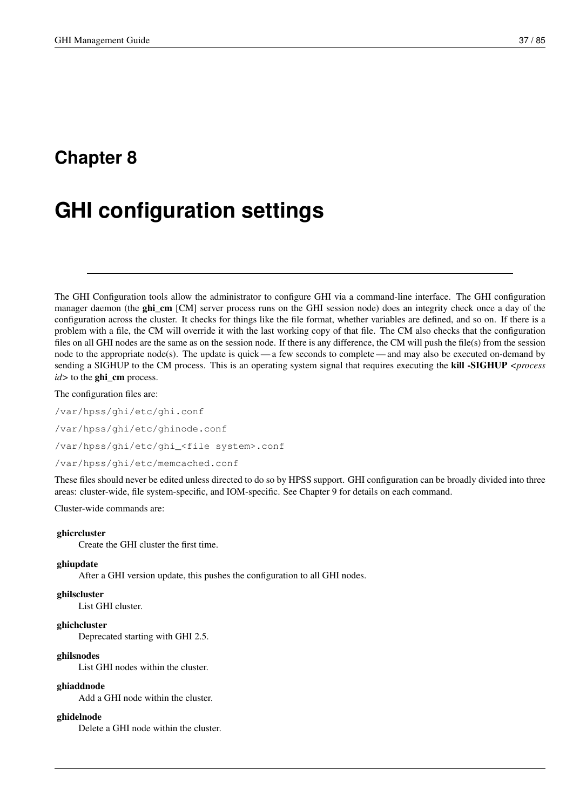## **Chapter 8**

# **GHI configuration settings**

The GHI Configuration tools allow the administrator to configure GHI via a command-line interface. The GHI configuration manager daemon (the **ghi\_cm** [CM] server process runs on the GHI session node) does an integrity check once a day of the configuration across the cluster. It checks for things like the file format, whether variables are defined, and so on. If there is a problem with a file, the CM will override it with the last working copy of that file. The CM also checks that the configuration files on all GHI nodes are the same as on the session node. If there is any difference, the CM will push the file(s) from the session node to the appropriate node(s). The update is quick — a few seconds to complete — and may also be executed on-demand by sending a SIGHUP to the CM process. This is an operating system signal that requires executing the kill -SIGHUP *<process id*> to the **ghi\_cm** process.

The configuration files are:

/var/hpss/ghi/etc/ghi.conf /var/hpss/ghi/etc/ghinode.conf /var/hpss/ghi/etc/ghi\_<file system>.conf /var/hpss/ghi/etc/memcached.conf

These files should never be edited unless directed to do so by HPSS support. GHI configuration can be broadly divided into three areas: cluster-wide, file system-specific, and IOM-specific. See Chapter 9 for details on each command.

Cluster-wide commands are:

#### ghicrcluster

Create the GHI cluster the first time.

#### ghiupdate

After a GHI version update, this pushes the configuration to all GHI nodes.

#### ghilscluster

List GHI cluster.

#### ghichcluster

Deprecated starting with GHI 2.5.

#### ghilsnodes

List GHI nodes within the cluster.

#### ghiaddnode

Add a GHI node within the cluster.

#### ghidelnode

Delete a GHI node within the cluster.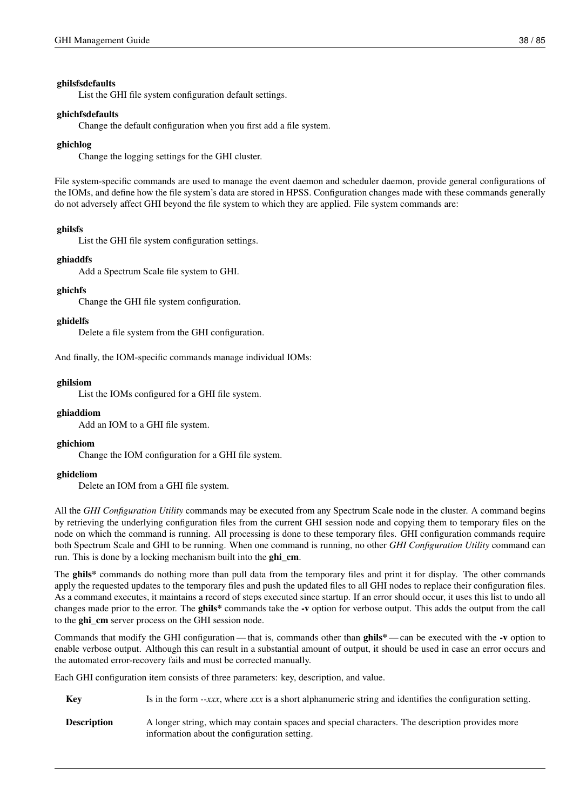#### ghilsfsdefaults

List the GHI file system configuration default settings.

#### ghichfsdefaults

Change the default configuration when you first add a file system.

#### ghichlog

Change the logging settings for the GHI cluster.

File system-specific commands are used to manage the event daemon and scheduler daemon, provide general configurations of the IOMs, and define how the file system's data are stored in HPSS. Configuration changes made with these commands generally do not adversely affect GHI beyond the file system to which they are applied. File system commands are:

#### ghilsfs

List the GHI file system configuration settings.

#### ghiaddfs

Add a Spectrum Scale file system to GHI.

#### ghichfs

Change the GHI file system configuration.

#### ghidelfs

Delete a file system from the GHI configuration.

And finally, the IOM-specific commands manage individual IOMs:

#### ghilsiom

List the IOMs configured for a GHI file system.

#### ghiaddiom

Add an IOM to a GHI file system.

#### ghichiom

Change the IOM configuration for a GHI file system.

#### ghideliom

Delete an IOM from a GHI file system.

All the *GHI Configuration Utility* commands may be executed from any Spectrum Scale node in the cluster. A command begins by retrieving the underlying configuration files from the current GHI session node and copying them to temporary files on the node on which the command is running. All processing is done to these temporary files. GHI configuration commands require both Spectrum Scale and GHI to be running. When one command is running, no other *GHI Configuration Utility* command can run. This is done by a locking mechanism built into the **ghi\_cm**.

The ghils<sup>\*</sup> commands do nothing more than pull data from the temporary files and print it for display. The other commands apply the requested updates to the temporary files and push the updated files to all GHI nodes to replace their configuration files. As a command executes, it maintains a record of steps executed since startup. If an error should occur, it uses this list to undo all changes made prior to the error. The **ghils**\* commands take the -v option for verbose output. This adds the output from the call to the ghi\_cm server process on the GHI session node.

Commands that modify the GHI configuration—that is, commands other than  $ghils^*$ —can be executed with the -v option to enable verbose output. Although this can result in a substantial amount of output, it should be used in case an error occurs and the automated error-recovery fails and must be corrected manually.

Each GHI configuration item consists of three parameters: key, description, and value.

Key Is in the form *--xxx*, where *xxx* is a short alphanumeric string and identifies the configuration setting.

**Description** A longer string, which may contain spaces and special characters. The description provides more information about the configuration setting.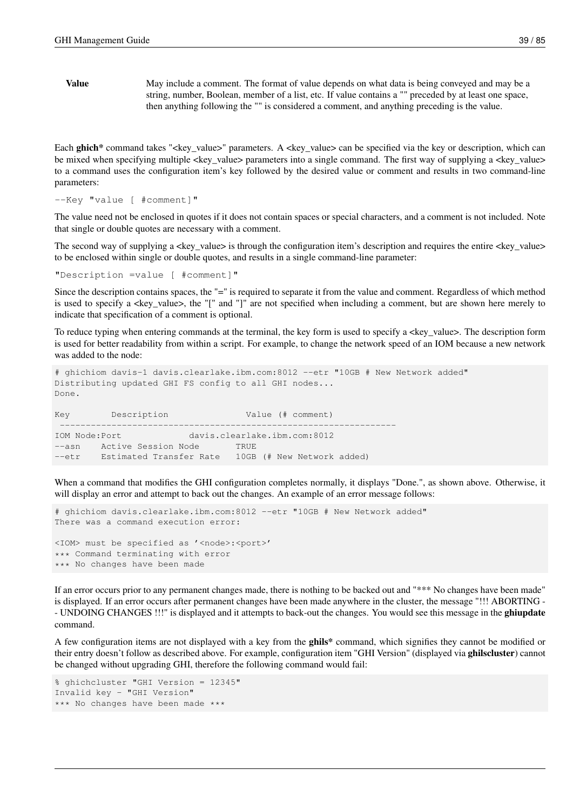Value May include a comment. The format of value depends on what data is being conveyed and may be a string, number, Boolean, member of a list, etc. If value contains a "" preceded by at least one space, then anything following the "" is considered a comment, and anything preceding is the value.

Each ghich\* command takes "<key\_value>" parameters. A <key\_value> can be specified via the key or description, which can be mixed when specifying multiple <key\_value> parameters into a single command. The first way of supplying a <key\_value> to a command uses the configuration item's key followed by the desired value or comment and results in two command-line parameters:

```
--Key "value [ #comment]"
```
The value need not be enclosed in quotes if it does not contain spaces or special characters, and a comment is not included. Note that single or double quotes are necessary with a comment.

The second way of supplying a  $\langle \text{key\_value} \rangle$  is through the configuration item's description and requires the entire  $\langle \text{key\_value} \rangle$ to be enclosed within single or double quotes, and results in a single command-line parameter:

"Description =value [ #comment]"

Since the description contains spaces, the "=" is required to separate it from the value and comment. Regardless of which method is used to specify a <key\_value>, the "[" and "]" are not specified when including a comment, but are shown here merely to indicate that specification of a comment is optional.

To reduce typing when entering commands at the terminal, the key form is used to specify a <key value>. The description form is used for better readability from within a script. For example, to change the network speed of an IOM because a new network was added to the node:

```
# ghichiom davis-1 davis.clearlake.ibm.com:8012 --etr "10GB # New Network added"
Distributing updated GHI FS config to all GHI nodes...
Done.
Key Description Value (# comment)
 -----------------------------------------------------------------
IOM Node:Port davis.clearlake.ibm.com:8012
--asn Active Session Node TRUE
--etr Estimated Transfer Rate 10GB (# New Network added)
```
When a command that modifies the GHI configuration completes normally, it displays "Done.", as shown above. Otherwise, it will display an error and attempt to back out the changes. An example of an error message follows:

```
# ghichiom davis.clearlake.ibm.com:8012 --etr "10GB # New Network added"
There was a command execution error:
<IOM> must be specified as '<node>:<port>'
*** Command terminating with error
*** No changes have been made
```
If an error occurs prior to any permanent changes made, there is nothing to be backed out and "\*\*\* No changes have been made" is displayed. If an error occurs after permanent changes have been made anywhere in the cluster, the message "!!! ABORTING - - UNDOING CHANGES !!!" is displayed and it attempts to back-out the changes. You would see this message in the **ghiupdate** command.

A few configuration items are not displayed with a key from the ghils\* command, which signifies they cannot be modified or their entry doesn't follow as described above. For example, configuration item "GHI Version" (displayed via ghilscluster) cannot be changed without upgrading GHI, therefore the following command would fail:

% ghichcluster "GHI Version = 12345" Invalid key - "GHI Version" \*\*\* No changes have been made \*\*\*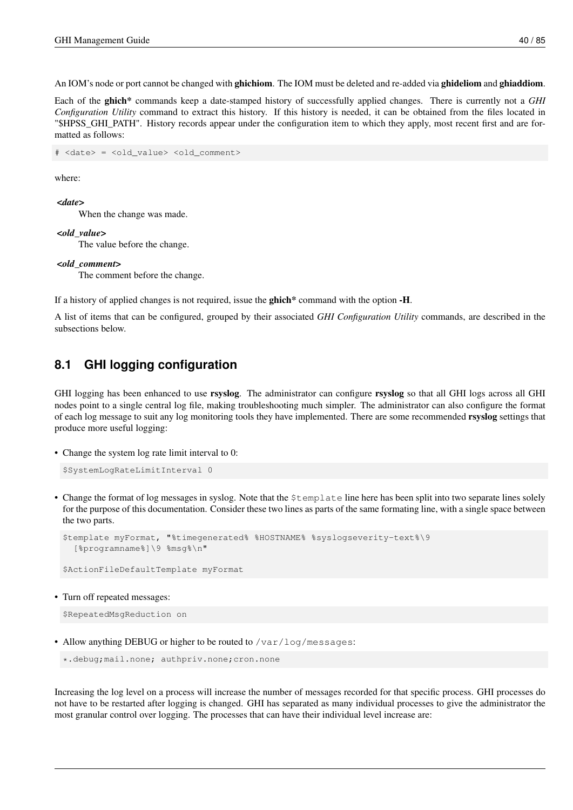An IOM's node or port cannot be changed with **ghichiom**. The IOM must be deleted and re-added via ghideliom and ghiaddiom.

Each of the ghich\* commands keep a date-stamped history of successfully applied changes. There is currently not a *GHI Configuration Utility* command to extract this history. If this history is needed, it can be obtained from the files located in "\$HPSS\_GHI\_PATH". History records appear under the configuration item to which they apply, most recent first and are formatted as follows:

```
# <date> = <old_value> <old_comment>
```
where:

*<date>*

When the change was made.

*<old\_value>* The value before the change.

*<old\_comment>*

The comment before the change.

If a history of applied changes is not required, issue the ghich\* command with the option -H.

A list of items that can be configured, grouped by their associated *GHI Configuration Utility* commands, are described in the subsections below.

### **8.1 GHI logging configuration**

GHI logging has been enhanced to use rsyslog. The administrator can configure rsyslog so that all GHI logs across all GHI nodes point to a single central log file, making troubleshooting much simpler. The administrator can also configure the format of each log message to suit any log monitoring tools they have implemented. There are some recommended rsyslog settings that produce more useful logging:

• Change the system log rate limit interval to 0:

```
$SystemLogRateLimitInterval 0
```
• Change the format of log messages in syslog. Note that the \$template line here has been split into two separate lines solely for the purpose of this documentation. Consider these two lines as parts of the same formating line, with a single space between the two parts.

```
$template myFormat, "%timegenerated% %HOSTNAME% %syslogseverity-text%\9
  [%programname%]\9 %msg%\n"
```
\$ActionFileDefaultTemplate myFormat

• Turn off repeated messages:

\$RepeatedMsgReduction on

• Allow anything DEBUG or higher to be routed to /var/log/messages:

\*.debug;mail.none; authpriv.none;cron.none

Increasing the log level on a process will increase the number of messages recorded for that specific process. GHI processes do not have to be restarted after logging is changed. GHI has separated as many individual processes to give the administrator the most granular control over logging. The processes that can have their individual level increase are: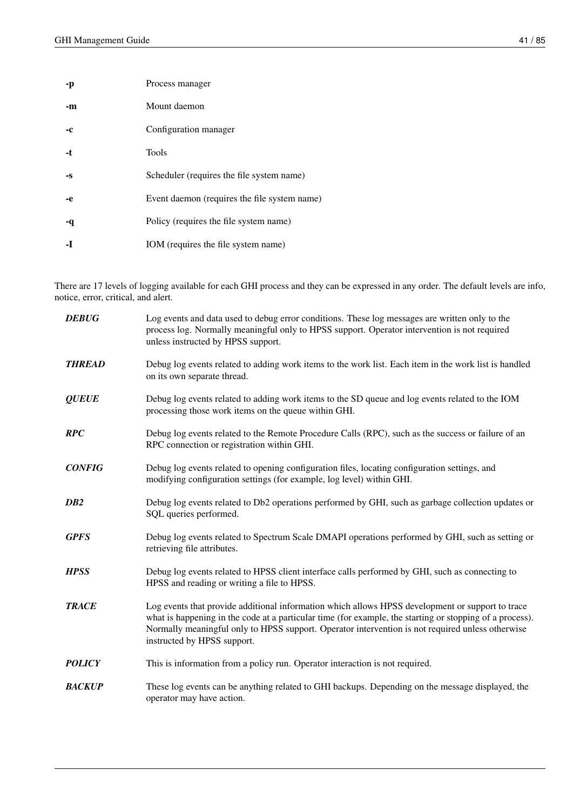| -p   | Process manager                              |
|------|----------------------------------------------|
| -m   | Mount daemon                                 |
| -c   | Configuration manager                        |
| -t   | <b>Tools</b>                                 |
| $-S$ | Scheduler (requires the file system name)    |
| -e   | Event daemon (requires the file system name) |
| -q   | Policy (requires the file system name)       |
| $-I$ | IOM (requires the file system name)          |

There are 17 levels of logging available for each GHI process and they can be expressed in any order. The default levels are info, notice, error, critical, and alert.

| <b>DEBUG</b>  | Log events and data used to debug error conditions. These log messages are written only to the<br>process log. Normally meaningful only to HPSS support. Operator intervention is not required<br>unless instructed by HPSS support.                                                                                                            |
|---------------|-------------------------------------------------------------------------------------------------------------------------------------------------------------------------------------------------------------------------------------------------------------------------------------------------------------------------------------------------|
| <b>THREAD</b> | Debug log events related to adding work items to the work list. Each item in the work list is handled<br>on its own separate thread.                                                                                                                                                                                                            |
| <b>QUEUE</b>  | Debug log events related to adding work items to the SD queue and log events related to the IOM<br>processing those work items on the queue within GHI.                                                                                                                                                                                         |
| <b>RPC</b>    | Debug log events related to the Remote Procedure Calls (RPC), such as the success or failure of an<br>RPC connection or registration within GHI.                                                                                                                                                                                                |
| <b>CONFIG</b> | Debug log events related to opening configuration files, locating configuration settings, and<br>modifying configuration settings (for example, log level) within GHI.                                                                                                                                                                          |
| DB2           | Debug log events related to Db2 operations performed by GHI, such as garbage collection updates or<br>SQL queries performed.                                                                                                                                                                                                                    |
| <b>GPFS</b>   | Debug log events related to Spectrum Scale DMAPI operations performed by GHI, such as setting or<br>retrieving file attributes.                                                                                                                                                                                                                 |
| <b>HPSS</b>   | Debug log events related to HPSS client interface calls performed by GHI, such as connecting to<br>HPSS and reading or writing a file to HPSS.                                                                                                                                                                                                  |
| <b>TRACE</b>  | Log events that provide additional information which allows HPSS development or support to trace<br>what is happening in the code at a particular time (for example, the starting or stopping of a process).<br>Normally meaningful only to HPSS support. Operator intervention is not required unless otherwise<br>instructed by HPSS support. |
| <b>POLICY</b> | This is information from a policy run. Operator interaction is not required.                                                                                                                                                                                                                                                                    |
| <b>BACKUP</b> | These log events can be anything related to GHI backups. Depending on the message displayed, the<br>operator may have action.                                                                                                                                                                                                                   |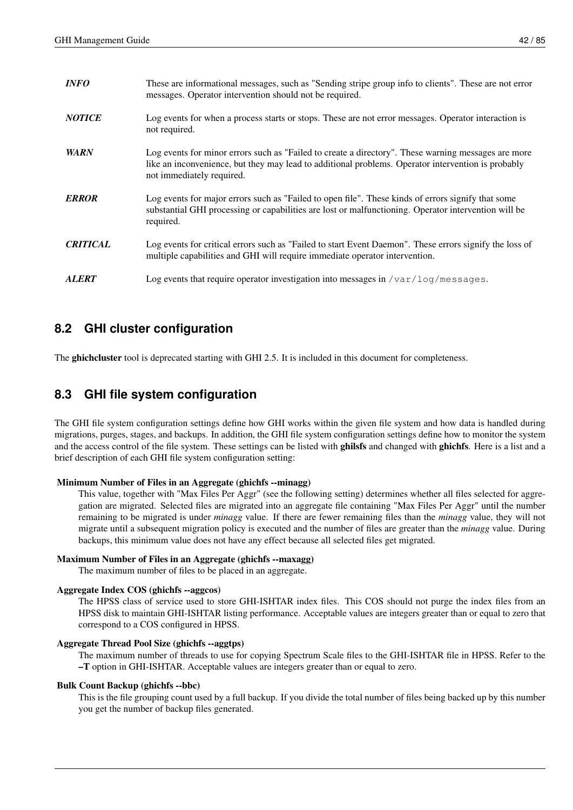| <b>INFO</b>     | These are informational messages, such as "Sending stripe group info to clients". These are not error<br>messages. Operator intervention should not be required.                                                                       |
|-----------------|----------------------------------------------------------------------------------------------------------------------------------------------------------------------------------------------------------------------------------------|
| <b>NOTICE</b>   | Log events for when a process starts or stops. These are not error messages. Operator interaction is<br>not required.                                                                                                                  |
| <b>WARN</b>     | Log events for minor errors such as "Failed to create a directory". These warning messages are more<br>like an inconvenience, but they may lead to additional problems. Operator intervention is probably<br>not immediately required. |
| <b>ERROR</b>    | Log events for major errors such as "Failed to open file". These kinds of errors signify that some<br>substantial GHI processing or capabilities are lost or malfunctioning. Operator intervention will be<br>required.                |
| <b>CRITICAL</b> | Log events for critical errors such as "Failed to start Event Daemon". These errors signify the loss of<br>multiple capabilities and GHI will require immediate operator intervention.                                                 |
| <b>ALERT</b>    | Log events that require operator investigation into messages in $/\text{var}/\text{log/m}$ essages.                                                                                                                                    |

### **8.2 GHI cluster configuration**

The ghichcluster tool is deprecated starting with GHI 2.5. It is included in this document for completeness.

### **8.3 GHI file system configuration**

The GHI file system configuration settings define how GHI works within the given file system and how data is handled during migrations, purges, stages, and backups. In addition, the GHI file system configuration settings define how to monitor the system and the access control of the file system. These settings can be listed with ghilsfs and changed with ghichfs. Here is a list and a brief description of each GHI file system configuration setting:

#### Minimum Number of Files in an Aggregate (ghichfs --minagg)

This value, together with "Max Files Per Aggr" (see the following setting) determines whether all files selected for aggregation are migrated. Selected files are migrated into an aggregate file containing "Max Files Per Aggr" until the number remaining to be migrated is under *minagg* value. If there are fewer remaining files than the *minagg* value, they will not migrate until a subsequent migration policy is executed and the number of files are greater than the *minagg* value. During backups, this minimum value does not have any effect because all selected files get migrated.

#### Maximum Number of Files in an Aggregate (ghichfs --maxagg)

The maximum number of files to be placed in an aggregate.

#### Aggregate Index COS (ghichfs --aggcos)

The HPSS class of service used to store GHI-ISHTAR index files. This COS should not purge the index files from an HPSS disk to maintain GHI-ISHTAR listing performance. Acceptable values are integers greater than or equal to zero that correspond to a COS configured in HPSS.

#### Aggregate Thread Pool Size (ghichfs --aggtps)

The maximum number of threads to use for copying Spectrum Scale files to the GHI-ISHTAR file in HPSS. Refer to the –T option in GHI-ISHTAR. Acceptable values are integers greater than or equal to zero.

#### Bulk Count Backup (ghichfs --bbc)

This is the file grouping count used by a full backup. If you divide the total number of files being backed up by this number you get the number of backup files generated.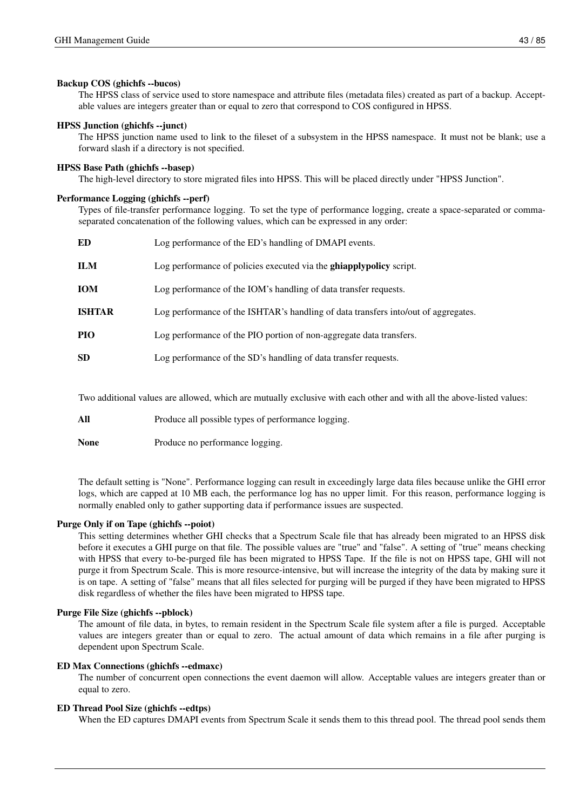#### Backup COS (ghichfs --bucos)

The HPSS class of service used to store namespace and attribute files (metadata files) created as part of a backup. Acceptable values are integers greater than or equal to zero that correspond to COS configured in HPSS.

#### HPSS Junction (ghichfs --junct)

The HPSS junction name used to link to the fileset of a subsystem in the HPSS namespace. It must not be blank; use a forward slash if a directory is not specified.

#### HPSS Base Path (ghichfs --basep)

The high-level directory to store migrated files into HPSS. This will be placed directly under "HPSS Junction".

#### Performance Logging (ghichfs --perf)

Types of file-transfer performance logging. To set the type of performance logging, create a space-separated or commaseparated concatenation of the following values, which can be expressed in any order:

| ED            | Log performance of the ED's handling of DMAPI events.                              |
|---------------|------------------------------------------------------------------------------------|
| ILМ           | Log performance of policies executed via the <b>ghiapplypolicy</b> script.         |
| ЮM            | Log performance of the IOM's handling of data transfer requests.                   |
| <b>ISHTAR</b> | Log performance of the ISHTAR's handling of data transfers into/out of aggregates. |
| PIO           | Log performance of the PIO portion of non-aggregate data transfers.                |
| SD            | Log performance of the SD's handling of data transfer requests.                    |

Two additional values are allowed, which are mutually exclusive with each other and with all the above-listed values:

All Produce all possible types of performance logging.

None Produce no performance logging.

The default setting is "None". Performance logging can result in exceedingly large data files because unlike the GHI error logs, which are capped at 10 MB each, the performance log has no upper limit. For this reason, performance logging is normally enabled only to gather supporting data if performance issues are suspected.

#### Purge Only if on Tape (ghichfs --poiot)

This setting determines whether GHI checks that a Spectrum Scale file that has already been migrated to an HPSS disk before it executes a GHI purge on that file. The possible values are "true" and "false". A setting of "true" means checking with HPSS that every to-be-purged file has been migrated to HPSS Tape. If the file is not on HPSS tape, GHI will not purge it from Spectrum Scale. This is more resource-intensive, but will increase the integrity of the data by making sure it is on tape. A setting of "false" means that all files selected for purging will be purged if they have been migrated to HPSS disk regardless of whether the files have been migrated to HPSS tape.

#### Purge File Size (ghichfs --pblock)

The amount of file data, in bytes, to remain resident in the Spectrum Scale file system after a file is purged. Acceptable values are integers greater than or equal to zero. The actual amount of data which remains in a file after purging is dependent upon Spectrum Scale.

#### ED Max Connections (ghichfs --edmaxc)

The number of concurrent open connections the event daemon will allow. Acceptable values are integers greater than or equal to zero.

#### ED Thread Pool Size (ghichfs --edtps)

When the ED captures DMAPI events from Spectrum Scale it sends them to this thread pool. The thread pool sends them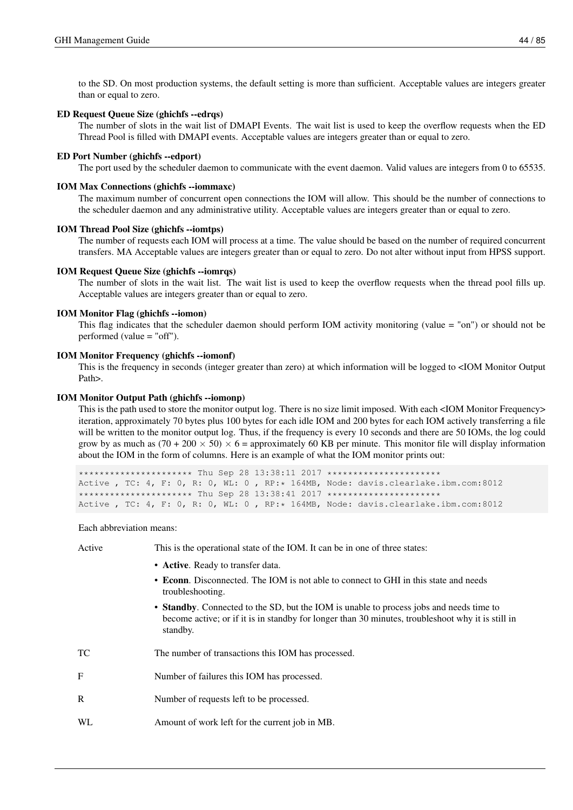to the SD. On most production systems, the default setting is more than sufficient. Acceptable values are integers greater than or equal to zero.

#### ED Request Queue Size (ghichfs --edrqs)

The number of slots in the wait list of DMAPI Events. The wait list is used to keep the overflow requests when the ED Thread Pool is filled with DMAPI events. Acceptable values are integers greater than or equal to zero.

#### ED Port Number (ghichfs --edport)

The port used by the scheduler daemon to communicate with the event daemon. Valid values are integers from 0 to 65535.

#### IOM Max Connections (ghichfs --iommaxc)

The maximum number of concurrent open connections the IOM will allow. This should be the number of connections to the scheduler daemon and any administrative utility. Acceptable values are integers greater than or equal to zero.

#### IOM Thread Pool Size (ghichfs --iomtps)

The number of requests each IOM will process at a time. The value should be based on the number of required concurrent transfers. MA Acceptable values are integers greater than or equal to zero. Do not alter without input from HPSS support.

#### IOM Request Queue Size (ghichfs --iomrqs)

The number of slots in the wait list. The wait list is used to keep the overflow requests when the thread pool fills up. Acceptable values are integers greater than or equal to zero.

#### IOM Monitor Flag (ghichfs --iomon)

This flag indicates that the scheduler daemon should perform IOM activity monitoring (value = "on") or should not be performed (value = "off").

#### IOM Monitor Frequency (ghichfs --iomonf)

This is the frequency in seconds (integer greater than zero) at which information will be logged to <IOM Monitor Output Path>.

#### IOM Monitor Output Path (ghichfs --iomonp)

This is the path used to store the monitor output log. There is no size limit imposed. With each <IOM Monitor Frequency> iteration, approximately 70 bytes plus 100 bytes for each idle IOM and 200 bytes for each IOM actively transferring a file will be written to the monitor output log. Thus, if the frequency is every 10 seconds and there are 50 IOMs, the log could grow by as much as  $(70 + 200 \times 50) \times 6$  = approximately 60 KB per minute. This monitor file will display information about the IOM in the form of columns. Here is an example of what the IOM monitor prints out:

```
********************** Thu Sep 28 13:38:11 2017 **********************
Active , TC: 4, F: 0, R: 0, WL: 0 , RP:* 164MB, Node: davis.clearlake.ibm.com:8012
             ********* Thu Sep 28 13:38:41 2017 ******************
Active , TC: 4, F: 0, R: 0, WL: 0 , RP:* 164MB, Node: davis.clearlake.ibm.com:8012
```
Each abbreviation means:

| Active      | This is the operational state of the IOM. It can be in one of three states:                                                                                                                              |
|-------------|----------------------------------------------------------------------------------------------------------------------------------------------------------------------------------------------------------|
|             | • Active. Ready to transfer data.                                                                                                                                                                        |
|             | • Econn. Disconnected. The IOM is not able to connect to GHI in this state and needs<br>troubleshooting.                                                                                                 |
|             | • Standby. Connected to the SD, but the IOM is unable to process jobs and needs time to<br>become active; or if it is in standby for longer than 30 minutes, troubleshoot why it is still in<br>standby. |
| TC          | The number of transactions this IOM has processed.                                                                                                                                                       |
| $\mathbf F$ | Number of failures this IOM has processed.                                                                                                                                                               |
| R           | Number of requests left to be processed.                                                                                                                                                                 |
| <b>WL</b>   | Amount of work left for the current job in MB.                                                                                                                                                           |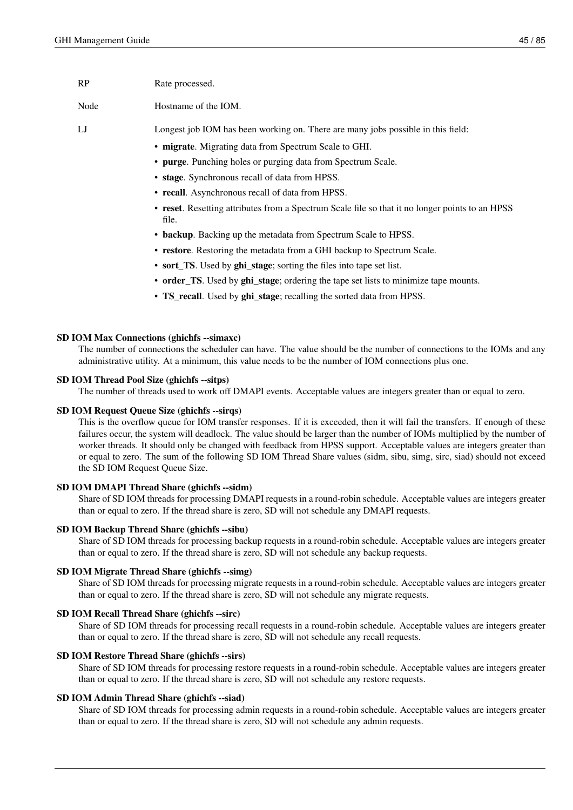| RP   | Rate processed.                                                                  |  |  |  |  |
|------|----------------------------------------------------------------------------------|--|--|--|--|
| Node | Hostname of the IOM.                                                             |  |  |  |  |
| LJ   | Longest job IOM has been working on. There are many jobs possible in this field: |  |  |  |  |
|      | • migrate. Migrating data from Spectrum Scale to GHI.                            |  |  |  |  |
|      | • purge. Punching holes or purging data from Spectrum Scale.                     |  |  |  |  |
|      | • stage. Synchronous recall of data from HPSS.                                   |  |  |  |  |
|      | • recall. Asynchronous recall of data from HPSS.                                 |  |  |  |  |

- reset. Resetting attributes from a Spectrum Scale file so that it no longer points to an HPSS file.
- backup. Backing up the metadata from Spectrum Scale to HPSS.
- restore. Restoring the metadata from a GHI backup to Spectrum Scale.
- sort TS. Used by ghi stage; sorting the files into tape set list.
- order\_TS. Used by ghi\_stage; ordering the tape set lists to minimize tape mounts.
- TS\_recall. Used by ghi\_stage; recalling the sorted data from HPSS.

#### SD IOM Max Connections (ghichfs --simaxc)

The number of connections the scheduler can have. The value should be the number of connections to the IOMs and any administrative utility. At a minimum, this value needs to be the number of IOM connections plus one.

#### SD IOM Thread Pool Size (ghichfs --sitps)

The number of threads used to work off DMAPI events. Acceptable values are integers greater than or equal to zero.

#### SD IOM Request Queue Size (ghichfs --sirqs)

This is the overflow queue for IOM transfer responses. If it is exceeded, then it will fail the transfers. If enough of these failures occur, the system will deadlock. The value should be larger than the number of IOMs multiplied by the number of worker threads. It should only be changed with feedback from HPSS support. Acceptable values are integers greater than or equal to zero. The sum of the following SD IOM Thread Share values (sidm, sibu, simg, sirc, siad) should not exceed the SD IOM Request Queue Size.

#### SD IOM DMAPI Thread Share (ghichfs --sidm)

Share of SD IOM threads for processing DMAPI requests in a round-robin schedule. Acceptable values are integers greater than or equal to zero. If the thread share is zero, SD will not schedule any DMAPI requests.

#### SD IOM Backup Thread Share (ghichfs --sibu)

Share of SD IOM threads for processing backup requests in a round-robin schedule. Acceptable values are integers greater than or equal to zero. If the thread share is zero, SD will not schedule any backup requests.

#### SD IOM Migrate Thread Share (ghichfs --simg)

Share of SD IOM threads for processing migrate requests in a round-robin schedule. Acceptable values are integers greater than or equal to zero. If the thread share is zero, SD will not schedule any migrate requests.

#### SD IOM Recall Thread Share (ghichfs --sirc)

Share of SD IOM threads for processing recall requests in a round-robin schedule. Acceptable values are integers greater than or equal to zero. If the thread share is zero, SD will not schedule any recall requests.

#### SD IOM Restore Thread Share (ghichfs --sirs)

Share of SD IOM threads for processing restore requests in a round-robin schedule. Acceptable values are integers greater than or equal to zero. If the thread share is zero, SD will not schedule any restore requests.

#### SD IOM Admin Thread Share (ghichfs --siad)

Share of SD IOM threads for processing admin requests in a round-robin schedule. Acceptable values are integers greater than or equal to zero. If the thread share is zero, SD will not schedule any admin requests.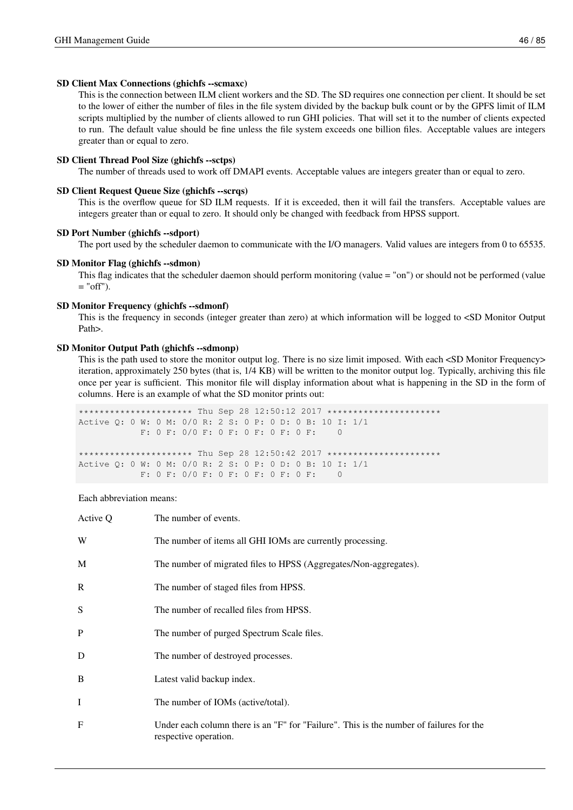#### SD Client Max Connections (ghichfs --scmaxc)

This is the connection between ILM client workers and the SD. The SD requires one connection per client. It should be set to the lower of either the number of files in the file system divided by the backup bulk count or by the GPFS limit of ILM scripts multiplied by the number of clients allowed to run GHI policies. That will set it to the number of clients expected to run. The default value should be fine unless the file system exceeds one billion files. Acceptable values are integers greater than or equal to zero.

#### SD Client Thread Pool Size (ghichfs --sctps)

The number of threads used to work off DMAPI events. Acceptable values are integers greater than or equal to zero.

#### SD Client Request Queue Size (ghichfs --scrqs)

This is the overflow queue for SD ILM requests. If it is exceeded, then it will fail the transfers. Acceptable values are integers greater than or equal to zero. It should only be changed with feedback from HPSS support.

#### SD Port Number (ghichfs --sdport)

The port used by the scheduler daemon to communicate with the I/O managers. Valid values are integers from 0 to 65535.

#### SD Monitor Flag (ghichfs --sdmon)

This flag indicates that the scheduler daemon should perform monitoring (value = "on") or should not be performed (value  $=$  "off").

#### SD Monitor Frequency (ghichfs --sdmonf)

This is the frequency in seconds (integer greater than zero) at which information will be logged to <SD Monitor Output Path>.

#### SD Monitor Output Path (ghichfs --sdmonp)

This is the path used to store the monitor output log. There is no size limit imposed. With each <SD Monitor Frequency> iteration, approximately 250 bytes (that is, 1/4 KB) will be written to the monitor output log. Typically, archiving this file once per year is sufficient. This monitor file will display information about what is happening in the SD in the form of columns. Here is an example of what the SD monitor prints out:

|                                                          |  |  |                                      |  |  |  |  |  | ********************** Thu Sep 28 12:50:12 2017 ********************** |
|----------------------------------------------------------|--|--|--------------------------------------|--|--|--|--|--|------------------------------------------------------------------------|
| Active Q: 0 W: 0 M: 0/0 R: 2 S: 0 P: 0 D: 0 B: 10 I: 1/1 |  |  |                                      |  |  |  |  |  |                                                                        |
|                                                          |  |  | F: 0 F: 0/0 F: 0 F: 0 F: 0 F: 0 F: 0 |  |  |  |  |  |                                                                        |
|                                                          |  |  |                                      |  |  |  |  |  |                                                                        |
|                                                          |  |  |                                      |  |  |  |  |  | ********************** Thu Sep 28 12:50:42 2017 ********************** |
| Active 0: 0 W: 0 M: 0/0 R: 2 S: 0 P: 0 D: 0 B: 10 I: 1/1 |  |  |                                      |  |  |  |  |  |                                                                        |
|                                                          |  |  | F: 0 F: 0/0 F: 0 F: 0 F: 0 F: 0 F: 0 |  |  |  |  |  |                                                                        |
|                                                          |  |  |                                      |  |  |  |  |  |                                                                        |

Each abbreviation means:

| Active Q     | The number of events.                                                                                            |
|--------------|------------------------------------------------------------------------------------------------------------------|
| W            | The number of items all GHI IOMs are currently processing.                                                       |
| M            | The number of migrated files to HPSS (Aggregates/Non-aggregates).                                                |
| R            | The number of staged files from HPSS.                                                                            |
| S            | The number of recalled files from HPSS.                                                                          |
| $\mathbf{P}$ | The number of purged Spectrum Scale files.                                                                       |
| D            | The number of destroyed processes.                                                                               |
| B            | Latest valid backup index.                                                                                       |
| $\bf{I}$     | The number of IOMs (active/total).                                                                               |
| $\mathbf{F}$ | Under each column there is an "F" for "Failure". This is the number of failures for the<br>respective operation. |
|              |                                                                                                                  |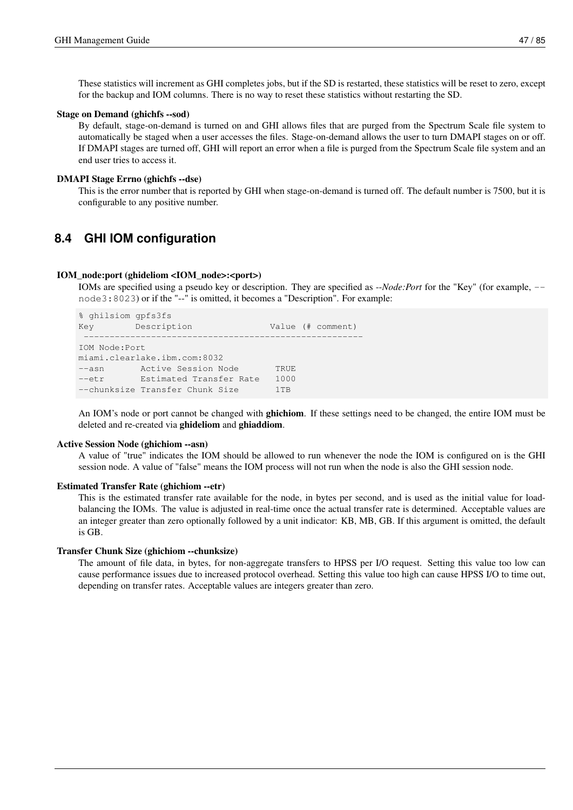These statistics will increment as GHI completes jobs, but if the SD is restarted, these statistics will be reset to zero, except for the backup and IOM columns. There is no way to reset these statistics without restarting the SD.

#### Stage on Demand (ghichfs --sod)

By default, stage-on-demand is turned on and GHI allows files that are purged from the Spectrum Scale file system to automatically be staged when a user accesses the files. Stage-on-demand allows the user to turn DMAPI stages on or off. If DMAPI stages are turned off, GHI will report an error when a file is purged from the Spectrum Scale file system and an end user tries to access it.

#### DMAPI Stage Errno (ghichfs --dse)

This is the error number that is reported by GHI when stage-on-demand is turned off. The default number is 7500, but it is configurable to any positive number.

### **8.4 GHI IOM configuration**

#### IOM\_node:port (ghideliom <IOM\_node>:<port>)

IOMs are specified using a pseudo key or description. They are specified as --*Node:Port* for the "Key" (for example, - node3:8023) or if the "--" is omitted, it becomes a "Description". For example:

```
% ghilsiom gpfs3fs
Key Description Value (# comment)
 ------------------------------------------------------
IOM Node:Port
miami.clearlake.ibm.com:8032
--asn Active Session Node TRUE
--etr Estimated Transfer Rate 1000
--chunksize Transfer Chunk Size 1TB
```
An IOM's node or port cannot be changed with **ghichiom**. If these settings need to be changed, the entire IOM must be deleted and re-created via ghideliom and ghiaddiom.

#### Active Session Node (ghichiom --asn)

A value of "true" indicates the IOM should be allowed to run whenever the node the IOM is configured on is the GHI session node. A value of "false" means the IOM process will not run when the node is also the GHI session node.

#### Estimated Transfer Rate (ghichiom --etr)

This is the estimated transfer rate available for the node, in bytes per second, and is used as the initial value for loadbalancing the IOMs. The value is adjusted in real-time once the actual transfer rate is determined. Acceptable values are an integer greater than zero optionally followed by a unit indicator: KB, MB, GB. If this argument is omitted, the default is GB.

#### Transfer Chunk Size (ghichiom --chunksize)

The amount of file data, in bytes, for non-aggregate transfers to HPSS per I/O request. Setting this value too low can cause performance issues due to increased protocol overhead. Setting this value too high can cause HPSS I/O to time out, depending on transfer rates. Acceptable values are integers greater than zero.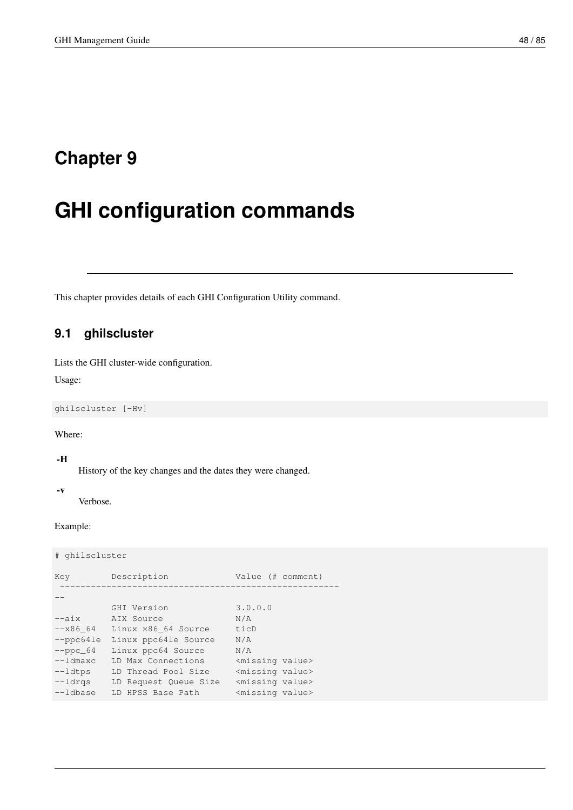## **Chapter 9**

# **GHI configuration commands**

This chapter provides details of each GHI Configuration Utility command.

### **9.1 ghilscluster**

Lists the GHI cluster-wide configuration.

Usage:

ghilscluster [-Hv]

#### Where:

#### -H

History of the key changes and the dates they were changed.

-v

Verbose.

#### Example:

```
# ghilscluster
Key Description Value (# comment)
 ------------------------------------------------------
--
        GHI Version 3.0.0.0
--aix AIX Source N/A
--x86_64 Linux x86_64 Source ticD
--ppc64le Linux ppc64le Source N/A
--ppc_64 Linux ppc64 Source N/A
--1dmaxc LD Max Connections <missing value>
--1dtps LD Thread Pool Size <missing value>
--ldrqs LD Request Queue Size <missing value>
--1dbase LD HPSS Base Path <missing value>
```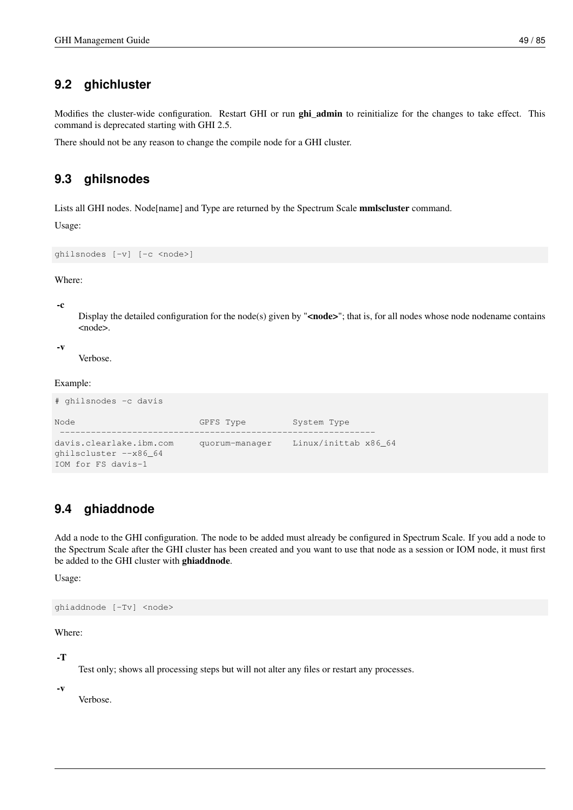### **9.2 ghichluster**

Modifies the cluster-wide configuration. Restart GHI or run ghi\_admin to reinitialize for the changes to take effect. This command is deprecated starting with GHI 2.5.

There should not be any reason to change the compile node for a GHI cluster.

### **9.3 ghilsnodes**

Lists all GHI nodes. Node[name] and Type are returned by the Spectrum Scale **mmlscluster** command.

Usage:

```
ghilsnodes [-v] [-c <node>]
```
Where:

-c

Display the detailed configuration for the node(s) given by " $\leq$ node $\geq$ "; that is, for all nodes whose node nodename contains <node>.

-v

Verbose.

Example:

```
# ghilsnodes -c davis
Node GPFS Type System Type
 -------------------------------------------------------------
davis.clearlake.ibm.com quorum-manager Linux/inittab x86_64
ghilscluster --x86_64
IOM for FS davis-1
```
### **9.4 ghiaddnode**

Add a node to the GHI configuration. The node to be added must already be configured in Spectrum Scale. If you add a node to the Spectrum Scale after the GHI cluster has been created and you want to use that node as a session or IOM node, it must first be added to the GHI cluster with ghiaddnode.

Usage:

ghiaddnode [-Tv] <node>

Where:

-T

Test only; shows all processing steps but will not alter any files or restart any processes.

-v

Verbose.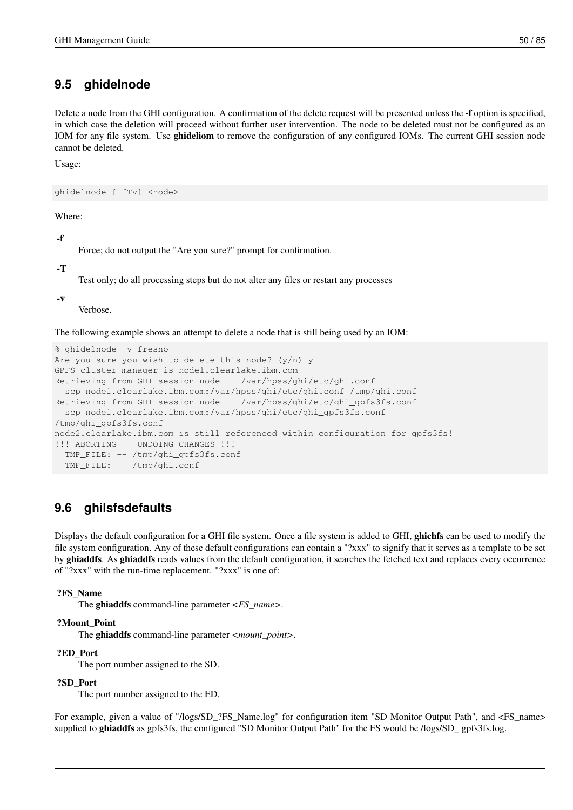### **9.5 ghidelnode**

Delete a node from the GHI configuration. A confirmation of the delete request will be presented unless the -f option is specified, in which case the deletion will proceed without further user intervention. The node to be deleted must not be configured as an IOM for any file system. Use **ghideliom** to remove the configuration of any configured IOMs. The current GHI session node cannot be deleted.

Usage:

ghidelnode [-fTv] <node>

Where:

-f

Force; do not output the "Are you sure?" prompt for confirmation.

-T

Test only; do all processing steps but do not alter any files or restart any processes

-v

Verbose.

The following example shows an attempt to delete a node that is still being used by an IOM:

```
% ghidelnode -v fresno
Are you sure you wish to delete this node? (y/n) y
GPFS cluster manager is node1.clearlake.ibm.com
Retrieving from GHI session node -- /var/hpss/ghi/etc/ghi.conf
 scp node1.clearlake.ibm.com:/var/hpss/ghi/etc/ghi.conf /tmp/ghi.conf
Retrieving from GHI session node -- /var/hpss/ghi/etc/ghi_gpfs3fs.conf
 scp node1.clearlake.ibm.com:/var/hpss/ghi/etc/ghi_gpfs3fs.conf
/tmp/ghi_gpfs3fs.conf
node2.clearlake.ibm.com is still referenced within configuration for gpfs3fs!
!!! ABORTING -- UNDOING CHANGES !!!
 TMP_FILE: -- /tmp/ghi_gpfs3fs.conf
 TMP_FILE: -- /tmp/ghi.conf
```
### **9.6 ghilsfsdefaults**

Displays the default configuration for a GHI file system. Once a file system is added to GHI, ghichfs can be used to modify the file system configuration. Any of these default configurations can contain a "?xxx" to signify that it serves as a template to be set by ghiaddfs. As ghiaddfs reads values from the default configuration, it searches the fetched text and replaces every occurrence of "?xxx" with the run-time replacement. "?xxx" is one of:

#### ?FS\_Name

The ghiaddfs command-line parameter *<FS\_name>*.

#### ?Mount\_Point

The ghiaddfs command-line parameter *<mount\_point>*.

#### ?ED\_Port

The port number assigned to the SD.

#### ?SD\_Port

The port number assigned to the ED.

For example, given a value of "/logs/SD\_?FS\_Name.log" for configuration item "SD Monitor Output Path", and <FS\_name> supplied to ghiaddfs as gpfs3fs, the configured "SD Monitor Output Path" for the FS would be /logs/SD\_ gpfs3fs.log.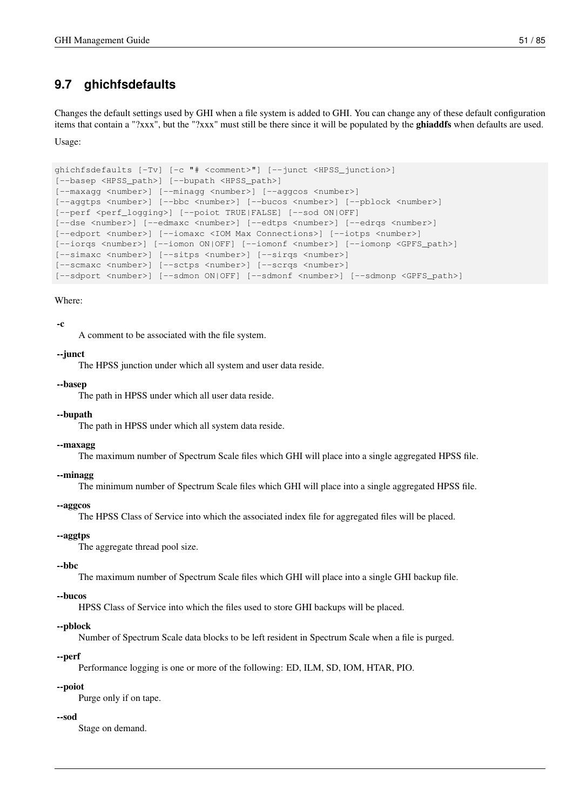### **9.7 ghichfsdefaults**

Changes the default settings used by GHI when a file system is added to GHI. You can change any of these default configuration items that contain a "?xxx", but the "?xxx" must still be there since it will be populated by the ghiaddfs when defaults are used.

Usage:

```
ghichfsdefaults [-Tv] [-c "# <comment>"] [--junct <HPSS_junction>]
[--basep <HPSS_path>] [--bupath <HPSS_path>]
[--maxagg <number>] [--minagg <number>] [--aggcos <number>]
[--aggtps <number>] [--bbc <number>] [--bucos <number>] [--pblock <number>]
[--perf <perf_logging>] [--poiot TRUE|FALSE] [--sod ON|OFF]
[--dse <number>] [--edmaxc <number>] [--edtps <number>] [--edrqs <number>]
[--edport <number>] [--iomaxc <IOM Max Connections>] [--iotps <number>]
[--iorqs <number>] [--iomon ON|OFF] [--iomonf <number>] [--iomonp <GPFS_path>]
[--simaxc <number>] [--sitps <number>] [--sirqs <number>]
[--scmaxc <number>] [--sctps <number>] [--scrqs <number>]
[--sdport <number>] [--sdmon ON|OFF] [--sdmonf <number>] [--sdmonp <GPFS_path>]
```
#### Where:

#### -c

A comment to be associated with the file system.

#### --junct

The HPSS junction under which all system and user data reside.

#### --basep

The path in HPSS under which all user data reside.

#### --bupath

The path in HPSS under which all system data reside.

#### --maxagg

The maximum number of Spectrum Scale files which GHI will place into a single aggregated HPSS file.

#### --minagg

The minimum number of Spectrum Scale files which GHI will place into a single aggregated HPSS file.

#### --aggcos

The HPSS Class of Service into which the associated index file for aggregated files will be placed.

### --aggtps

The aggregate thread pool size.

#### --bbc

The maximum number of Spectrum Scale files which GHI will place into a single GHI backup file.

#### --bucos

HPSS Class of Service into which the files used to store GHI backups will be placed.

#### --pblock

Number of Spectrum Scale data blocks to be left resident in Spectrum Scale when a file is purged.

#### --perf

Performance logging is one or more of the following: ED, ILM, SD, IOM, HTAR, PIO.

#### --poiot

Purge only if on tape.

#### --sod

Stage on demand.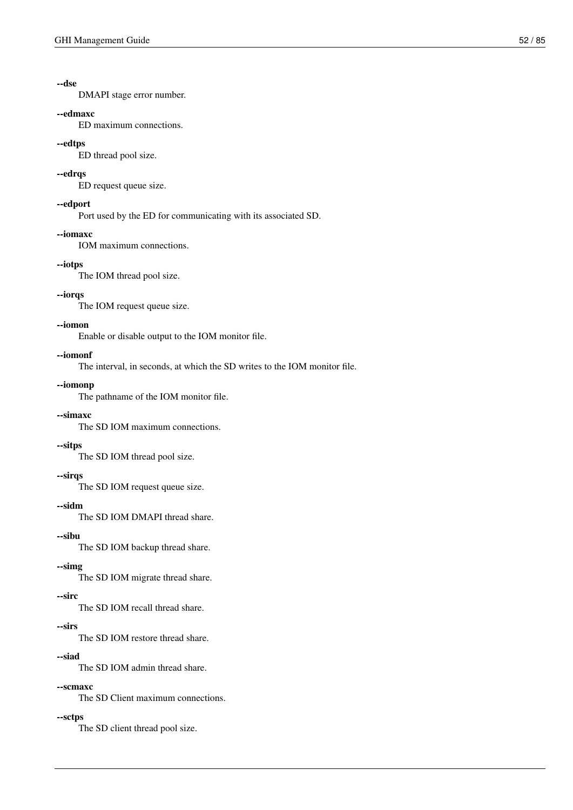#### --dse

DMAPI stage error number.

#### --edmaxc

ED maximum connections.

#### --edtps

ED thread pool size.

#### --edrqs

ED request queue size.

#### --edport

Port used by the ED for communicating with its associated SD.

#### --iomaxc

IOM maximum connections.

#### --iotps

The IOM thread pool size.

#### --iorqs

The IOM request queue size.

#### --iomon

Enable or disable output to the IOM monitor file.

#### --iomonf

The interval, in seconds, at which the SD writes to the IOM monitor file.

#### --iomonp

The pathname of the IOM monitor file.

#### --simaxc

The SD IOM maximum connections.

#### --sitps

The SD IOM thread pool size.

#### --sirqs

The SD IOM request queue size.

#### --sidm

The SD IOM DMAPI thread share.

### --sibu

The SD IOM backup thread share.

#### --simg

The SD IOM migrate thread share.

#### --sirc

The SD IOM recall thread share.

#### --sirs

The SD IOM restore thread share.

#### --siad

The SD IOM admin thread share.

#### --scmaxc

The SD Client maximum connections.

#### --sctps

The SD client thread pool size.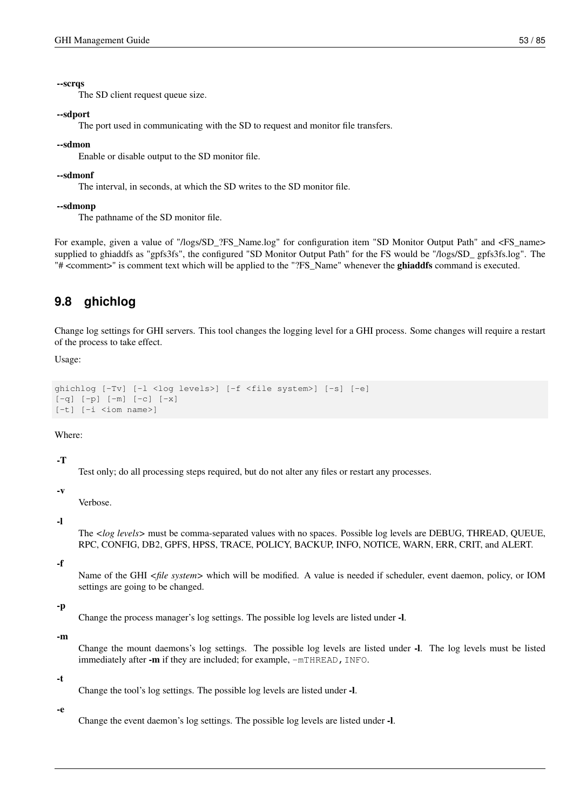#### --scrqs

The SD client request queue size.

#### --sdport

The port used in communicating with the SD to request and monitor file transfers.

#### --sdmon

Enable or disable output to the SD monitor file.

#### --sdmonf

The interval, in seconds, at which the SD writes to the SD monitor file.

#### --sdmonp

The pathname of the SD monitor file.

For example, given a value of "/logs/SD\_?FS\_Name.log" for configuration item "SD Monitor Output Path" and <FS\_name> supplied to ghiaddfs as "gpfs3fs", the configured "SD Monitor Output Path" for the FS would be "/logs/SD\_ gpfs3fs.log". The "# <comment>" is comment text which will be applied to the "?FS\_Name" whenever the **ghiaddfs** command is executed.

### **9.8 ghichlog**

Change log settings for GHI servers. This tool changes the logging level for a GHI process. Some changes will require a restart of the process to take effect.

Usage:

```
ghichlog [-Tv] [-l <log levels>] [-f <file system>] [-s] [-e]
[-q] [-p] [-m] [-c] [-x][-t] [-i <iom name>]
```
#### Where:

#### -T

Test only; do all processing steps required, but do not alter any files or restart any processes.

-v

```
Verbose.
```
#### -l

The *<log levels>* must be comma-separated values with no spaces. Possible log levels are DEBUG, THREAD, QUEUE, RPC, CONFIG, DB2, GPFS, HPSS, TRACE, POLICY, BACKUP, INFO, NOTICE, WARN, ERR, CRIT, and ALERT.

-f

Name of the GHI *<file system>* which will be modified. A value is needed if scheduler, event daemon, policy, or IOM settings are going to be changed.

#### -p

Change the process manager's log settings. The possible log levels are listed under -l.

#### -m

Change the mount daemons's log settings. The possible log levels are listed under -l. The log levels must be listed immediately after -m if they are included; for example,  $-mTHREAD$ , INFO.

#### -t

Change the tool's log settings. The possible log levels are listed under -l.

#### -e

Change the event daemon's log settings. The possible log levels are listed under -l.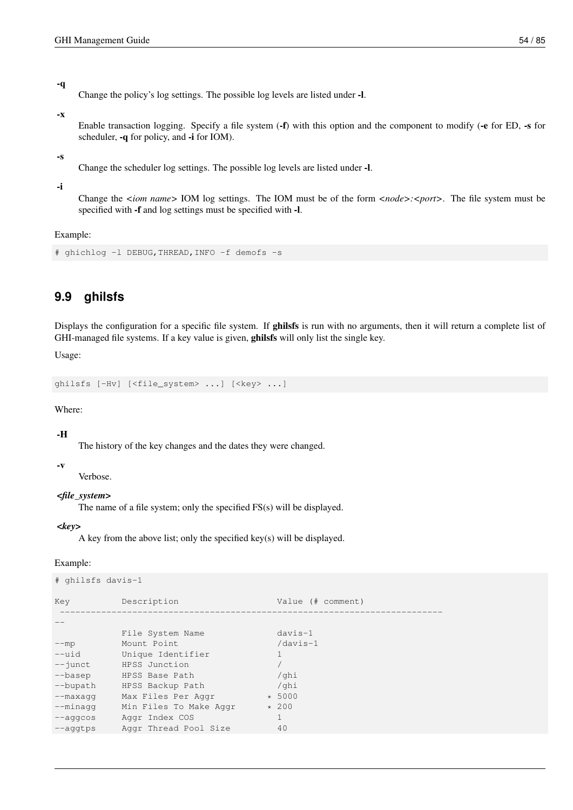#### -q

Change the policy's log settings. The possible log levels are listed under -l.

#### -x

Enable transaction logging. Specify a file system (-f) with this option and the component to modify (-e for ED, -s for scheduler, -q for policy, and -i for IOM).

#### -s

Change the scheduler log settings. The possible log levels are listed under -l.

#### -i

Change the *<iom name>* IOM log settings. The IOM must be of the form *<node>:<port>*. The file system must be specified with -f and log settings must be specified with -l.

#### Example:

```
# ghichlog -l DEBUG,THREAD,INFO -f demofs -s
```
### **9.9 ghilsfs**

Displays the configuration for a specific file system. If ghilsts is run with no arguments, then it will return a complete list of GHI-managed file systems. If a key value is given, ghilsfs will only list the single key.

Usage:

```
ghilsfs [-Hv] [<file_system> ...] [<key> ...]
```
#### Where:

#### -H

The history of the key changes and the dates they were changed.

#### -v

Verbose.

#### *<file\_system>*

The name of a file system; only the specified FS(s) will be displayed.

#### *<key>*

A key from the above list; only the specified key(s) will be displayed.

#### Example:

| # ghilsfs davis-1 |                        |                   |
|-------------------|------------------------|-------------------|
| Key               | Description            | Value (# comment) |
|                   |                        |                   |
|                   | File System Name       | $davis-1$         |
| $-mp$             | Mount Point            | $/davis-1$        |
| $--uid$           | Unique Identifier      | 1                 |
| $ \gamma$ unct    | HPSS Junction          |                   |
| --basep           | HPSS Base Path         | /qhi              |
| --bupath          | HPSS Backup Path       | /qhi              |
| $-$ maxaqq        | Max Files Per Aggr     | $* 5000$          |
| $-$ minaqq        | Min Files To Make Aggr | $*200$            |
| $-$ agg $\cos$    | Aggr Index COS         | $\mathbf{1}$      |
| $-$ aqqtps        | Aggr Thread Pool Size  | 40                |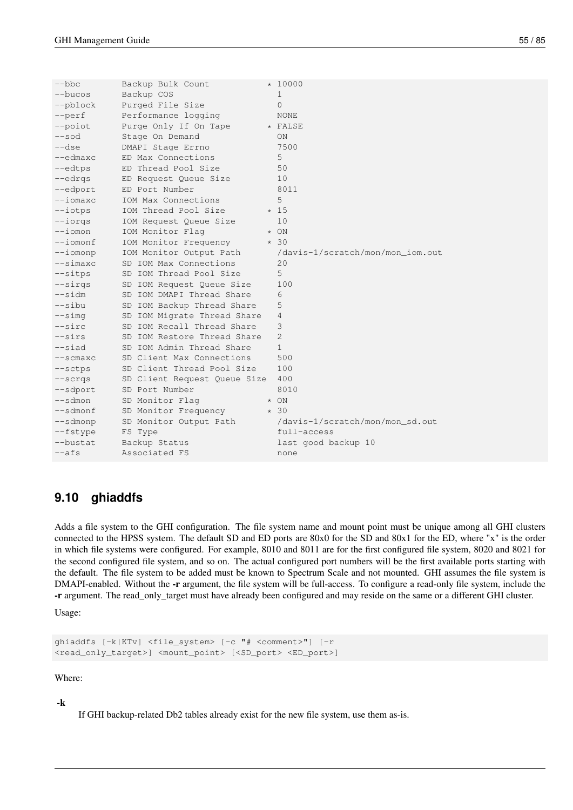| --bbc      | Backup Bulk Count                  | $* 10000$                                              |  |
|------------|------------------------------------|--------------------------------------------------------|--|
| --bucos    | Backup COS                         | $\mathbf{1}$                                           |  |
| --pblock   | Purged File Size                   | $\Omega$                                               |  |
| --perf     | Performance logging                | NONE                                                   |  |
| --poiot    | Purge Only If On Tape              | * FALSE                                                |  |
| --sod      | Stage On Demand                    | ON                                                     |  |
| --dse      | DMAPI Stage Errno                  | 7500                                                   |  |
| --edmaxc   | ED Max Connections                 | 5                                                      |  |
| --edtps    | ED Thread Pool Size                | 50                                                     |  |
| --edrgs    | ED Request Queue Size              | 10                                                     |  |
| --edport   | ED Port Number                     | 8011                                                   |  |
| $-$ iomaxc | IOM Max Connections                | 5                                                      |  |
| --iotps    | IOM Thread Pool Size<br>$\star$ 15 |                                                        |  |
| --iorgs    | IOM Request Queue Size             | 10                                                     |  |
| --iomon    | IOM Monitor Flag                   | $\star$ ON                                             |  |
| --iomonf   | IOM Monitor Frequency * 30         |                                                        |  |
| $-$ iomonp | IOM Monitor Output Path            | /davis-1/scratch/mon/mon_iom.out                       |  |
| --simaxc   | SD IOM Max Connections             | 20                                                     |  |
| --sitps    | SD IOM Thread Pool Size            | 5                                                      |  |
| --sirgs    | SD IOM Request Queue Size          | 100                                                    |  |
| --sidm     | SD IOM DMAPI Thread Share          | 6                                                      |  |
| --sibu     | SD IOM Backup Thread Share         | 5                                                      |  |
| --simq     | SD IOM Migrate Thread Share        | 4                                                      |  |
| --sirc     | SD IOM Recall Thread Share         | 3                                                      |  |
| --sirs     | SD IOM Restore Thread Share        | 2                                                      |  |
| --siad     | SD IOM Admin Thread Share          | $\mathbf{1}$                                           |  |
| $--scmaxc$ | SD Client Max Connections          | 500                                                    |  |
| --sctps    | SD Client Thread Pool Size         | 100                                                    |  |
| --scrqs    | SD Client Request Queue Size       | 400                                                    |  |
| --sdport   | SD Port Number                     | 8010                                                   |  |
| --sdmon    | SD Monitor Flag                    | $\star$ ON                                             |  |
| --sdmonf   | SD Monitor Frequency * 30          |                                                        |  |
| --sdmonp   |                                    | SD Monitor Output Path /davis-1/scratch/mon/mon_sd.out |  |
| --fstype   | FS Type                            | full-access                                            |  |
| --bustat   | Backup Status                      | last good backup 10                                    |  |
| --afs      | Associated FS                      | none                                                   |  |

### **9.10 ghiaddfs**

Adds a file system to the GHI configuration. The file system name and mount point must be unique among all GHI clusters connected to the HPSS system. The default SD and ED ports are 80x0 for the SD and 80x1 for the ED, where "x" is the order in which file systems were configured. For example, 8010 and 8011 are for the first configured file system, 8020 and 8021 for the second configured file system, and so on. The actual configured port numbers will be the first available ports starting with the default. The file system to be added must be known to Spectrum Scale and not mounted. GHI assumes the file system is DMAPI-enabled. Without the -r argument, the file system will be full-access. To configure a read-only file system, include the -r argument. The read\_only\_target must have already been configured and may reside on the same or a different GHI cluster.

Usage:

```
ghiaddfs [-k|KTv] <file_system> [-c "# <comment>"] [-r
<read_only_target>] <mount_point> [<SD_port> <ED_port>]
```
Where:

-k

If GHI backup-related Db2 tables already exist for the new file system, use them as-is.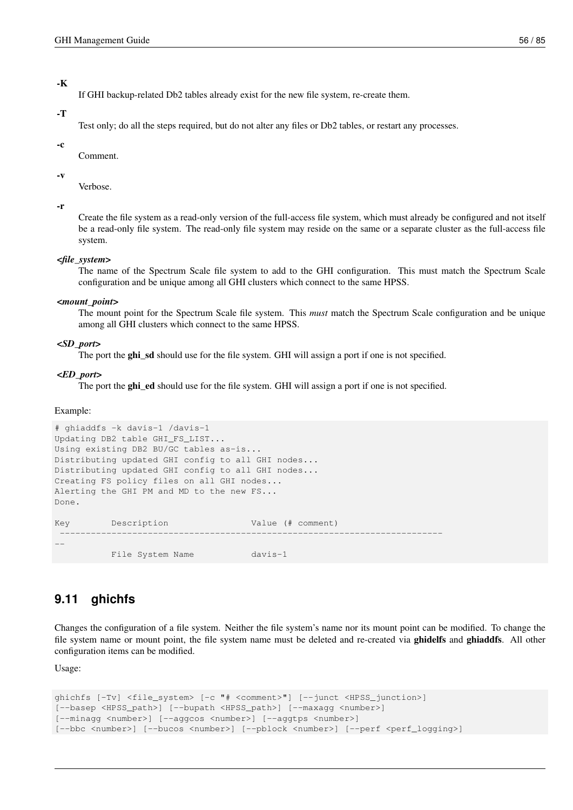#### -K

If GHI backup-related Db2 tables already exist for the new file system, re-create them.

#### -T

Test only; do all the steps required, but do not alter any files or Db2 tables, or restart any processes.

#### -c

Comment.

#### -v

Verbose.

#### -r

Create the file system as a read-only version of the full-access file system, which must already be configured and not itself be a read-only file system. The read-only file system may reside on the same or a separate cluster as the full-access file system.

#### *<file\_system>*

The name of the Spectrum Scale file system to add to the GHI configuration. This must match the Spectrum Scale configuration and be unique among all GHI clusters which connect to the same HPSS.

#### *<mount\_point>*

The mount point for the Spectrum Scale file system. This *must* match the Spectrum Scale configuration and be unique among all GHI clusters which connect to the same HPSS.

#### *<SD\_port>*

The port the **ghi\_sd** should use for the file system. GHI will assign a port if one is not specified.

#### *<ED\_port>*

The port the **ghi** ed should use for the file system. GHI will assign a port if one is not specified.

#### Example:

```
# ghiaddfs -k davis-1 /davis-1
Updating DB2 table GHI_FS_LIST...
Using existing DB2 BU/GC tables as-is...
Distributing updated GHI config to all GHI nodes...
Distributing updated GHI config to all GHI nodes...
Creating FS policy files on all GHI nodes...
Alerting the GHI PM and MD to the new FS...
Done.
Key Description Value (# comment)
 --------------------------------------------------------------------------
--
          File System Name davis-1
```
### **9.11 ghichfs**

Changes the configuration of a file system. Neither the file system's name nor its mount point can be modified. To change the file system name or mount point, the file system name must be deleted and re-created via ghidelfs and ghiaddfs. All other configuration items can be modified.

Usage:

```
ghichfs [-Tv] <file_system> [-c "# <comment>"] [--junct <HPSS_junction>]
[--basep <HPSS_path>] [--bupath <HPSS_path>] [--maxagg <number>]
[--minagg <number>] [--aggcos <number>] [--aggtps <number>]
[--bbc <number>] [--bucos <number>] [--pblock <number>] [--perf <perf_logging>]
```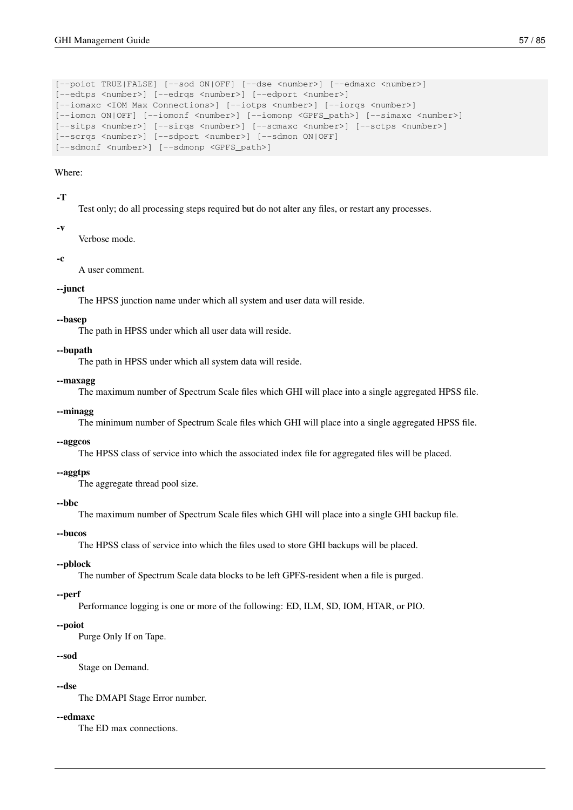```
[--poiot TRUE|FALSE] [--sod ON|OFF] [--dse <number>] [--edmaxc <number>]
[--edtps <number>] [--edrqs <number>] [--edport <number>]
[--iomaxc <IOM Max Connections>] [--iotps <number>] [--iorqs <number>]
[--iomon ON|OFF] [--iomonf <number>] [--iomonp <GPFS_path>] [--simaxc <number>]
[--sitps <number>] [--sirqs <number>] [--scmaxc <number>] [--sctps <number>]
[--scrqs <number>] [--sdport <number>] [--sdmon ON|OFF]
[--sdmonf <number>] [--sdmonp <GPFS_path>]
```
#### Where:

#### -T

Test only; do all processing steps required but do not alter any files, or restart any processes.

#### -v

Verbose mode.

#### -c

A user comment.

#### --junct

The HPSS junction name under which all system and user data will reside.

#### --basep

The path in HPSS under which all user data will reside.

#### --bupath

The path in HPSS under which all system data will reside.

#### --maxagg

The maximum number of Spectrum Scale files which GHI will place into a single aggregated HPSS file.

#### --minagg

The minimum number of Spectrum Scale files which GHI will place into a single aggregated HPSS file.

#### --aggcos

The HPSS class of service into which the associated index file for aggregated files will be placed.

#### --aggtps

The aggregate thread pool size.

#### --bbc

The maximum number of Spectrum Scale files which GHI will place into a single GHI backup file.

#### --bucos

The HPSS class of service into which the files used to store GHI backups will be placed.

#### --pblock

The number of Spectrum Scale data blocks to be left GPFS-resident when a file is purged.

#### --perf

Performance logging is one or more of the following: ED, ILM, SD, IOM, HTAR, or PIO.

#### --poiot

Purge Only If on Tape.

#### --sod

Stage on Demand.

#### --dse

The DMAPI Stage Error number.

#### --edmaxc

The ED max connections.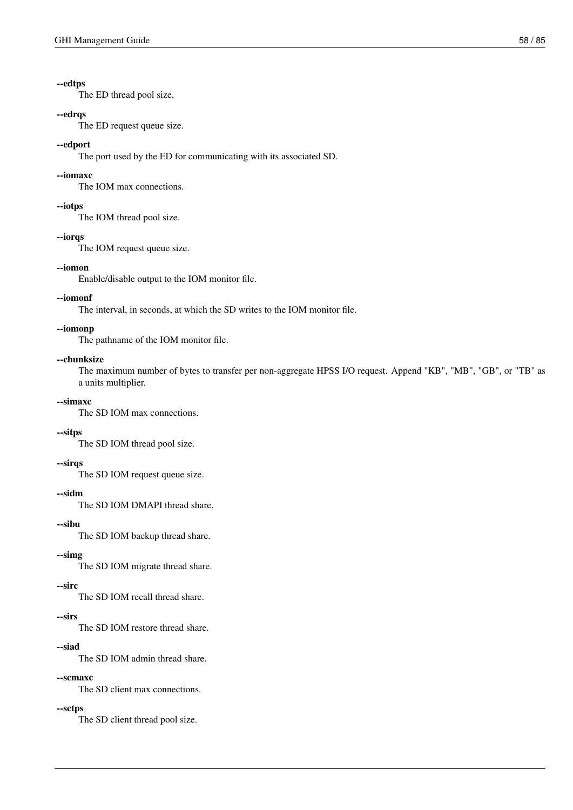#### --edtps

The ED thread pool size.

#### --edrqs

The ED request queue size.

#### --edport

The port used by the ED for communicating with its associated SD.

#### --iomaxc

The IOM max connections.

#### --iotps

The IOM thread pool size.

#### --iorqs

The IOM request queue size.

#### --iomon

Enable/disable output to the IOM monitor file.

#### --iomonf

The interval, in seconds, at which the SD writes to the IOM monitor file.

#### --iomonp

The pathname of the IOM monitor file.

#### --chunksize

The maximum number of bytes to transfer per non-aggregate HPSS I/O request. Append "KB", "MB", "GB", or "TB" as a units multiplier.

#### --simaxc

The SD IOM max connections.

#### --sitps

The SD IOM thread pool size.

#### --sirqs

The SD IOM request queue size.

#### --sidm

The SD IOM DMAPI thread share.

#### --sibu

The SD IOM backup thread share.

#### --simg

The SD IOM migrate thread share.

#### --sirc

The SD IOM recall thread share.

#### --sirs

The SD IOM restore thread share.

#### --siad

The SD IOM admin thread share.

#### --scmaxc

The SD client max connections.

#### --sctps

The SD client thread pool size.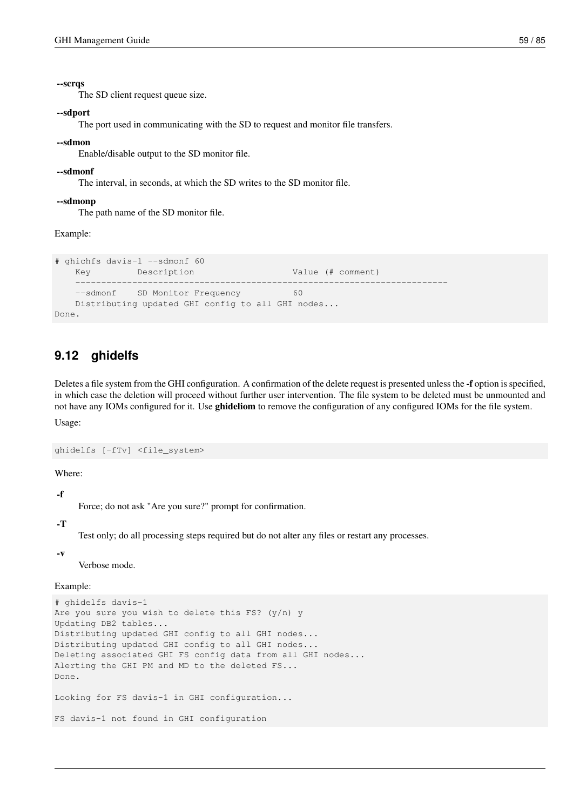#### --scrqs

The SD client request queue size.

#### --sdport

The port used in communicating with the SD to request and monitor file transfers.

#### --sdmon

Enable/disable output to the SD monitor file.

#### --sdmonf

The interval, in seconds, at which the SD writes to the SD monitor file.

#### --sdmonp

The path name of the SD monitor file.

Example:

```
# ghichfs davis-1 --sdmonf 60
   Key Description Value (# comment)
   ------------------------------------------------------------------------
   --sdmonf SD Monitor Frequency 60
   Distributing updated GHI config to all GHI nodes...
Done.
```
### **9.12 ghidelfs**

Deletes a file system from the GHI configuration. A confirmation of the delete request is presented unless the -f option is specified, in which case the deletion will proceed without further user intervention. The file system to be deleted must be unmounted and not have any IOMs configured for it. Use ghideliom to remove the configuration of any configured IOMs for the file system. Usage:

ghidelfs [-fTv] <file\_system>

Where:

#### -f

Force; do not ask "Are you sure?" prompt for confirmation.

-T

Test only; do all processing steps required but do not alter any files or restart any processes.

-v

Verbose mode.

#### Example:

```
# ghidelfs davis-1
Are you sure you wish to delete this FS? (y/n) y
Updating DB2 tables...
Distributing updated GHI config to all GHI nodes...
Distributing updated GHI config to all GHI nodes...
Deleting associated GHI FS config data from all GHI nodes...
Alerting the GHI PM and MD to the deleted FS...
Done.
Looking for FS davis-1 in GHI configuration...
FS davis-1 not found in GHI configuration
```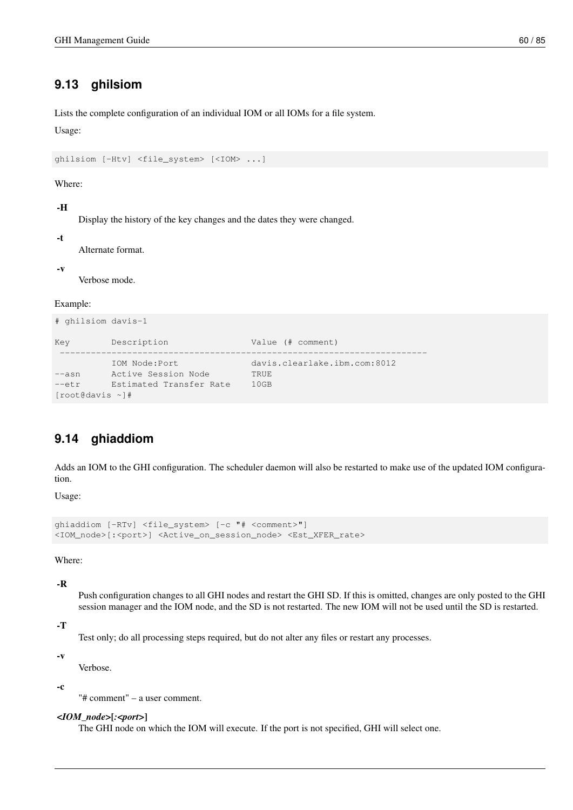### **9.13 ghilsiom**

Lists the complete configuration of an individual IOM or all IOMs for a file system.

Usage:

```
ghilsiom [-Htv] <file_system> [<IOM> ...]
```
Where:

-H

Display the history of the key changes and the dates they were changed.

-t

```
Alternate format.
```
-v

Verbose mode.

Example:

```
# ghilsiom davis-1
Key Description Value (# comment)
 -----------------------------------------------------------------------
         IOM Node:Port davis.clearlake.ibm.com:8012
--asn Active Session Node TRUE
--etr Estimated Transfer Rate 10GB
[root@davis ~]#
```
### **9.14 ghiaddiom**

Adds an IOM to the GHI configuration. The scheduler daemon will also be restarted to make use of the updated IOM configuration.

Usage:

```
ghiaddiom [-RTv] <file_system> [-c "# <comment>"]
<IOM_node>[:<port>] <Active_on_session_node> <Est_XFER_rate>
```
Where:

-R

Push configuration changes to all GHI nodes and restart the GHI SD. If this is omitted, changes are only posted to the GHI session manager and the IOM node, and the SD is not restarted. The new IOM will not be used until the SD is restarted.

-T

Test only; do all processing steps required, but do not alter any files or restart any processes.

-v

Verbose.

-c

"# comment" – a user comment.

*<IOM\_node>*[*:<port>*]

The GHI node on which the IOM will execute. If the port is not specified, GHI will select one.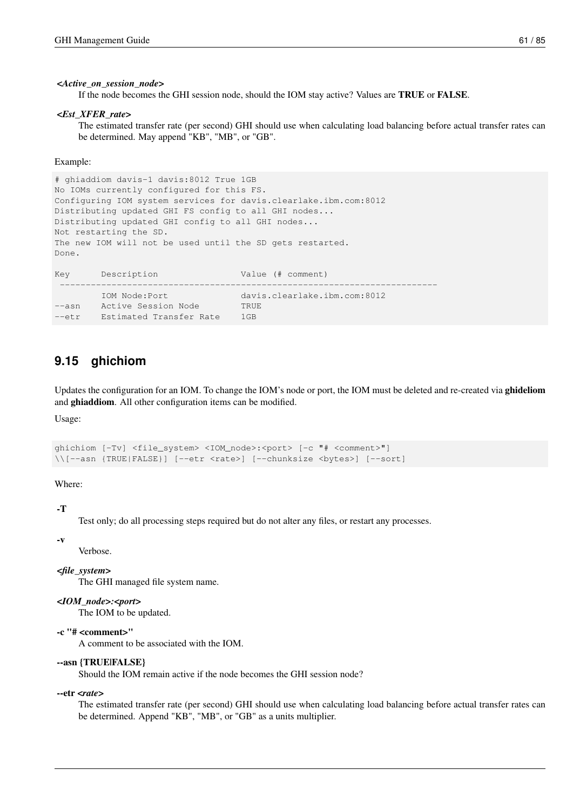#### *<Active\_on\_session\_node>*

If the node becomes the GHI session node, should the IOM stay active? Values are TRUE or FALSE.

#### *<Est\_XFER\_rate>*

The estimated transfer rate (per second) GHI should use when calculating load balancing before actual transfer rates can be determined. May append "KB", "MB", or "GB".

#### Example:

# ghiaddiom davis-1 davis:8012 True 1GB No IOMs currently configured for this FS. Configuring IOM system services for davis.clearlake.ibm.com:8012 Distributing updated GHI FS config to all GHI nodes... Distributing updated GHI config to all GHI nodes... Not restarting the SD. The new IOM will not be used until the SD gets restarted. Done.

| Kev      | Description             | Value (# comment)            |
|----------|-------------------------|------------------------------|
|          | TOM Node:Port           | davis.clearlake.ibm.com:8012 |
| $-$ asn  | Active Session Node     | TRUE.                        |
| $--e$ tr | Estimated Transfer Rate | $1$ GB                       |

### **9.15 ghichiom**

Updates the configuration for an IOM. To change the IOM's node or port, the IOM must be deleted and re-created via ghideliom and ghiaddiom. All other configuration items can be modified.

Usage:

```
ghichiom [-Tv] <file_system> <IOM_node>:<port> [-c "# <comment>"]
\\[--asn {TRUE|FALSE}] [--etr <rate>] [--chunksize <br/> <br/> <br/> (--sort]
```
Where:

-T

Test only; do all processing steps required but do not alter any files, or restart any processes.

-v

Verbose.

*<file\_system>*

The GHI managed file system name.

#### *<IOM\_node>:<port>*

The IOM to be updated.

#### -c "# <comment>"

A comment to be associated with the IOM.

#### --asn {TRUE|FALSE}

Should the IOM remain active if the node becomes the GHI session node?

#### --etr *<rate>*

The estimated transfer rate (per second) GHI should use when calculating load balancing before actual transfer rates can be determined. Append "KB", "MB", or "GB" as a units multiplier.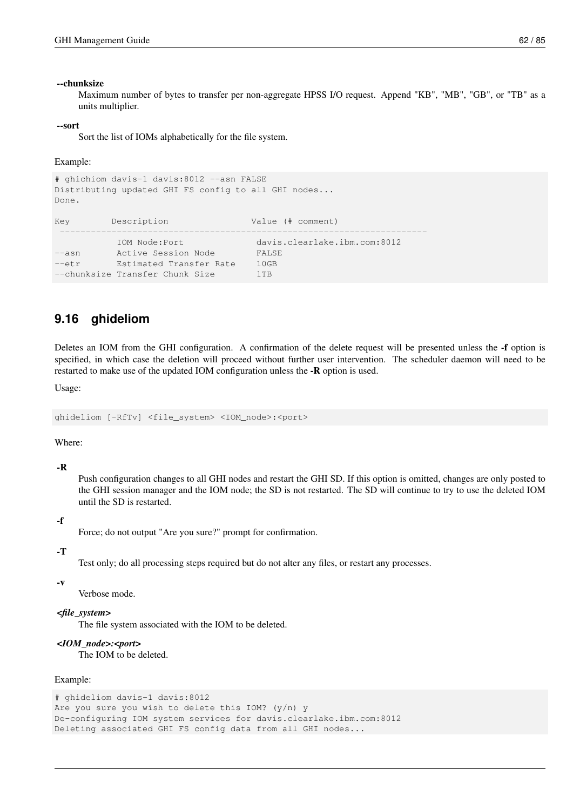#### --chunksize

Maximum number of bytes to transfer per non-aggregate HPSS I/O request. Append "KB", "MB", "GB", or "TB" as a units multiplier.

#### --sort

Sort the list of IOMs alphabetically for the file system.

#### Example:

```
# ghichiom davis-1 davis:8012 --asn FALSE
Distributing updated GHI FS config to all GHI nodes...
Done.
Key Description Value (# comment)
 -----------------------------------------------------------------------
          IOM Node:Port davis.clearlake.ibm.com:8012
--asn Mctive Session Node FALSE
--etr Estimated Transfer Rate 10GB
--chunksize Transfer Chunk Size 1TB
```
### **9.16 ghideliom**

Deletes an IOM from the GHI configuration. A confirmation of the delete request will be presented unless the -f option is specified, in which case the deletion will proceed without further user intervention. The scheduler daemon will need to be restarted to make use of the updated IOM configuration unless the -R option is used.

Usage:

```
ghideliom [-RfTv] <file_system> <IOM_node>:<port>
```
Where:

-R

Push configuration changes to all GHI nodes and restart the GHI SD. If this option is omitted, changes are only posted to the GHI session manager and the IOM node; the SD is not restarted. The SD will continue to try to use the deleted IOM until the SD is restarted.

-f

Force; do not output "Are you sure?" prompt for confirmation.

-T

Test only; do all processing steps required but do not alter any files, or restart any processes.

-v

Verbose mode.

*<file\_system>*

The file system associated with the IOM to be deleted.

*<IOM\_node>:<port>*

The IOM to be deleted.

#### Example:

```
# ghideliom davis-1 davis:8012
Are you sure you wish to delete this IOM? (y/n) y
De-configuring IOM system services for davis.clearlake.ibm.com:8012
Deleting associated GHI FS config data from all GHI nodes...
```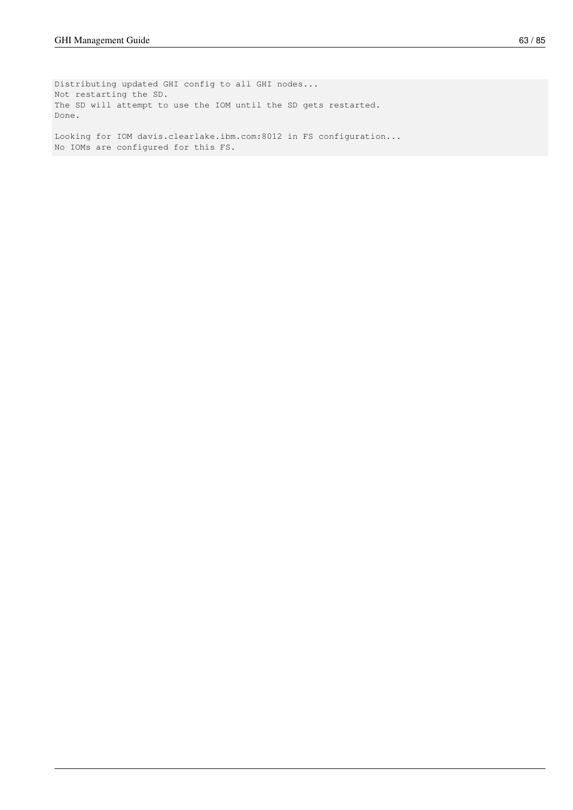Distributing updated GHI config to all GHI nodes... Not restarting the SD. The SD will attempt to use the IOM until the SD gets restarted. Done.

Looking for IOM davis.clearlake.ibm.com:8012 in FS configuration... No IOMs are configured for this FS.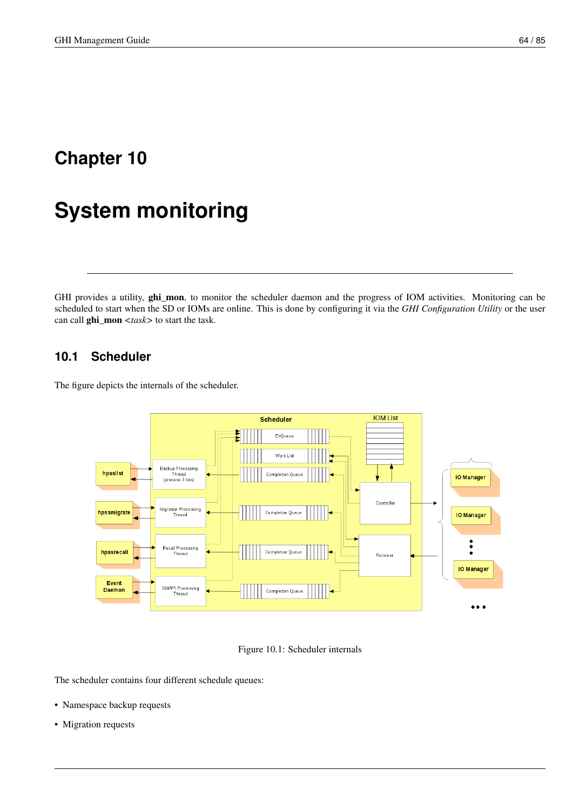## **Chapter 10**

# **System monitoring**

GHI provides a utility, ghi\_mon, to monitor the scheduler daemon and the progress of IOM activities. Monitoring can be scheduled to start when the SD or IOMs are online. This is done by configuring it via the *GHI Configuration Utility* or the user can call ghi\_mon *<task>* to start the task.

## **10.1 Scheduler**

The figure depicts the internals of the scheduler.





The scheduler contains four different schedule queues:

- Namespace backup requests
- Migration requests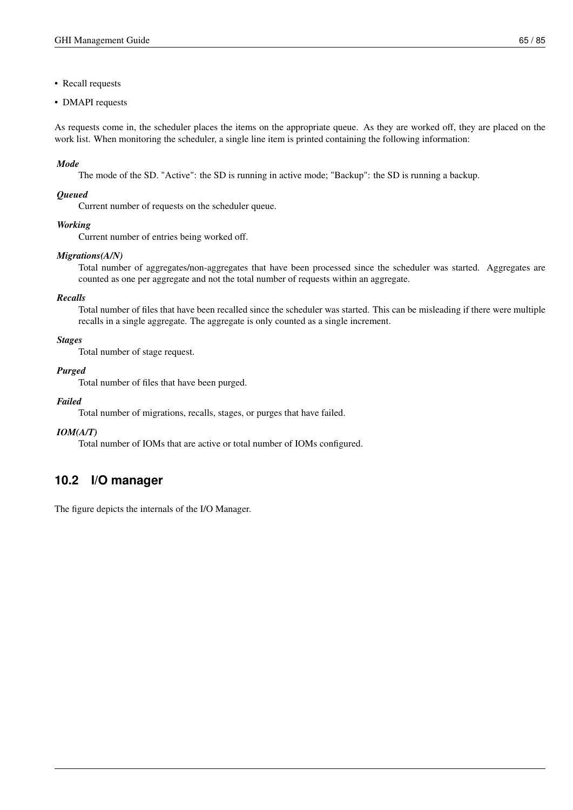- Recall requests
- DMAPI requests

As requests come in, the scheduler places the items on the appropriate queue. As they are worked off, they are placed on the work list. When monitoring the scheduler, a single line item is printed containing the following information:

#### *Mode*

The mode of the SD. "Active": the SD is running in active mode; "Backup": the SD is running a backup.

#### *Queued*

Current number of requests on the scheduler queue.

#### *Working*

Current number of entries being worked off.

#### *Migrations(A/N)*

Total number of aggregates/non-aggregates that have been processed since the scheduler was started. Aggregates are counted as one per aggregate and not the total number of requests within an aggregate.

#### *Recalls*

Total number of files that have been recalled since the scheduler was started. This can be misleading if there were multiple recalls in a single aggregate. The aggregate is only counted as a single increment.

#### *Stages*

Total number of stage request.

### *Purged*

Total number of files that have been purged.

## *Failed*

Total number of migrations, recalls, stages, or purges that have failed.

### *IOM(A/T)*

Total number of IOMs that are active or total number of IOMs configured.

## **10.2 I/O manager**

The figure depicts the internals of the I/O Manager.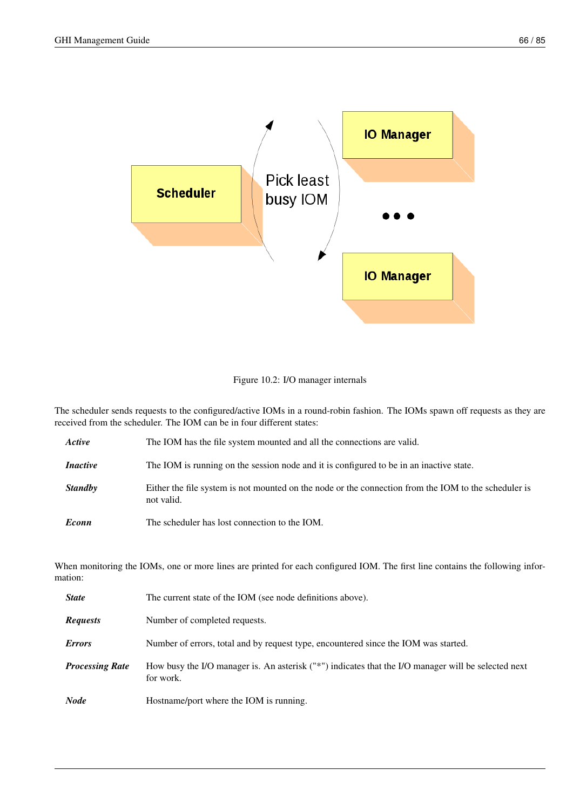

Figure 10.2: I/O manager internals

The scheduler sends requests to the configured/active IOMs in a round-robin fashion. The IOMs spawn off requests as they are received from the scheduler. The IOM can be in four different states:

| Active          | The IOM has the file system mounted and all the connections are valid.                                             |
|-----------------|--------------------------------------------------------------------------------------------------------------------|
| <i>Inactive</i> | The IOM is running on the session node and it is configured to be in an inactive state.                            |
| <b>Standby</b>  | Either the file system is not mounted on the node or the connection from the IOM to the scheduler is<br>not valid. |
| Econn           | The scheduler has lost connection to the IOM.                                                                      |

When monitoring the IOMs, one or more lines are printed for each configured IOM. The first line contains the following information:

| <b>State</b>           | The current state of the IOM (see node definitions above).                                                       |
|------------------------|------------------------------------------------------------------------------------------------------------------|
| <b>Requests</b>        | Number of completed requests.                                                                                    |
| <b>Errors</b>          | Number of errors, total and by request type, encountered since the IOM was started.                              |
| <b>Processing Rate</b> | How busy the I/O manager is. An asterisk ("*") indicates that the I/O manager will be selected next<br>for work. |
| <b>Node</b>            | Hostname/port where the IOM is running.                                                                          |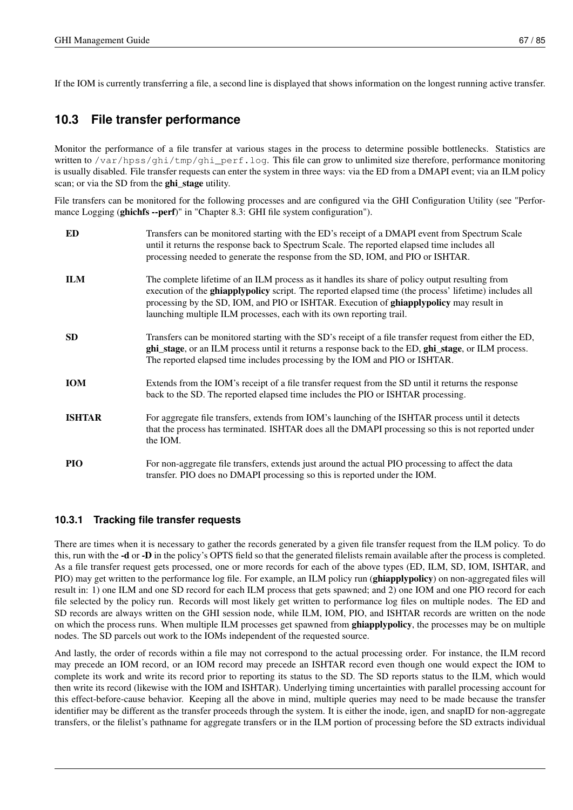If the IOM is currently transferring a file, a second line is displayed that shows information on the longest running active transfer.

## **10.3 File transfer performance**

Monitor the performance of a file transfer at various stages in the process to determine possible bottlenecks. Statistics are written to /var/hpss/ghi/tmp/ghi\_perf.log. This file can grow to unlimited size therefore, performance monitoring is usually disabled. File transfer requests can enter the system in three ways: via the ED from a DMAPI event; via an ILM policy scan; or via the SD from the **ghi\_stage** utility.

File transfers can be monitored for the following processes and are configured via the GHI Configuration Utility (see "Performance Logging (ghichfs --perf)" in "Chapter 8.3: GHI file system configuration").

| ED            | Transfers can be monitored starting with the ED's receipt of a DMAPI event from Spectrum Scale<br>until it returns the response back to Spectrum Scale. The reported elapsed time includes all<br>processing needed to generate the response from the SD, IOM, and PIO or ISHTAR.                                                                                                   |
|---------------|-------------------------------------------------------------------------------------------------------------------------------------------------------------------------------------------------------------------------------------------------------------------------------------------------------------------------------------------------------------------------------------|
| <b>ILM</b>    | The complete lifetime of an ILM process as it handles its share of policy output resulting from<br>execution of the <b>ghiapplypolicy</b> script. The reported elapsed time (the process' lifetime) includes all<br>processing by the SD, IOM, and PIO or ISHTAR. Execution of ghiapplypolicy may result in<br>launching multiple ILM processes, each with its own reporting trail. |
| <b>SD</b>     | Transfers can be monitored starting with the SD's receipt of a file transfer request from either the ED,<br>ghi_stage, or an ILM process until it returns a response back to the ED, ghi_stage, or ILM process.<br>The reported elapsed time includes processing by the IOM and PIO or ISHTAR.                                                                                      |
| <b>IOM</b>    | Extends from the IOM's receipt of a file transfer request from the SD until it returns the response<br>back to the SD. The reported elapsed time includes the PIO or ISHTAR processing.                                                                                                                                                                                             |
| <b>ISHTAR</b> | For aggregate file transfers, extends from IOM's launching of the ISHTAR process until it detects<br>that the process has terminated. ISHTAR does all the DMAPI processing so this is not reported under<br>the IOM.                                                                                                                                                                |
| PIO           | For non-aggregate file transfers, extends just around the actual PIO processing to affect the data<br>transfer. PIO does no DMAPI processing so this is reported under the IOM.                                                                                                                                                                                                     |

### **10.3.1 Tracking file transfer requests**

There are times when it is necessary to gather the records generated by a given file transfer request from the ILM policy. To do this, run with the -d or -D in the policy's OPTS field so that the generated filelists remain available after the process is completed. As a file transfer request gets processed, one or more records for each of the above types (ED, ILM, SD, IOM, ISHTAR, and PIO) may get written to the performance log file. For example, an ILM policy run (ghiapplypolicy) on non-aggregated files will result in: 1) one ILM and one SD record for each ILM process that gets spawned; and 2) one IOM and one PIO record for each file selected by the policy run. Records will most likely get written to performance log files on multiple nodes. The ED and SD records are always written on the GHI session node, while ILM, IOM, PIO, and ISHTAR records are written on the node on which the process runs. When multiple ILM processes get spawned from ghiapplypolicy, the processes may be on multiple nodes. The SD parcels out work to the IOMs independent of the requested source.

And lastly, the order of records within a file may not correspond to the actual processing order. For instance, the ILM record may precede an IOM record, or an IOM record may precede an ISHTAR record even though one would expect the IOM to complete its work and write its record prior to reporting its status to the SD. The SD reports status to the ILM, which would then write its record (likewise with the IOM and ISHTAR). Underlying timing uncertainties with parallel processing account for this effect-before-cause behavior. Keeping all the above in mind, multiple queries may need to be made because the transfer identifier may be different as the transfer proceeds through the system. It is either the inode, igen, and snapID for non-aggregate transfers, or the filelist's pathname for aggregate transfers or in the ILM portion of processing before the SD extracts individual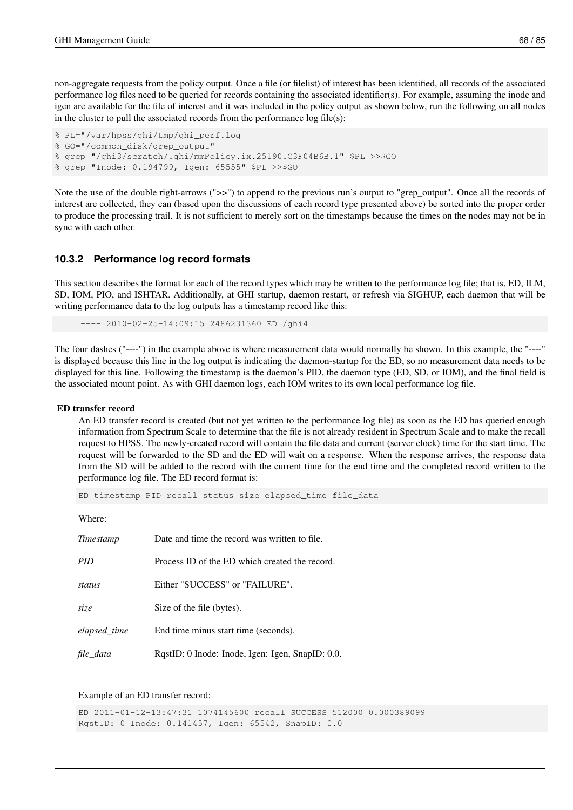non-aggregate requests from the policy output. Once a file (or filelist) of interest has been identified, all records of the associated performance log files need to be queried for records containing the associated identifier(s). For example, assuming the inode and igen are available for the file of interest and it was included in the policy output as shown below, run the following on all nodes in the cluster to pull the associated records from the performance  $log file(s)$ :

```
% PL="/var/hpss/ghi/tmp/ghi_perf.log
% GO="/common_disk/grep_output"
% grep "/ghi3/scratch/.ghi/mmPolicy.ix.25190.C3F04B6B.1" $PL >>$GO
% grep "Inode: 0.194799, Igen: 65555" $PL >>$GO
```
Note the use of the double right-arrows (">>") to append to the previous run's output to "grep\_output". Once all the records of interest are collected, they can (based upon the discussions of each record type presented above) be sorted into the proper order to produce the processing trail. It is not sufficient to merely sort on the timestamps because the times on the nodes may not be in sync with each other.

#### **10.3.2 Performance log record formats**

This section describes the format for each of the record types which may be written to the performance log file; that is, ED, ILM, SD, IOM, PIO, and ISHTAR. Additionally, at GHI startup, daemon restart, or refresh via SIGHUP, each daemon that will be writing performance data to the log outputs has a timestamp record like this:

 $-$  2010-02-25-14:09:15 2486231360 ED /ghi4

The four dashes ("----") in the example above is where measurement data would normally be shown. In this example, the "----" is displayed because this line in the log output is indicating the daemon-startup for the ED, so no measurement data needs to be displayed for this line. Following the timestamp is the daemon's PID, the daemon type (ED, SD, or IOM), and the final field is the associated mount point. As with GHI daemon logs, each IOM writes to its own local performance log file.

#### ED transfer record

An ED transfer record is created (but not yet written to the performance log file) as soon as the ED has queried enough information from Spectrum Scale to determine that the file is not already resident in Spectrum Scale and to make the recall request to HPSS. The newly-created record will contain the file data and current (server clock) time for the start time. The request will be forwarded to the SD and the ED will wait on a response. When the response arrives, the response data from the SD will be added to the record with the current time for the end time and the completed record written to the performance log file. The ED record format is:

ED timestamp PID recall status size elapsed\_time file\_data

Where:

| <b>Timestamp</b> | Date and time the record was written to file.    |
|------------------|--------------------------------------------------|
| <b>PID</b>       | Process ID of the ED which created the record.   |
| status           | Either "SUCCESS" or "FAILURE".                   |
| size             | Size of the file (bytes).                        |
| elapsed time     | End time minus start time (seconds).             |
| file_data        | RqstID: 0 Inode: Inode, Igen: Igen, SnapID: 0.0. |

#### Example of an ED transfer record:

```
ED 2011-01-12-13:47:31 1074145600 recall SUCCESS 512000 0.000389099
RqstID: 0 Inode: 0.141457, Igen: 65542, SnapID: 0.0
```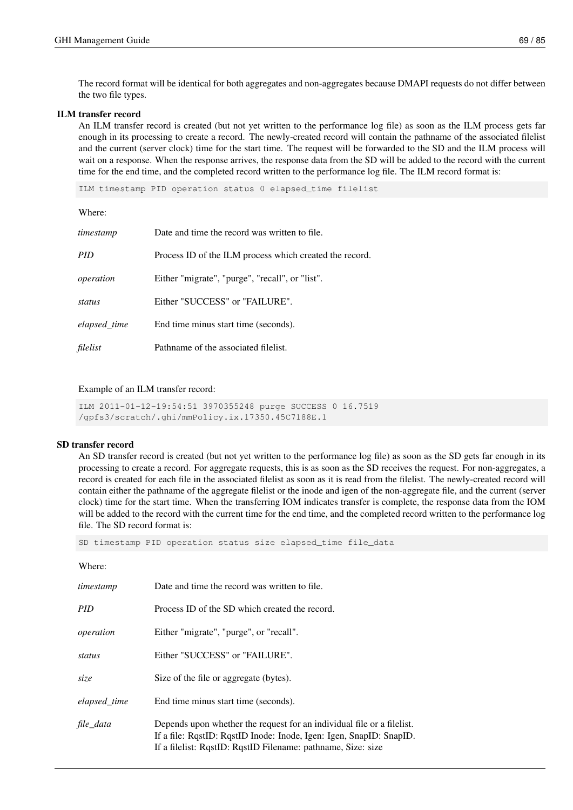The record format will be identical for both aggregates and non-aggregates because DMAPI requests do not differ between the two file types.

#### ILM transfer record

An ILM transfer record is created (but not yet written to the performance log file) as soon as the ILM process gets far enough in its processing to create a record. The newly-created record will contain the pathname of the associated filelist and the current (server clock) time for the start time. The request will be forwarded to the SD and the ILM process will wait on a response. When the response arrives, the response data from the SD will be added to the record with the current time for the end time, and the completed record written to the performance log file. The ILM record format is:

ILM timestamp PID operation status 0 elapsed\_time filelist

Where:

| timestamp    | Date and time the record was written to file.           |
|--------------|---------------------------------------------------------|
| PID          | Process ID of the ILM process which created the record. |
| operation    | Either "migrate", "purge", "recall", or "list".         |
| status       | Either "SUCCESS" or "FAILURE".                          |
| elapsed_time | End time minus start time (seconds).                    |
| filelist     | Pathname of the associated filelist.                    |

#### Example of an ILM transfer record:

ILM 2011-01-12-19:54:51 3970355248 purge SUCCESS 0 16.7519 /gpfs3/scratch/.ghi/mmPolicy.ix.17350.45C7188E.1

#### SD transfer record

An SD transfer record is created (but not yet written to the performance log file) as soon as the SD gets far enough in its processing to create a record. For aggregate requests, this is as soon as the SD receives the request. For non-aggregates, a record is created for each file in the associated filelist as soon as it is read from the filelist. The newly-created record will contain either the pathname of the aggregate filelist or the inode and igen of the non-aggregate file, and the current (server clock) time for the start time. When the transferring IOM indicates transfer is complete, the response data from the IOM will be added to the record with the current time for the end time, and the completed record written to the performance log file. The SD record format is:

SD timestamp PID operation status size elapsed\_time file\_data

#### Where:

| timestamp    | Date and time the record was written to file.                                                                                                                                                                 |
|--------------|---------------------------------------------------------------------------------------------------------------------------------------------------------------------------------------------------------------|
| <i>PID</i>   | Process ID of the SD which created the record.                                                                                                                                                                |
| operation    | Either "migrate", "purge", or "recall".                                                                                                                                                                       |
| status       | Either "SUCCESS" or "FAILURE".                                                                                                                                                                                |
| size         | Size of the file or aggregate (bytes).                                                                                                                                                                        |
| elapsed time | End time minus start time (seconds).                                                                                                                                                                          |
| file data    | Depends upon whether the request for an individual file or a filelist.<br>If a file: RqstID: RqstID Inode: Inode, Igen: Igen, SnapID: SnapID.<br>If a filelist: RqstID: RqstID Filename: pathname, Size: size |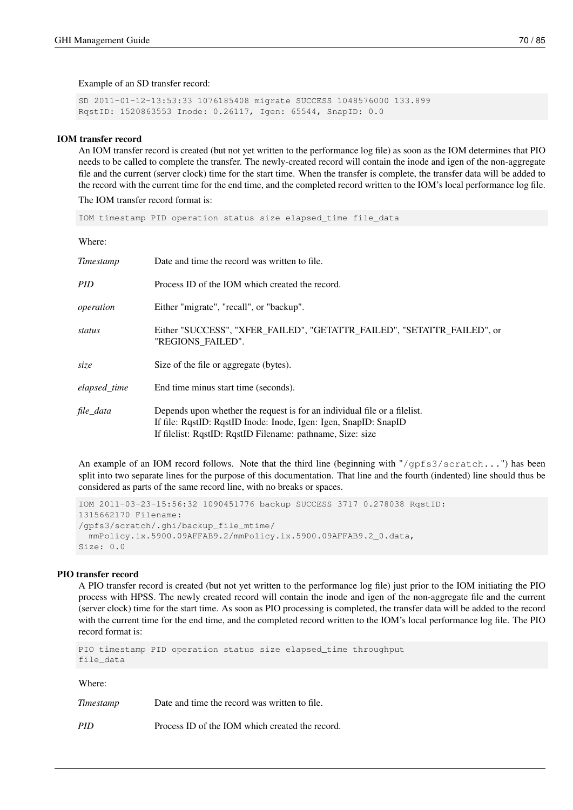Example of an SD transfer record:

```
SD 2011-01-12-13:53:33 1076185408 migrate SUCCESS 1048576000 133.899
RqstID: 1520863553 Inode: 0.26117, Igen: 65544, SnapID: 0.0
```
#### IOM transfer record

An IOM transfer record is created (but not yet written to the performance log file) as soon as the IOM determines that PIO needs to be called to complete the transfer. The newly-created record will contain the inode and igen of the non-aggregate file and the current (server clock) time for the start time. When the transfer is complete, the transfer data will be added to the record with the current time for the end time, and the completed record written to the IOM's local performance log file.

The IOM transfer record format is:

IOM timestamp PID operation status size elapsed\_time file\_data

#### Where:

| Timestamp    | Date and time the record was written to file.                                                                                                                                                               |
|--------------|-------------------------------------------------------------------------------------------------------------------------------------------------------------------------------------------------------------|
| <b>PID</b>   | Process ID of the IOM which created the record.                                                                                                                                                             |
| operation    | Either "migrate", "recall", or "backup".                                                                                                                                                                    |
| status       | Either "SUCCESS", "XFER_FAILED", "GETATTR_FAILED", "SETATTR_FAILED", or<br>"REGIONS FAILED".                                                                                                                |
| size         | Size of the file or aggregate (bytes).                                                                                                                                                                      |
| elapsed_time | End time minus start time (seconds).                                                                                                                                                                        |
| file_data    | Depends upon whether the request is for an individual file or a filelist.<br>If file: RqstID: RqstID Inode: Inode, Igen: Igen, SnapID: SnapID<br>If filelist: RqstID: RqstID Filename: pathname, Size: size |

An example of an IOM record follows. Note that the third line (beginning with "/gpfs3/scratch...") has been split into two separate lines for the purpose of this documentation. That line and the fourth (indented) line should thus be considered as parts of the same record line, with no breaks or spaces.

```
IOM 2011-03-23-15:56:32 1090451776 backup SUCCESS 3717 0.278038 RqstID:
1315662170 Filename:
/gpfs3/scratch/.ghi/backup_file_mtime/
 mmPolicy.ix.5900.09AFFAB9.2/mmPolicy.ix.5900.09AFFAB9.2_0.data,
Size: 0.0
```
#### PIO transfer record

A PIO transfer record is created (but not yet written to the performance log file) just prior to the IOM initiating the PIO process with HPSS. The newly created record will contain the inode and igen of the non-aggregate file and the current (server clock) time for the start time. As soon as PIO processing is completed, the transfer data will be added to the record with the current time for the end time, and the completed record written to the IOM's local performance log file. The PIO record format is:

PIO timestamp PID operation status size elapsed\_time throughput file\_data

#### Where:

| Timestamp  | Date and time the record was written to file.   |
|------------|-------------------------------------------------|
| <i>PID</i> | Process ID of the IOM which created the record. |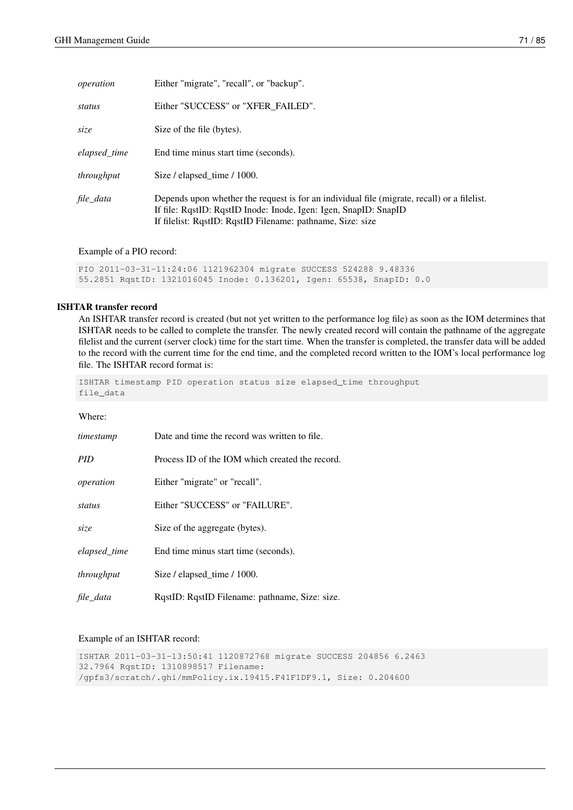|--|--|

| operation    | Either "migrate", "recall", or "backup".                                                                                                                                                                                      |
|--------------|-------------------------------------------------------------------------------------------------------------------------------------------------------------------------------------------------------------------------------|
| status       | Either "SUCCESS" or "XFER FAILED".                                                                                                                                                                                            |
| size         | Size of the file (bytes).                                                                                                                                                                                                     |
| elapsed time | End time minus start time (seconds).                                                                                                                                                                                          |
| throughput   | Size / elapsed time / 1000.                                                                                                                                                                                                   |
| file data    | Depends upon whether the request is for an individual file (migrate, recall) or a filelist.<br>If file: RqstID: RqstID Inode: Inode, Igen: Igen, SnapID: SnapID<br>If filelist: RqstID: RqstID Filename: pathname, Size: size |

#### Example of a PIO record:

```
PIO 2011-03-31-11:24:06 1121962304 migrate SUCCESS 524288 9.48336
55.2851 RqstID: 1321016045 Inode: 0.136201, Igen: 65538, SnapID: 0.0
```
#### ISHTAR transfer record

An ISHTAR transfer record is created (but not yet written to the performance log file) as soon as the IOM determines that ISHTAR needs to be called to complete the transfer. The newly created record will contain the pathname of the aggregate filelist and the current (server clock) time for the start time. When the transfer is completed, the transfer data will be added to the record with the current time for the end time, and the completed record written to the IOM's local performance log file. The ISHTAR record format is:

ISHTAR timestamp PID operation status size elapsed\_time throughput file\_data

#### Where:

| timestamp    | Date and time the record was written to file.   |
|--------------|-------------------------------------------------|
| <i>PID</i>   | Process ID of the IOM which created the record. |
| operation    | Either "migrate" or "recall".                   |
| status       | Either "SUCCESS" or "FAILURE".                  |
| size         | Size of the aggregate (bytes).                  |
| elapsed_time | End time minus start time (seconds).            |
| throughput   | Size / elapsed time / 1000.                     |
| file data    | RqstID: RqstID Filename: pathname, Size: size.  |

#### Example of an ISHTAR record:

```
ISHTAR 2011-03-31-13:50:41 1120872768 migrate SUCCESS 204856 6.2463
32.7964 RqstID: 1310898517 Filename:
/gpfs3/scratch/.ghi/mmPolicy.ix.19415.F41F1DF9.1, Size: 0.204600
```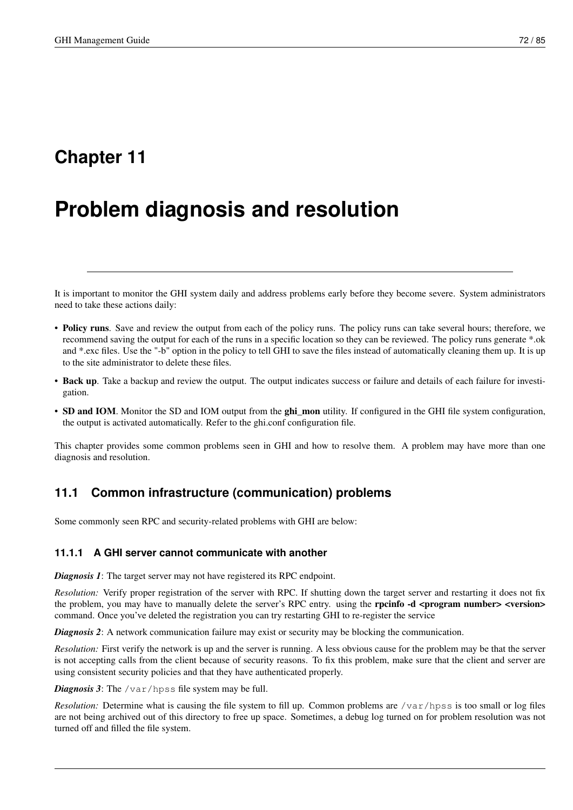## **Chapter 11**

# **Problem diagnosis and resolution**

It is important to monitor the GHI system daily and address problems early before they become severe. System administrators need to take these actions daily:

- Policy runs. Save and review the output from each of the policy runs. The policy runs can take several hours; therefore, we recommend saving the output for each of the runs in a specific location so they can be reviewed. The policy runs generate \*.ok and \*.exc files. Use the "-b" option in the policy to tell GHI to save the files instead of automatically cleaning them up. It is up to the site administrator to delete these files.
- Back up. Take a backup and review the output. The output indicates success or failure and details of each failure for investigation.
- SD and IOM. Monitor the SD and IOM output from the **ghi\_mon** utility. If configured in the GHI file system configuration, the output is activated automatically. Refer to the ghi.conf configuration file.

This chapter provides some common problems seen in GHI and how to resolve them. A problem may have more than one diagnosis and resolution.

## **11.1 Common infrastructure (communication) problems**

Some commonly seen RPC and security-related problems with GHI are below:

### **11.1.1 A GHI server cannot communicate with another**

*Diagnosis 1*: The target server may not have registered its RPC endpoint.

*Resolution:* Verify proper registration of the server with RPC. If shutting down the target server and restarting it does not fix the problem, you may have to manually delete the server's RPC entry. using the **rpcinfo -d** <program number> <version> command. Once you've deleted the registration you can try restarting GHI to re-register the service

*Diagnosis 2*: A network communication failure may exist or security may be blocking the communication.

*Resolution:* First verify the network is up and the server is running. A less obvious cause for the problem may be that the server is not accepting calls from the client because of security reasons. To fix this problem, make sure that the client and server are using consistent security policies and that they have authenticated properly.

*Diagnosis 3*: The /var/hpss file system may be full.

*Resolution:* Determine what is causing the file system to fill up. Common problems are /var/hpss is too small or log files are not being archived out of this directory to free up space. Sometimes, a debug log turned on for problem resolution was not turned off and filled the file system.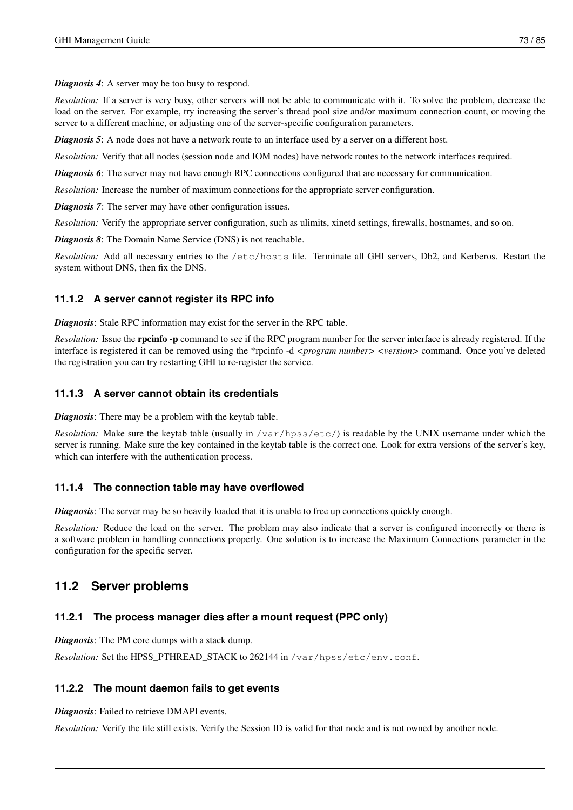*Diagnosis 4*: A server may be too busy to respond.

*Resolution:* If a server is very busy, other servers will not be able to communicate with it. To solve the problem, decrease the load on the server. For example, try increasing the server's thread pool size and/or maximum connection count, or moving the server to a different machine, or adjusting one of the server-specific configuration parameters.

*Diagnosis 5*: A node does not have a network route to an interface used by a server on a different host.

*Resolution:* Verify that all nodes (session node and IOM nodes) have network routes to the network interfaces required.

*Diagnosis 6*: The server may not have enough RPC connections configured that are necessary for communication.

*Resolution:* Increase the number of maximum connections for the appropriate server configuration.

*Diagnosis 7*: The server may have other configuration issues.

*Resolution:* Verify the appropriate server configuration, such as ulimits, xinetd settings, firewalls, hostnames, and so on.

*Diagnosis 8*: The Domain Name Service (DNS) is not reachable.

*Resolution:* Add all necessary entries to the /etc/hosts file. Terminate all GHI servers, Db2, and Kerberos. Restart the system without DNS, then fix the DNS.

### **11.1.2 A server cannot register its RPC info**

*Diagnosis*: Stale RPC information may exist for the server in the RPC table.

*Resolution:* Issue the rpcinfo -p command to see if the RPC program number for the server interface is already registered. If the interface is registered it can be removed using the \*rpcinfo -d *<program number> <version>* command. Once you've deleted the registration you can try restarting GHI to re-register the service.

### **11.1.3 A server cannot obtain its credentials**

*Diagnosis*: There may be a problem with the keytab table.

*Resolution:* Make sure the keytab table (usually in /var/hpss/etc/) is readable by the UNIX username under which the server is running. Make sure the key contained in the keytab table is the correct one. Look for extra versions of the server's key, which can interfere with the authentication process.

### **11.1.4 The connection table may have overflowed**

*Diagnosis*: The server may be so heavily loaded that it is unable to free up connections quickly enough.

*Resolution:* Reduce the load on the server. The problem may also indicate that a server is configured incorrectly or there is a software problem in handling connections properly. One solution is to increase the Maximum Connections parameter in the configuration for the specific server.

## **11.2 Server problems**

### **11.2.1 The process manager dies after a mount request (PPC only)**

*Diagnosis*: The PM core dumps with a stack dump.

*Resolution:* Set the HPSS\_PTHREAD\_STACK to 262144 in /var/hpss/etc/env.conf.

### **11.2.2 The mount daemon fails to get events**

*Diagnosis*: Failed to retrieve DMAPI events.

*Resolution:* Verify the file still exists. Verify the Session ID is valid for that node and is not owned by another node.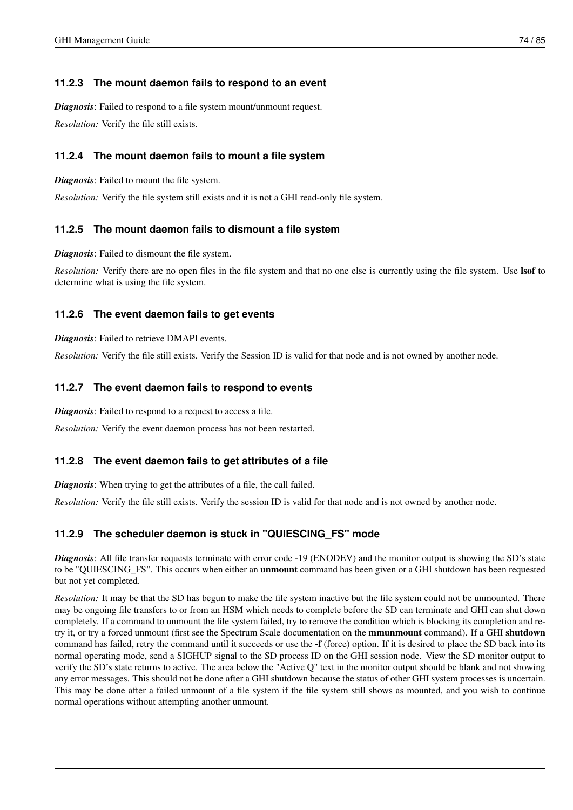## **11.2.3 The mount daemon fails to respond to an event**

*Diagnosis*: Failed to respond to a file system mount/unmount request.

*Resolution:* Verify the file still exists.

## **11.2.4 The mount daemon fails to mount a file system**

*Diagnosis*: Failed to mount the file system.

*Resolution:* Verify the file system still exists and it is not a GHI read-only file system.

## **11.2.5 The mount daemon fails to dismount a file system**

*Diagnosis*: Failed to dismount the file system.

*Resolution:* Verify there are no open files in the file system and that no one else is currently using the file system. Use lsof to determine what is using the file system.

## **11.2.6 The event daemon fails to get events**

*Diagnosis*: Failed to retrieve DMAPI events.

*Resolution:* Verify the file still exists. Verify the Session ID is valid for that node and is not owned by another node.

## **11.2.7 The event daemon fails to respond to events**

*Diagnosis*: Failed to respond to a request to access a file.

*Resolution:* Verify the event daemon process has not been restarted.

## **11.2.8 The event daemon fails to get attributes of a file**

*Diagnosis*: When trying to get the attributes of a file, the call failed.

*Resolution:* Verify the file still exists. Verify the session ID is valid for that node and is not owned by another node.

## **11.2.9 The scheduler daemon is stuck in "QUIESCING\_FS" mode**

<span id="page-82-0"></span>*Diagnosis*: All file transfer requests terminate with error code -19 (ENODEV) and the monitor output is showing the SD's state to be "QUIESCING\_FS". This occurs when either an unmount command has been given or a GHI shutdown has been requested but not yet completed.

*Resolution:* It may be that the SD has begun to make the file system inactive but the file system could not be unmounted. There may be ongoing file transfers to or from an HSM which needs to complete before the SD can terminate and GHI can shut down completely. If a command to unmount the file system failed, try to remove the condition which is blocking its completion and retry it, or try a forced unmount (first see the Spectrum Scale documentation on the mmunmount command). If a GHI shutdown command has failed, retry the command until it succeeds or use the -f (force) option. If it is desired to place the SD back into its normal operating mode, send a SIGHUP signal to the SD process ID on the GHI session node. View the SD monitor output to verify the SD's state returns to active. The area below the "Active Q" text in the monitor output should be blank and not showing any error messages. This should not be done after a GHI shutdown because the status of other GHI system processes is uncertain. This may be done after a failed unmount of a file system if the file system still shows as mounted, and you wish to continue normal operations without attempting another unmount.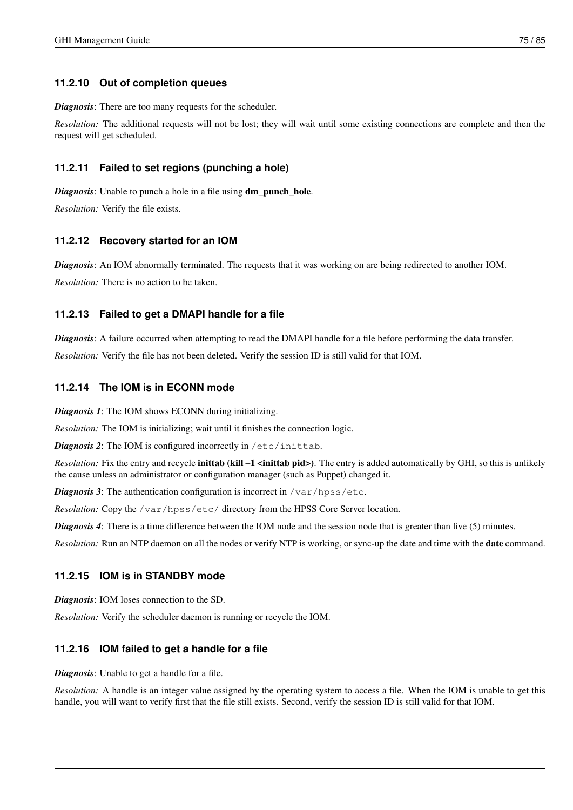#### **11.2.10 Out of completion queues**

*Diagnosis*: There are too many requests for the scheduler.

*Resolution:* The additional requests will not be lost; they will wait until some existing connections are complete and then the request will get scheduled.

#### **11.2.11 Failed to set regions (punching a hole)**

*Diagnosis*: Unable to punch a hole in a file using **dm\_punch\_hole.** 

*Resolution:* Verify the file exists.

#### **11.2.12 Recovery started for an IOM**

*Diagnosis*: An IOM abnormally terminated. The requests that it was working on are being redirected to another IOM. *Resolution:* There is no action to be taken.

#### **11.2.13 Failed to get a DMAPI handle for a file**

*Diagnosis*: A failure occurred when attempting to read the DMAPI handle for a file before performing the data transfer. *Resolution:* Verify the file has not been deleted. Verify the session ID is still valid for that IOM.

#### **11.2.14 The IOM is in ECONN mode**

*Diagnosis 1*: The IOM shows ECONN during initializing.

*Resolution:* The IOM is initializing; wait until it finishes the connection logic.

*Diagnosis 2*: The IOM is configured incorrectly in /etc/inittab.

*Resolution:* Fix the entry and recycle **inittab** (kill -1 <inittab pid>). The entry is added automatically by GHI, so this is unlikely the cause unless an administrator or configuration manager (such as Puppet) changed it.

*Diagnosis 3*: The authentication configuration is incorrect in  $/\text{var/hpss/etc.}$ 

*Resolution:* Copy the /var/hpss/etc/ directory from the HPSS Core Server location.

*Diagnosis 4*: There is a time difference between the IOM node and the session node that is greater than five (5) minutes.

*Resolution:* Run an NTP daemon on all the nodes or verify NTP is working, or sync-up the date and time with the **date** command.

#### **11.2.15 IOM is in STANDBY mode**

*Diagnosis*: IOM loses connection to the SD.

*Resolution:* Verify the scheduler daemon is running or recycle the IOM.

#### **11.2.16 IOM failed to get a handle for a file**

*Diagnosis*: Unable to get a handle for a file.

*Resolution:* A handle is an integer value assigned by the operating system to access a file. When the IOM is unable to get this handle, you will want to verify first that the file still exists. Second, verify the session ID is still valid for that IOM.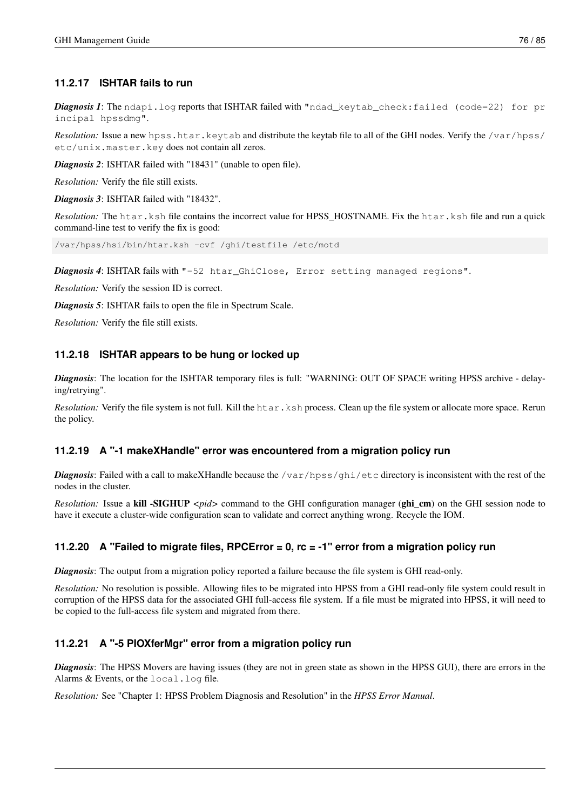## **11.2.17 ISHTAR fails to run**

*Diagnosis 1*: The ndapi.log reports that ISHTAR failed with "ndad keytab check:failed (code=22) for pr incipal hpssdmg".

*Resolution:* Issue a new hpss.htar.keytab and distribute the keytab file to all of the GHI nodes. Verify the /var/hpss/ etc/unix.master.key does not contain all zeros.

*Diagnosis 2*: ISHTAR failed with "18431" (unable to open file).

*Resolution:* Verify the file still exists.

*Diagnosis 3*: ISHTAR failed with "18432".

*Resolution:* The htar.ksh file contains the incorrect value for HPSS\_HOSTNAME. Fix the htar.ksh file and run a quick command-line test to verify the fix is good:

/var/hpss/hsi/bin/htar.ksh -cvf /ghi/testfile /etc/motd

*Diagnosis 4*: ISHTAR fails with "-52 htar\_GhiClose, Error setting managed regions".

*Resolution:* Verify the session ID is correct.

*Diagnosis 5*: ISHTAR fails to open the file in Spectrum Scale.

*Resolution:* Verify the file still exists.

## **11.2.18 ISHTAR appears to be hung or locked up**

*Diagnosis*: The location for the ISHTAR temporary files is full: "WARNING: OUT OF SPACE writing HPSS archive - delaying/retrying".

*Resolution:* Verify the file system is not full. Kill the htar.ksh process. Clean up the file system or allocate more space. Rerun the policy.

### **11.2.19 A "-1 makeXHandle" error was encountered from a migration policy run**

*Diagnosis*: Failed with a call to makeXHandle because the /var/hpss/ghi/etc directory is inconsistent with the rest of the nodes in the cluster.

*Resolution:* Issue a kill -SIGHUP *<pid>* command to the GHI configuration manager (ghi\_cm) on the GHI session node to have it execute a cluster-wide configuration scan to validate and correct anything wrong. Recycle the IOM.

## **11.2.20 A "Failed to migrate files, RPCError = 0, rc = -1" error from a migration policy run**

*Diagnosis*: The output from a migration policy reported a failure because the file system is GHI read-only.

*Resolution:* No resolution is possible. Allowing files to be migrated into HPSS from a GHI read-only file system could result in corruption of the HPSS data for the associated GHI full-access file system. If a file must be migrated into HPSS, it will need to be copied to the full-access file system and migrated from there.

## **11.2.21 A "-5 PIOXferMgr" error from a migration policy run**

*Diagnosis*: The HPSS Movers are having issues (they are not in green state as shown in the HPSS GUI), there are errors in the Alarms & Events, or the local.log file.

*Resolution:* See "Chapter 1: HPSS Problem Diagnosis and Resolution" in the *HPSS Error Manual*.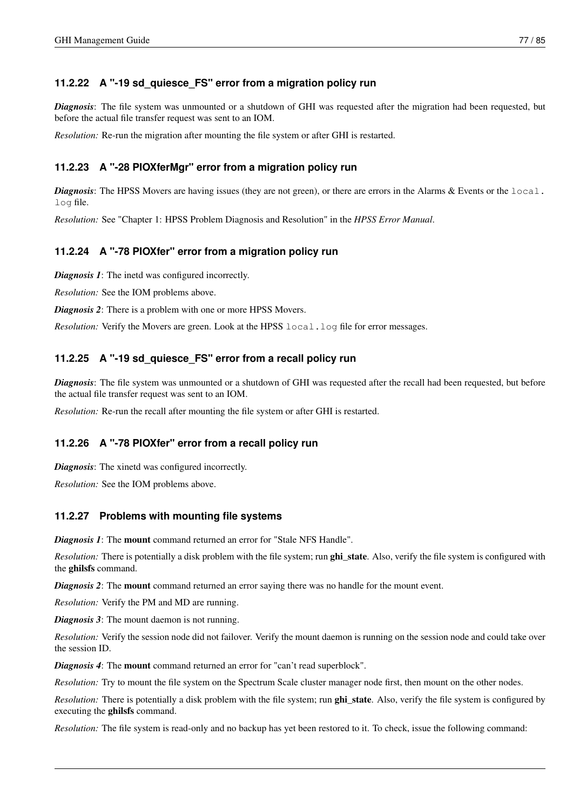## **11.2.22 A "-19 sd\_quiesce\_FS" error from a migration policy run**

*Diagnosis*: The file system was unmounted or a shutdown of GHI was requested after the migration had been requested, but before the actual file transfer request was sent to an IOM.

*Resolution:* Re-run the migration after mounting the file system or after GHI is restarted.

## **11.2.23 A "-28 PIOXferMgr" error from a migration policy run**

*Diagnosis*: The HPSS Movers are having issues (they are not green), or there are errors in the Alarms & Events or the local. log file.

*Resolution:* See "Chapter 1: HPSS Problem Diagnosis and Resolution" in the *HPSS Error Manual*.

## **11.2.24 A "-78 PIOXfer" error from a migration policy run**

*Diagnosis 1*: The inetd was configured incorrectly.

*Resolution:* See the IOM problems above.

*Diagnosis 2*: There is a problem with one or more HPSS Movers.

*Resolution:* Verify the Movers are green. Look at the HPSS  $\text{local} \cdot \text{log}$  file for error messages.

### **11.2.25 A "-19 sd\_quiesce\_FS" error from a recall policy run**

*Diagnosis*: The file system was unmounted or a shutdown of GHI was requested after the recall had been requested, but before the actual file transfer request was sent to an IOM.

*Resolution:* Re-run the recall after mounting the file system or after GHI is restarted.

### **11.2.26 A "-78 PIOXfer" error from a recall policy run**

*Diagnosis*: The xinetd was configured incorrectly.

*Resolution:* See the IOM problems above.

### **11.2.27 Problems with mounting file systems**

*Diagnosis 1*: The mount command returned an error for "Stale NFS Handle".

*Resolution:* There is potentially a disk problem with the file system; run ghi state. Also, verify the file system is configured with the ghilsfs command.

*Diagnosis 2*: The **mount** command returned an error saying there was no handle for the mount event.

*Resolution:* Verify the PM and MD are running.

*Diagnosis 3*: The mount daemon is not running.

*Resolution:* Verify the session node did not failover. Verify the mount daemon is running on the session node and could take over the session ID.

*Diagnosis 4*: The **mount** command returned an error for "can't read superblock".

*Resolution:* Try to mount the file system on the Spectrum Scale cluster manager node first, then mount on the other nodes.

*Resolution:* There is potentially a disk problem with the file system; run ghi\_state. Also, verify the file system is configured by executing the ghilsfs command.

*Resolution:* The file system is read-only and no backup has yet been restored to it. To check, issue the following command: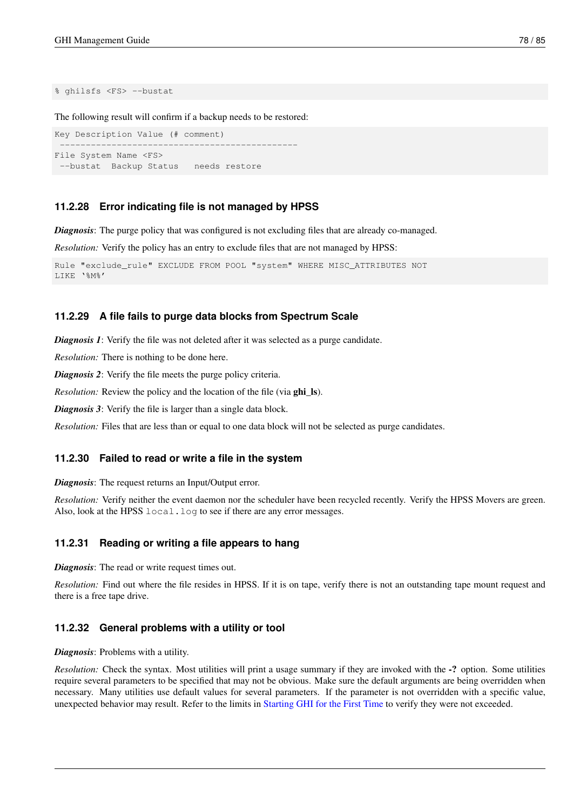```
% ghilsfs <FS> --bustat
```
The following result will confirm if a backup needs to be restored:

```
Key Description Value (# comment)
 ----------------------------------------------
File System Name <FS>
--bustat Backup Status needs restore
```
## **11.2.28 Error indicating file is not managed by HPSS**

*Diagnosis*: The purge policy that was configured is not excluding files that are already co-managed.

*Resolution:* Verify the policy has an entry to exclude files that are not managed by HPSS:

```
Rule "exclude_rule" EXCLUDE FROM POOL "system" WHERE MISC_ATTRIBUTES NOT
LIKE '%M%'
```
#### **11.2.29 A file fails to purge data blocks from Spectrum Scale**

*Diagnosis 1*: Verify the file was not deleted after it was selected as a purge candidate.

*Resolution:* There is nothing to be done here.

*Diagnosis 2*: Verify the file meets the purge policy criteria.

*Resolution:* Review the policy and the location of the file (via **ghi\_ls**).

*Diagnosis 3*: Verify the file is larger than a single data block.

*Resolution:* Files that are less than or equal to one data block will not be selected as purge candidates.

#### **11.2.30 Failed to read or write a file in the system**

*Diagnosis*: The request returns an Input/Output error.

*Resolution:* Verify neither the event daemon nor the scheduler have been recycled recently. Verify the HPSS Movers are green. Also, look at the HPSS local.log to see if there are any error messages.

## **11.2.31 Reading or writing a file appears to hang**

*Diagnosis*: The read or write request times out.

*Resolution:* Find out where the file resides in HPSS. If it is on tape, verify there is not an outstanding tape mount request and there is a free tape drive.

#### **11.2.32 General problems with a utility or tool**

*Diagnosis*: Problems with a utility.

*Resolution:* Check the syntax. Most utilities will print a usage summary if they are invoked with the -? option. Some utilities require several parameters to be specified that may not be obvious. Make sure the default arguments are being overridden when necessary. Many utilities use default values for several parameters. If the parameter is not overridden with a specific value, unexpected behavior may result. Refer to the limits in [Starting GHI for the First Time](#page-10-0) to verify they were not exceeded.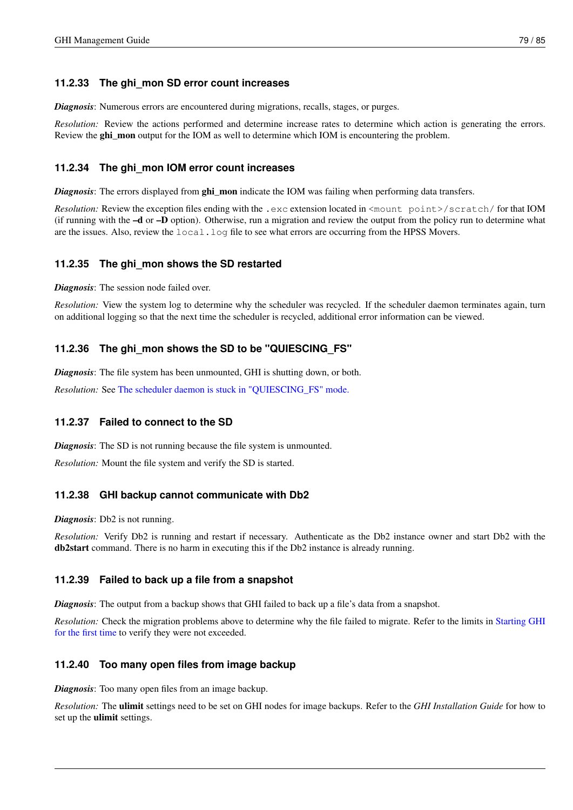## **11.2.33 The ghi\_mon SD error count increases**

*Diagnosis*: Numerous errors are encountered during migrations, recalls, stages, or purges.

*Resolution:* Review the actions performed and determine increase rates to determine which action is generating the errors. Review the **ghi\_mon** output for the IOM as well to determine which IOM is encountering the problem.

## **11.2.34 The ghi\_mon IOM error count increases**

*Diagnosis*: The errors displayed from **ghi\_mon** indicate the IOM was failing when performing data transfers.

*Resolution:* Review the exception files ending with the .exc extension located in  $\langle$  mount point>/scratch/ for that IOM (if running with the –d or –D option). Otherwise, run a migration and review the output from the policy run to determine what are the issues. Also, review the  $local$ ,  $log$  file to see what errors are occurring from the HPSS Movers.

## **11.2.35 The ghi\_mon shows the SD restarted**

*Diagnosis*: The session node failed over.

*Resolution:* View the system log to determine why the scheduler was recycled. If the scheduler daemon terminates again, turn on additional logging so that the next time the scheduler is recycled, additional error information can be viewed.

## **11.2.36 The ghi\_mon shows the SD to be "QUIESCING\_FS"**

*Diagnosis*: The file system has been unmounted, GHI is shutting down, or both.

*Resolution:* See [The scheduler daemon is stuck in "QUIESCING\\_FS" mode.](#page-82-0)

### **11.2.37 Failed to connect to the SD**

*Diagnosis*: The SD is not running because the file system is unmounted.

*Resolution:* Mount the file system and verify the SD is started.

### **11.2.38 GHI backup cannot communicate with Db2**

*Diagnosis*: Db2 is not running.

*Resolution:* Verify Db2 is running and restart if necessary. Authenticate as the Db2 instance owner and start Db2 with the db2start command. There is no harm in executing this if the Db2 instance is already running.

### **11.2.39 Failed to back up a file from a snapshot**

*Diagnosis*: The output from a backup shows that GHI failed to back up a file's data from a snapshot.

*Resolution:* Check the migration problems above to determine why the file failed to migrate. Refer to the limits in [Starting GHI](#page-10-0) [for the first time](#page-10-0) to verify they were not exceeded.

### **11.2.40 Too many open files from image backup**

*Diagnosis*: Too many open files from an image backup.

*Resolution:* The ulimit settings need to be set on GHI nodes for image backups. Refer to the *GHI Installation Guide* for how to set up the ulimit settings.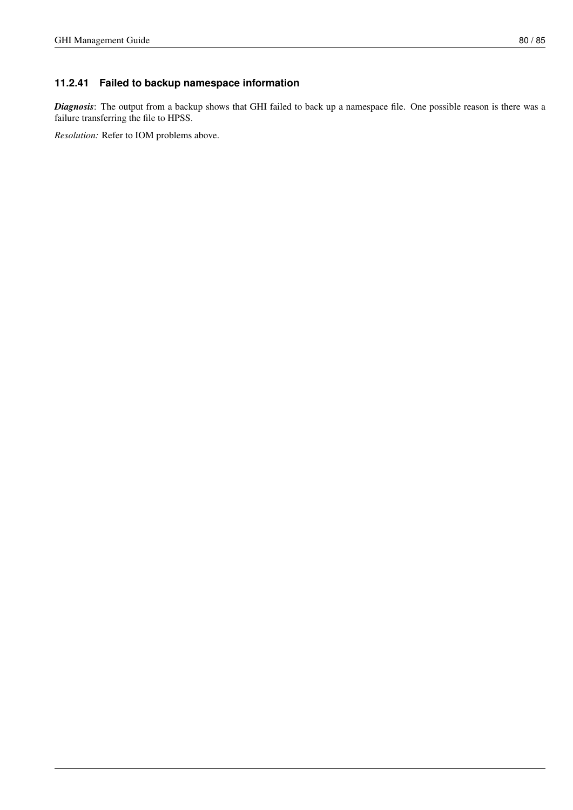## **11.2.41 Failed to backup namespace information**

*Diagnosis*: The output from a backup shows that GHI failed to back up a namespace file. One possible reason is there was a failure transferring the file to HPSS.

*Resolution:* Refer to IOM problems above.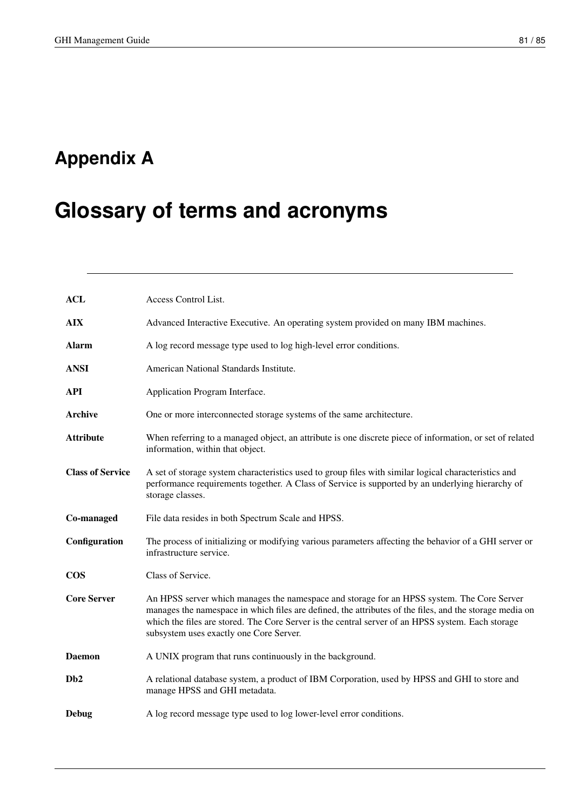# **Appendix A**

# **Glossary of terms and acronyms**

| <b>ACL</b>              | Access Control List.                                                                                                                                                                                                                                                                                                                                  |
|-------------------------|-------------------------------------------------------------------------------------------------------------------------------------------------------------------------------------------------------------------------------------------------------------------------------------------------------------------------------------------------------|
| <b>AIX</b>              | Advanced Interactive Executive. An operating system provided on many IBM machines.                                                                                                                                                                                                                                                                    |
| Alarm                   | A log record message type used to log high-level error conditions.                                                                                                                                                                                                                                                                                    |
| <b>ANSI</b>             | American National Standards Institute.                                                                                                                                                                                                                                                                                                                |
| <b>API</b>              | Application Program Interface.                                                                                                                                                                                                                                                                                                                        |
| <b>Archive</b>          | One or more interconnected storage systems of the same architecture.                                                                                                                                                                                                                                                                                  |
| <b>Attribute</b>        | When referring to a managed object, an attribute is one discrete piece of information, or set of related<br>information, within that object.                                                                                                                                                                                                          |
| <b>Class of Service</b> | A set of storage system characteristics used to group files with similar logical characteristics and<br>performance requirements together. A Class of Service is supported by an underlying hierarchy of<br>storage classes.                                                                                                                          |
| Co-managed              | File data resides in both Spectrum Scale and HPSS.                                                                                                                                                                                                                                                                                                    |
| Configuration           | The process of initializing or modifying various parameters affecting the behavior of a GHI server or<br>infrastructure service.                                                                                                                                                                                                                      |
| <b>COS</b>              | Class of Service.                                                                                                                                                                                                                                                                                                                                     |
| <b>Core Server</b>      | An HPSS server which manages the namespace and storage for an HPSS system. The Core Server<br>manages the namespace in which files are defined, the attributes of the files, and the storage media on<br>which the files are stored. The Core Server is the central server of an HPSS system. Each storage<br>subsystem uses exactly one Core Server. |
| <b>Daemon</b>           | A UNIX program that runs continuously in the background.                                                                                                                                                                                                                                                                                              |
| Db2                     | A relational database system, a product of IBM Corporation, used by HPSS and GHI to store and<br>manage HPSS and GHI metadata.                                                                                                                                                                                                                        |
| Debug                   | A log record message type used to log lower-level error conditions.                                                                                                                                                                                                                                                                                   |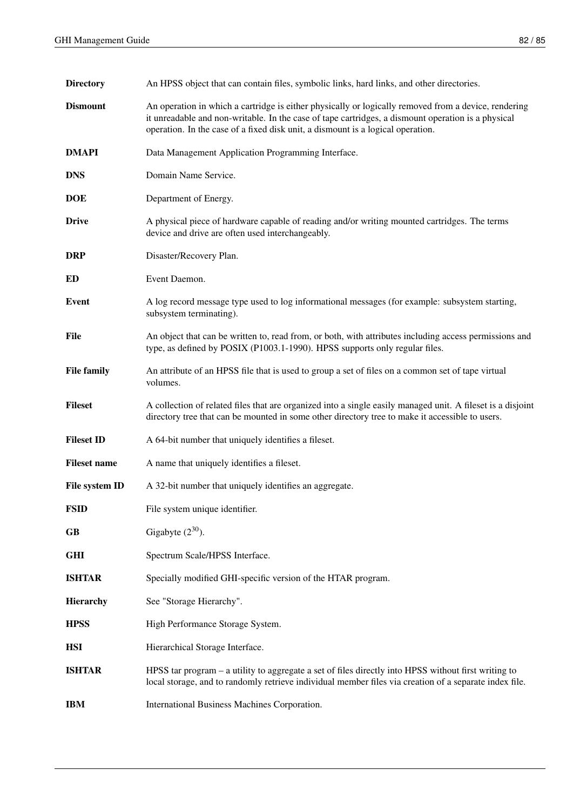| <b>Directory</b>    | An HPSS object that can contain files, symbolic links, hard links, and other directories.                                                                                                                                                                                                     |
|---------------------|-----------------------------------------------------------------------------------------------------------------------------------------------------------------------------------------------------------------------------------------------------------------------------------------------|
| <b>Dismount</b>     | An operation in which a cartridge is either physically or logically removed from a device, rendering<br>it unreadable and non-writable. In the case of tape cartridges, a dismount operation is a physical<br>operation. In the case of a fixed disk unit, a dismount is a logical operation. |
| <b>DMAPI</b>        | Data Management Application Programming Interface.                                                                                                                                                                                                                                            |
| <b>DNS</b>          | Domain Name Service.                                                                                                                                                                                                                                                                          |
| <b>DOE</b>          | Department of Energy.                                                                                                                                                                                                                                                                         |
| <b>Drive</b>        | A physical piece of hardware capable of reading and/or writing mounted cartridges. The terms<br>device and drive are often used interchangeably.                                                                                                                                              |
| <b>DRP</b>          | Disaster/Recovery Plan.                                                                                                                                                                                                                                                                       |
| ED                  | Event Daemon.                                                                                                                                                                                                                                                                                 |
| <b>Event</b>        | A log record message type used to log informational messages (for example: subsystem starting,<br>subsystem terminating).                                                                                                                                                                     |
| <b>File</b>         | An object that can be written to, read from, or both, with attributes including access permissions and<br>type, as defined by POSIX (P1003.1-1990). HPSS supports only regular files.                                                                                                         |
| <b>File family</b>  | An attribute of an HPSS file that is used to group a set of files on a common set of tape virtual<br>volumes.                                                                                                                                                                                 |
| <b>Fileset</b>      | A collection of related files that are organized into a single easily managed unit. A fileset is a disjoint<br>directory tree that can be mounted in some other directory tree to make it accessible to users.                                                                                |
| <b>Fileset ID</b>   | A 64-bit number that uniquely identifies a fileset.                                                                                                                                                                                                                                           |
| <b>Fileset name</b> | A name that uniquely identifies a fileset.                                                                                                                                                                                                                                                    |
| File system ID      | A 32-bit number that uniquely identifies an aggregate.                                                                                                                                                                                                                                        |
| <b>FSID</b>         | File system unique identifier.                                                                                                                                                                                                                                                                |
| GB                  | Gigabyte $(2^{30})$ .                                                                                                                                                                                                                                                                         |
| <b>GHI</b>          | Spectrum Scale/HPSS Interface.                                                                                                                                                                                                                                                                |
| <b>ISHTAR</b>       | Specially modified GHI-specific version of the HTAR program.                                                                                                                                                                                                                                  |
| Hierarchy           | See "Storage Hierarchy".                                                                                                                                                                                                                                                                      |
| <b>HPSS</b>         | High Performance Storage System.                                                                                                                                                                                                                                                              |
| <b>HSI</b>          | Hierarchical Storage Interface.                                                                                                                                                                                                                                                               |
| <b>ISHTAR</b>       | HPSS tar program – a utility to aggregate a set of files directly into HPSS without first writing to<br>local storage, and to randomly retrieve individual member files via creation of a separate index file.                                                                                |
| <b>IBM</b>          | International Business Machines Corporation.                                                                                                                                                                                                                                                  |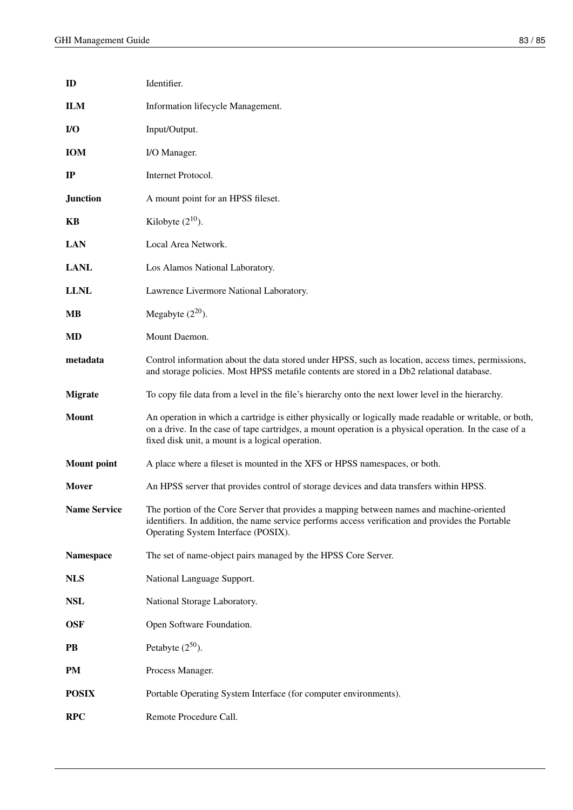| ID                  | Identifier.                                                                                                                                                                                                                                                            |
|---------------------|------------------------------------------------------------------------------------------------------------------------------------------------------------------------------------------------------------------------------------------------------------------------|
| <b>ILM</b>          | Information lifecycle Management.                                                                                                                                                                                                                                      |
| $l/O$               | Input/Output.                                                                                                                                                                                                                                                          |
| <b>IOM</b>          | I/O Manager.                                                                                                                                                                                                                                                           |
| IP                  | Internet Protocol.                                                                                                                                                                                                                                                     |
| <b>Junction</b>     | A mount point for an HPSS fileset.                                                                                                                                                                                                                                     |
| KB                  | Kilobyte $(2^{10})$ .                                                                                                                                                                                                                                                  |
| <b>LAN</b>          | Local Area Network.                                                                                                                                                                                                                                                    |
| <b>LANL</b>         | Los Alamos National Laboratory.                                                                                                                                                                                                                                        |
| <b>LLNL</b>         | Lawrence Livermore National Laboratory.                                                                                                                                                                                                                                |
| MВ                  | Megabyte $(2^{20})$ .                                                                                                                                                                                                                                                  |
| <b>MD</b>           | Mount Daemon.                                                                                                                                                                                                                                                          |
| metadata            | Control information about the data stored under HPSS, such as location, access times, permissions,<br>and storage policies. Most HPSS metafile contents are stored in a Db2 relational database.                                                                       |
| <b>Migrate</b>      | To copy file data from a level in the file's hierarchy onto the next lower level in the hierarchy.                                                                                                                                                                     |
| <b>Mount</b>        | An operation in which a cartridge is either physically or logically made readable or writable, or both,<br>on a drive. In the case of tape cartridges, a mount operation is a physical operation. In the case of a<br>fixed disk unit, a mount is a logical operation. |
| <b>Mount</b> point  | A place where a fileset is mounted in the XFS or HPSS namespaces, or both.                                                                                                                                                                                             |
| <b>Mover</b>        | An HPSS server that provides control of storage devices and data transfers within HPSS.                                                                                                                                                                                |
| <b>Name Service</b> | The portion of the Core Server that provides a mapping between names and machine-oriented<br>identifiers. In addition, the name service performs access verification and provides the Portable<br>Operating System Interface (POSIX).                                  |
| <b>Namespace</b>    | The set of name-object pairs managed by the HPSS Core Server.                                                                                                                                                                                                          |
| <b>NLS</b>          | National Language Support.                                                                                                                                                                                                                                             |
| <b>NSL</b>          | National Storage Laboratory.                                                                                                                                                                                                                                           |
| <b>OSF</b>          | Open Software Foundation.                                                                                                                                                                                                                                              |
| PB                  | Petabyte $(2^{50})$ .                                                                                                                                                                                                                                                  |
| PM                  | Process Manager.                                                                                                                                                                                                                                                       |
| <b>POSIX</b>        | Portable Operating System Interface (for computer environments).                                                                                                                                                                                                       |
| <b>RPC</b>          | Remote Procedure Call.                                                                                                                                                                                                                                                 |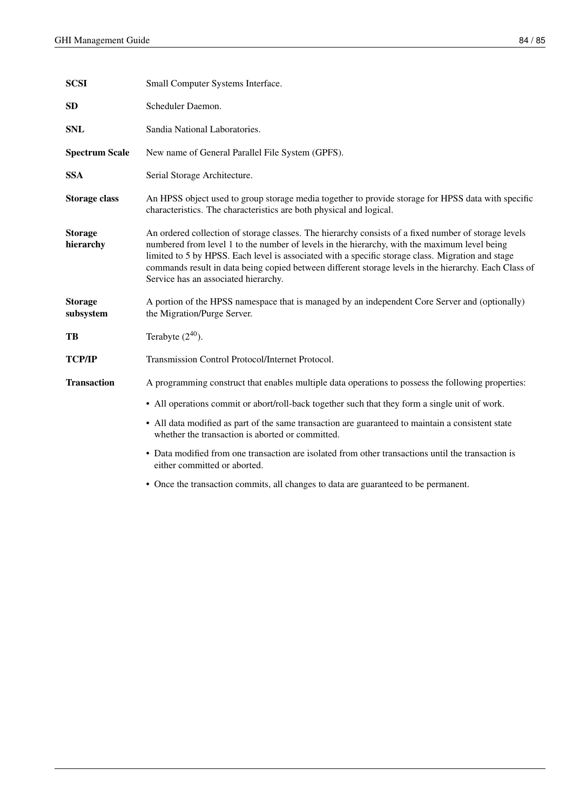| <b>SCSI</b>                 | Small Computer Systems Interface.                                                                                                                                                                                                                                                                                                                                                                                                                          |
|-----------------------------|------------------------------------------------------------------------------------------------------------------------------------------------------------------------------------------------------------------------------------------------------------------------------------------------------------------------------------------------------------------------------------------------------------------------------------------------------------|
| <b>SD</b>                   | Scheduler Daemon.                                                                                                                                                                                                                                                                                                                                                                                                                                          |
| <b>SNL</b>                  | Sandia National Laboratories.                                                                                                                                                                                                                                                                                                                                                                                                                              |
| <b>Spectrum Scale</b>       | New name of General Parallel File System (GPFS).                                                                                                                                                                                                                                                                                                                                                                                                           |
| <b>SSA</b>                  | Serial Storage Architecture.                                                                                                                                                                                                                                                                                                                                                                                                                               |
| <b>Storage class</b>        | An HPSS object used to group storage media together to provide storage for HPSS data with specific<br>characteristics. The characteristics are both physical and logical.                                                                                                                                                                                                                                                                                  |
| <b>Storage</b><br>hierarchy | An ordered collection of storage classes. The hierarchy consists of a fixed number of storage levels<br>numbered from level 1 to the number of levels in the hierarchy, with the maximum level being<br>limited to 5 by HPSS. Each level is associated with a specific storage class. Migration and stage<br>commands result in data being copied between different storage levels in the hierarchy. Each Class of<br>Service has an associated hierarchy. |
| <b>Storage</b><br>subsystem | A portion of the HPSS namespace that is managed by an independent Core Server and (optionally)<br>the Migration/Purge Server.                                                                                                                                                                                                                                                                                                                              |
| TB                          | Terabyte $(2^{40})$ .                                                                                                                                                                                                                                                                                                                                                                                                                                      |
| <b>TCP/IP</b>               | Transmission Control Protocol/Internet Protocol.                                                                                                                                                                                                                                                                                                                                                                                                           |
| <b>Transaction</b>          | A programming construct that enables multiple data operations to possess the following properties:                                                                                                                                                                                                                                                                                                                                                         |
|                             | • All operations commit or abort/roll-back together such that they form a single unit of work.                                                                                                                                                                                                                                                                                                                                                             |
|                             | • All data modified as part of the same transaction are guaranteed to maintain a consistent state<br>whether the transaction is aborted or committed.                                                                                                                                                                                                                                                                                                      |
|                             | • Data modified from one transaction are isolated from other transactions until the transaction is<br>either committed or aborted.                                                                                                                                                                                                                                                                                                                         |
|                             | • Once the transaction commits, all changes to data are guaranteed to be permanent.                                                                                                                                                                                                                                                                                                                                                                        |